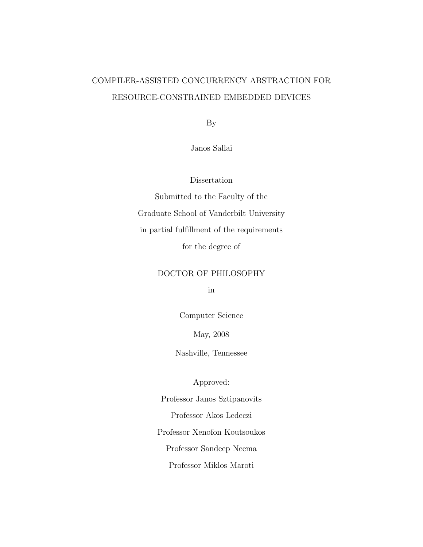# COMPILER-ASSISTED CONCURRENCY ABSTRACTION FOR RESOURCE-CONSTRAINED EMBEDDED DEVICES

By

Janos Sallai

Dissertation

Submitted to the Faculty of the Graduate School of Vanderbilt University in partial fulfillment of the requirements for the degree of

# DOCTOR OF PHILOSOPHY

in

Computer Science

May, 2008

Nashville, Tennessee

Approved:

Professor Janos Sztipanovits Professor Akos Ledeczi Professor Xenofon Koutsoukos Professor Sandeep Neema Professor Miklos Maroti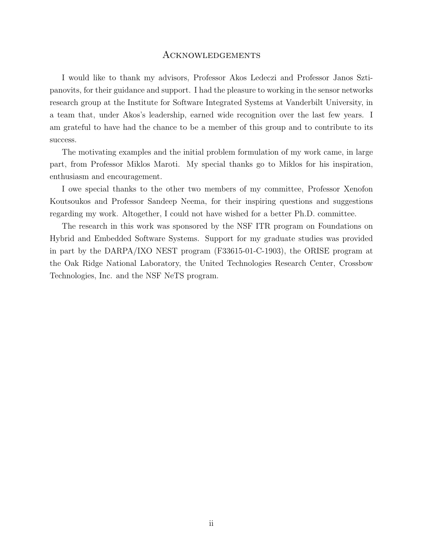# Acknowledgements

I would like to thank my advisors, Professor Akos Ledeczi and Professor Janos Sztipanovits, for their guidance and support. I had the pleasure to working in the sensor networks research group at the Institute for Software Integrated Systems at Vanderbilt University, in a team that, under Akos's leadership, earned wide recognition over the last few years. I am grateful to have had the chance to be a member of this group and to contribute to its success.

The motivating examples and the initial problem formulation of my work came, in large part, from Professor Miklos Maroti. My special thanks go to Miklos for his inspiration, enthusiasm and encouragement.

I owe special thanks to the other two members of my committee, Professor Xenofon Koutsoukos and Professor Sandeep Neema, for their inspiring questions and suggestions regarding my work. Altogether, I could not have wished for a better Ph.D. committee.

The research in this work was sponsored by the NSF ITR program on Foundations on Hybrid and Embedded Software Systems. Support for my graduate studies was provided in part by the DARPA/IXO NEST program (F33615-01-C-1903), the ORISE program at the Oak Ridge National Laboratory, the United Technologies Research Center, Crossbow Technologies, Inc. and the NSF NeTS program.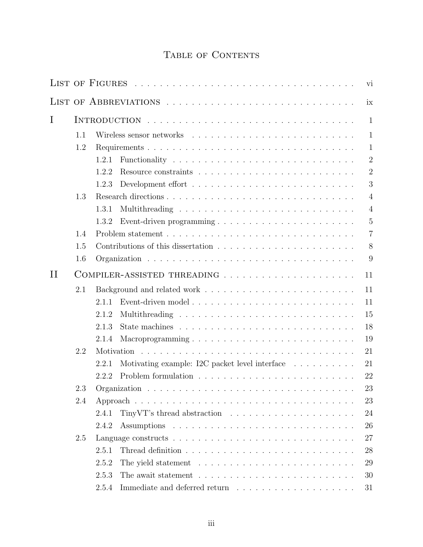# TABLE OF CONTENTS

<span id="page-2-0"></span>

|          | vi  |                                                         |                |  |
|----------|-----|---------------------------------------------------------|----------------|--|
|          | ix  |                                                         |                |  |
| I        |     |                                                         | $\mathbf{1}$   |  |
|          | 1.1 |                                                         | $\mathbf{1}$   |  |
|          | 1.2 |                                                         | $\mathbf{1}$   |  |
|          |     | 1.2.1                                                   | $\overline{2}$ |  |
|          |     | 1.2.2                                                   | $\overline{2}$ |  |
|          |     | 1.2.3                                                   | 3              |  |
|          | 1.3 |                                                         | $\overline{4}$ |  |
|          |     | 1.3.1                                                   | $\overline{4}$ |  |
|          |     | 1.3.2                                                   | $\overline{5}$ |  |
|          | 1.4 |                                                         | $\overline{7}$ |  |
|          | 1.5 |                                                         | 8              |  |
|          | 1.6 |                                                         | 9              |  |
| $\rm II$ | 11  |                                                         |                |  |
|          | 2.1 |                                                         | 11             |  |
|          |     | Event-driven model<br>2.1.1                             | 11             |  |
|          |     | 2.1.2                                                   | 15             |  |
|          |     | 2.1.3                                                   | 18             |  |
|          |     | Macroprogramming<br>2.1.4                               | 19             |  |
|          | 2.2 | Motivation                                              | 21             |  |
|          |     | Motivating example: I2C packet level interface<br>2.2.1 | 21             |  |
|          |     | 2.2.2                                                   | 22             |  |
|          |     |                                                         | 23             |  |
|          | 2.4 |                                                         | 23             |  |
|          |     | 2.4.1                                                   | 24             |  |
|          |     | 2.4.2                                                   | 26             |  |
|          | 2.5 |                                                         | 27             |  |
|          |     | 2.5.1                                                   | 28             |  |
|          |     | 2.5.2                                                   | 29             |  |
|          |     | 2.5.3                                                   | 30             |  |
|          |     | 2.5.4                                                   | 31             |  |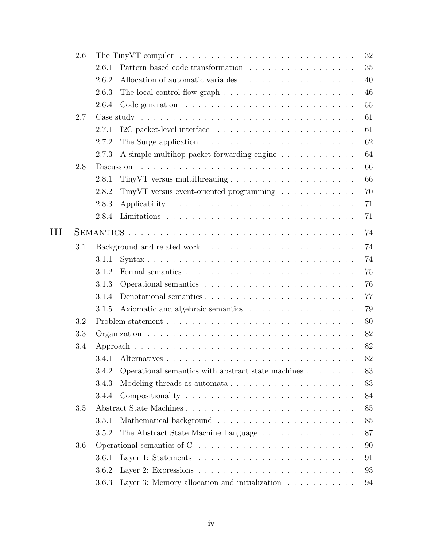|     | 2.6 |            | The Tiny VT compiler $\dots \dots \dots \dots \dots \dots \dots \dots \dots \dots \dots \dots$<br>32 |
|-----|-----|------------|------------------------------------------------------------------------------------------------------|
|     |     | 2.6.1      | Pattern based code transformation<br>$\hfill\ldots\ldots\ldots\ldots\ldots\ldots\ldots\ldots$<br>35  |
|     |     | 2.6.2      | 40                                                                                                   |
|     |     | 2.6.3      | The local control flow graph $\ldots \ldots \ldots \ldots \ldots \ldots \ldots$<br>46                |
|     |     | 2.6.4      | 55                                                                                                   |
|     | 2.7 |            | 61                                                                                                   |
|     |     | 2.7.1      | 61                                                                                                   |
|     |     | 2.7.2      | 62<br>The Surge application $\ldots \ldots \ldots \ldots \ldots \ldots \ldots \ldots$                |
|     |     | 2.7.3      | 64<br>A simple multihop packet forwarding engine                                                     |
|     | 2.8 | Discussion | 66                                                                                                   |
|     |     | 2.8.1      | 66                                                                                                   |
|     |     | 2.8.2      | Tiny VT versus event-oriented programming $\ldots \ldots \ldots \ldots$<br>70                        |
|     |     | 2.8.3      | 71                                                                                                   |
|     |     | 2.8.4      | 71                                                                                                   |
| Ш   |     |            | 74                                                                                                   |
|     | 3.1 |            | 74                                                                                                   |
|     |     | 3.1.1      | 74                                                                                                   |
|     |     | 3.1.2      | 75                                                                                                   |
|     |     | 3.1.3      | 76                                                                                                   |
|     |     | 3.1.4      | 77                                                                                                   |
|     |     | 3.1.5      | 79                                                                                                   |
| 3.2 |     |            | 80                                                                                                   |
|     | 3.3 |            | 82                                                                                                   |
|     | 3.4 |            | 82                                                                                                   |
|     |     |            | 82                                                                                                   |
|     |     | 3.4.2      | Operational semantics with abstract state machines<br>83                                             |
|     |     | 3.4.3      | 83<br>Modeling threads as automata                                                                   |
|     |     | 3.4.4      | 84                                                                                                   |
|     | 3.5 |            | 85                                                                                                   |
|     |     | 3.5.1      | 85                                                                                                   |
|     |     | 3.5.2      | The Abstract State Machine Language<br>87                                                            |
|     | 3.6 |            | 90                                                                                                   |
|     |     | 3.6.1      | 91                                                                                                   |
|     |     | 3.6.2      | 93                                                                                                   |
|     |     | 3.6.3      | Layer 3: Memory allocation and initialization $\ldots \ldots \ldots$<br>94                           |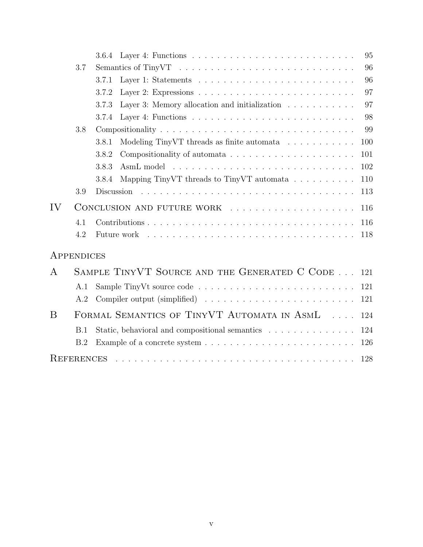|                          |                                               |                                                                                     | 95 |
|--------------------------|-----------------------------------------------|-------------------------------------------------------------------------------------|----|
|                          |                                               | 96                                                                                  |    |
|                          |                                               | 3.7.1                                                                               | 96 |
|                          |                                               | 97<br>3.7.2                                                                         |    |
|                          |                                               | Layer 3: Memory allocation and initialization $\ldots \ldots \ldots$<br>97<br>3.7.3 |    |
|                          |                                               | 98<br>3.7.4                                                                         |    |
|                          | 3.8                                           | 99                                                                                  |    |
|                          |                                               | Modeling TinyVT threads as finite automata<br>3.8.1<br>100                          |    |
|                          |                                               | 3.8.2<br>101                                                                        |    |
|                          |                                               | 3.8.3<br>102                                                                        |    |
|                          |                                               | Mapping TinyVT threads to TinyVT automata $\ldots \ldots \ldots$<br>3.8.4<br>110    |    |
|                          | 3.9                                           | Discussion<br>113                                                                   |    |
| IV                       | CONCLUSION AND FUTURE WORK                    |                                                                                     |    |
|                          | 4.1                                           | 116                                                                                 |    |
|                          | 4.2                                           | 118                                                                                 |    |
|                          | APPENDICES                                    |                                                                                     |    |
| $\mathbf{A}$             | SAMPLE TINYVT SOURCE AND THE GENERATED C CODE |                                                                                     |    |
|                          | A.1                                           | 121                                                                                 |    |
|                          | A.2                                           | 121                                                                                 |    |
| B                        |                                               | FORMAL SEMANTICS OF TINYVT AUTOMATA IN ASML<br>124<br>$\cdots$                      |    |
|                          | B.1                                           | Static, behavioral and compositional semantics<br>124                               |    |
|                          | B.2                                           | 126                                                                                 |    |
| <b>REFERENCES</b><br>128 |                                               |                                                                                     |    |
|                          |                                               |                                                                                     |    |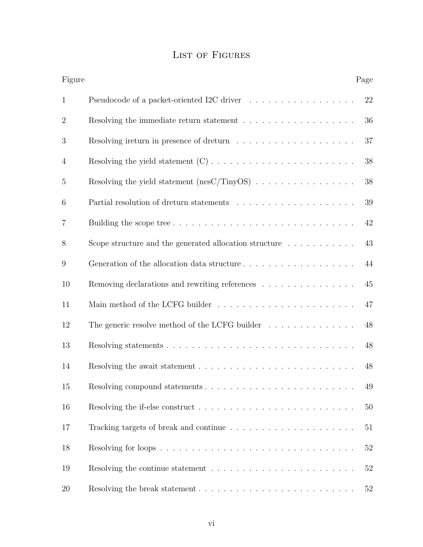# LIST OF FIGURES

<span id="page-5-0"></span>

| Figure         |                                                                                               | Page   |
|----------------|-----------------------------------------------------------------------------------------------|--------|
| $\mathbf{1}$   | Pseudocode of a packet-oriented I2C driver                                                    | 22     |
| $\overline{2}$ | Resolving the immediate return statement $\dots \dots \dots \dots \dots \dots \dots$          | 36     |
| 3              |                                                                                               | 37     |
| 4              |                                                                                               | 38     |
| 5              |                                                                                               | 38     |
| 6              |                                                                                               | 39     |
| 7              |                                                                                               | 42     |
| 8              | Scope structure and the generated allocation structure $\dots \dots \dots$                    | 43     |
| 9              |                                                                                               | 44     |
| 10             | Removing declarations and rewriting references                                                | 45     |
| 11             |                                                                                               | 47     |
| 12             | The generic resolve method of the LCFG builder $\ldots \ldots \ldots \ldots$                  | 48     |
| 13             |                                                                                               | 48     |
| 14             |                                                                                               | 48     |
| 15             |                                                                                               | 49     |
| 16             | Resolving the if-else construct $\dots \dots \dots \dots \dots \dots \dots \dots \dots \dots$ | 50     |
| 17             |                                                                                               | 51     |
| 18             |                                                                                               | 52     |
| 19             | Resolving the continue statement $\dots \dots \dots \dots \dots \dots \dots \dots \dots$      | $52\,$ |
| 20             |                                                                                               | 52     |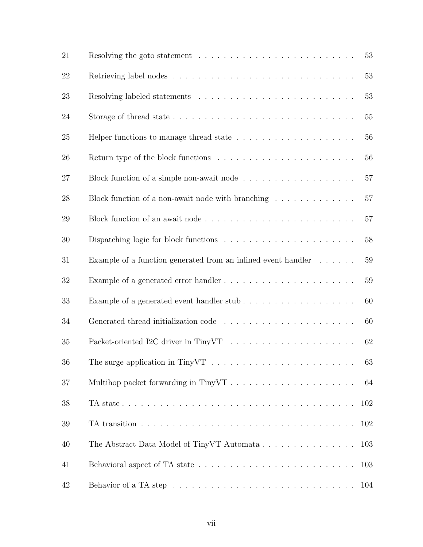| 21     | Resolving the goto statement $\ldots \ldots \ldots \ldots \ldots \ldots \ldots \ldots$      | 53     |
|--------|---------------------------------------------------------------------------------------------|--------|
| 22     |                                                                                             | $53\,$ |
| 23     |                                                                                             | 53     |
| 24     | Storage of thread state $\dots \dots \dots \dots \dots \dots \dots \dots \dots \dots \dots$ | 55     |
| 25     |                                                                                             | 56     |
| 26     |                                                                                             | 56     |
| 27     | Block function of a simple non-await node $\ldots \ldots \ldots \ldots \ldots \ldots$       | 57     |
| 28     | Block function of a non-await node with branching $\ldots \ldots \ldots \ldots$             | 57     |
| 29     |                                                                                             | 57     |
| 30     |                                                                                             | 58     |
| 31     | Example of a function generated from an inlined event handler $\ldots \ldots$               | 59     |
| 32     |                                                                                             | $59\,$ |
| 33     | Example of a generated event handler stub                                                   | 60     |
| $34\,$ |                                                                                             | 60     |
| 35     |                                                                                             | 62     |
| 36     | The surge application in Tiny $VT \ldots \ldots \ldots \ldots \ldots \ldots \ldots \ldots$  | 63     |
| 37     |                                                                                             | 64     |
| 38     |                                                                                             | 102    |
| 39     |                                                                                             | 102    |
| 40     | The Abstract Data Model of Tiny VT Automata                                                 | 103    |
| 41     |                                                                                             | 103    |
| 42     |                                                                                             | 104    |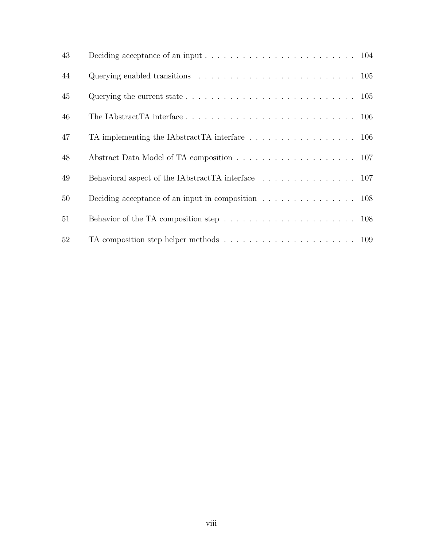| 43 | Deciding acceptance of an input $\ldots \ldots \ldots \ldots \ldots \ldots \ldots \ldots \ldots 104$ |  |
|----|------------------------------------------------------------------------------------------------------|--|
| 44 | Querying enabled transitions $\ldots \ldots \ldots \ldots \ldots \ldots \ldots \ldots \ldots 105$    |  |
| 45 |                                                                                                      |  |
| 46 |                                                                                                      |  |
| 47 |                                                                                                      |  |
| 48 |                                                                                                      |  |
| 49 | Behavioral aspect of the IAbstractTA interface 107                                                   |  |
| 50 | Deciding acceptance of an input in composition $\ldots \ldots \ldots \ldots \ldots \ldots$ 108       |  |
| 51 | Behavior of the TA composition step $\ldots \ldots \ldots \ldots \ldots \ldots \ldots \ldots 108$    |  |
| 52 | TA composition step helper methods $\ldots \ldots \ldots \ldots \ldots \ldots \ldots \ldots 109$     |  |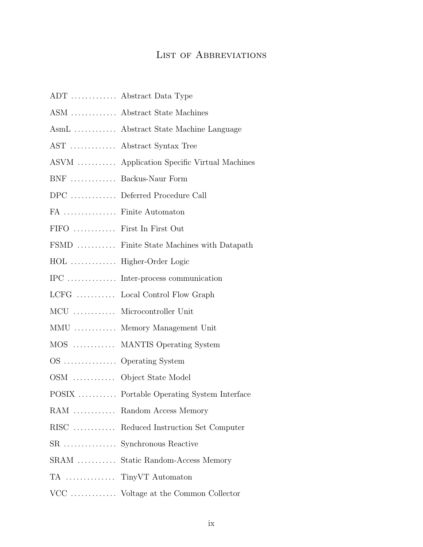# LIST OF ABBREVIATIONS

|                          | ADT  Abstract Data Type                     |
|--------------------------|---------------------------------------------|
|                          | ASM  Abstract State Machines                |
|                          | AsmL  Abstract State Machine Language       |
|                          | AST  Abstract Syntax Tree                   |
|                          | ASVM  Application Specific Virtual Machines |
|                          | BNF  Backus-Naur Form                       |
|                          | DPC  Deferred Procedure Call                |
| FA  Finite Automaton     |                                             |
| FIFO  First In First Out |                                             |
|                          | FSMD  Finite State Machines with Datapath   |
|                          | HOL  Higher-Order Logic                     |
|                          | IPC  Inter-process communication            |
|                          | LCFG  Local Control Flow Graph              |
|                          | MCU  Microcontroller Unit                   |
|                          | MMU  Memory Management Unit                 |
|                          | MOS  MANTIS Operating System                |
| OS  Operating System     |                                             |
|                          | OSM  Object State Model                     |
|                          | POSIX  Portable Operating System Interface  |
|                          | RAM  Random Access Memory                   |
|                          | RISC  Reduced Instruction Set Computer      |
|                          | SR  Synchronous Reactive                    |
|                          | SRAM  Static Random-Access Memory           |
|                          | TA  TinyVT Automaton                        |
|                          | VCC  Voltage at the Common Collector        |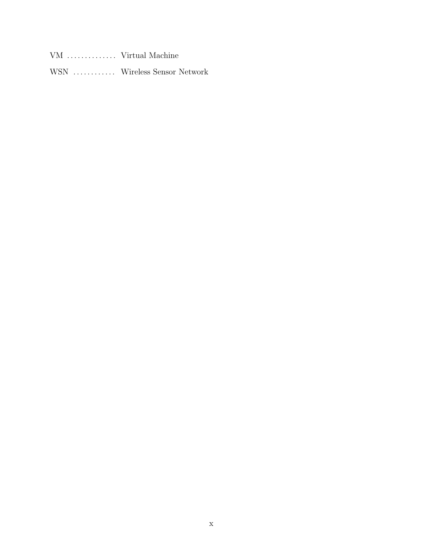$\mathit{VM}\ \dots\dots\dots\dots\dots\ \mathit{Virtual}\ \mathit{Machine}$ 

WSN ............ Wireless Sensor Network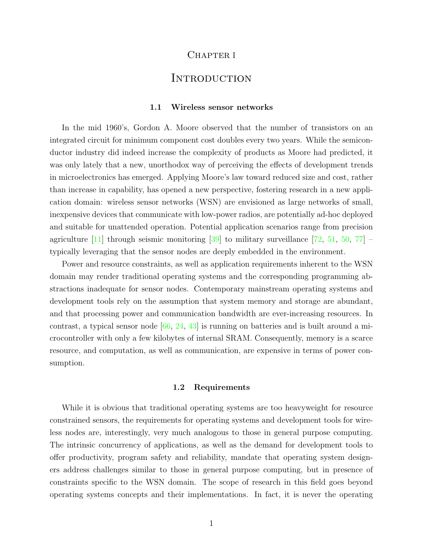# Chapter I

# **INTRODUCTION**

#### 1.1 Wireless sensor networks

<span id="page-10-1"></span><span id="page-10-0"></span>In the mid 1960's, Gordon A. Moore observed that the number of transistors on an integrated circuit for minimum component cost doubles every two years. While the semiconductor industry did indeed increase the complexity of products as Moore had predicted, it was only lately that a new, unorthodox way of perceiving the effects of development trends in microelectronics has emerged. Applying Moore's law toward reduced size and cost, rather than increase in capability, has opened a new perspective, fostering research in a new application domain: wireless sensor networks (WSN) are envisioned as large networks of small, inexpensive devices that communicate with low-power radios, are potentially ad-hoc deployed and suitable for unattended operation. Potential application scenarios range from precision agriculture [\[11\]](#page-137-0) through seismic monitoring [\[39\]](#page-139-0) to military surveillance [\[72,](#page-142-0) [51,](#page-140-0) [50,](#page-140-1) [77\]](#page-142-1) – typically leveraging that the sensor nodes are deeply embedded in the environment.

Power and resource constraints, as well as application requirements inherent to the WSN domain may render traditional operating systems and the corresponding programming abstractions inadequate for sensor nodes. Contemporary mainstream operating systems and development tools rely on the assumption that system memory and storage are abundant, and that processing power and communication bandwidth are ever-increasing resources. In contrast, a typical sensor node [\[66,](#page-142-2) [24,](#page-138-0) [43\]](#page-140-2) is running on batteries and is built around a microcontroller with only a few kilobytes of internal SRAM. Consequently, memory is a scarce resource, and computation, as well as communication, are expensive in terms of power consumption.

## 1.2 Requirements

<span id="page-10-2"></span>While it is obvious that traditional operating systems are too heavyweight for resource constrained sensors, the requirements for operating systems and development tools for wireless nodes are, interestingly, very much analogous to those in general purpose computing. The intrinsic concurrency of applications, as well as the demand for development tools to offer productivity, program safety and reliability, mandate that operating system designers address challenges similar to those in general purpose computing, but in presence of constraints specific to the WSN domain. The scope of research in this field goes beyond operating systems concepts and their implementations. In fact, it is never the operating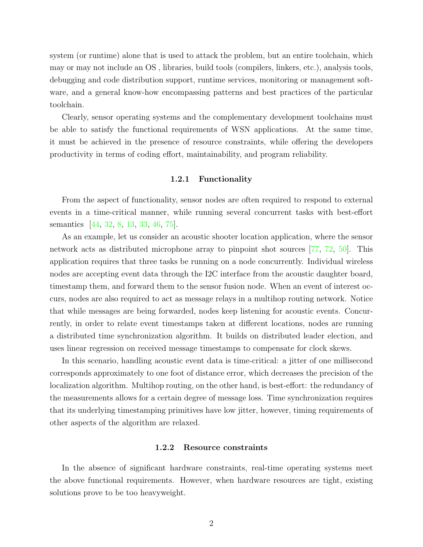system (or runtime) alone that is used to attack the problem, but an entire toolchain, which may or may not include an OS , libraries, build tools (compilers, linkers, etc.), analysis tools, debugging and code distribution support, runtime services, monitoring or management software, and a general know-how encompassing patterns and best practices of the particular toolchain.

Clearly, sensor operating systems and the complementary development toolchains must be able to satisfy the functional requirements of WSN applications. At the same time, it must be achieved in the presence of resource constraints, while offering the developers productivity in terms of coding effort, maintainability, and program reliability.

### 1.2.1 Functionality

<span id="page-11-0"></span>From the aspect of functionality, sensor nodes are often required to respond to external events in a time-critical manner, while running several concurrent tasks with best-effort semantics [\[44,](#page-140-3) [32,](#page-139-1) [8,](#page-137-1) [13,](#page-138-1) [33,](#page-139-2) [46,](#page-140-4) [75\]](#page-142-3).

As an example, let us consider an acoustic shooter location application, where the sensor network acts as distributed microphone array to pinpoint shot sources [\[77,](#page-142-1) [72,](#page-142-0) [50\]](#page-140-1). This application requires that three tasks be running on a node concurrently. Individual wireless nodes are accepting event data through the I2C interface from the acoustic daughter board, timestamp them, and forward them to the sensor fusion node. When an event of interest occurs, nodes are also required to act as message relays in a multihop routing network. Notice that while messages are being forwarded, nodes keep listening for acoustic events. Concurrently, in order to relate event timestamps taken at different locations, nodes are running a distributed time synchronization algorithm. It builds on distributed leader election, and uses linear regression on received message timestamps to compensate for clock skews.

In this scenario, handling acoustic event data is time-critical: a jitter of one millisecond corresponds approximately to one foot of distance error, which decreases the precision of the localization algorithm. Multihop routing, on the other hand, is best-effort: the redundancy of the measurements allows for a certain degree of message loss. Time synchronization requires that its underlying timestamping primitives have low jitter, however, timing requirements of other aspects of the algorithm are relaxed.

### 1.2.2 Resource constraints

<span id="page-11-1"></span>In the absence of significant hardware constraints, real-time operating systems meet the above functional requirements. However, when hardware resources are tight, existing solutions prove to be too heavyweight.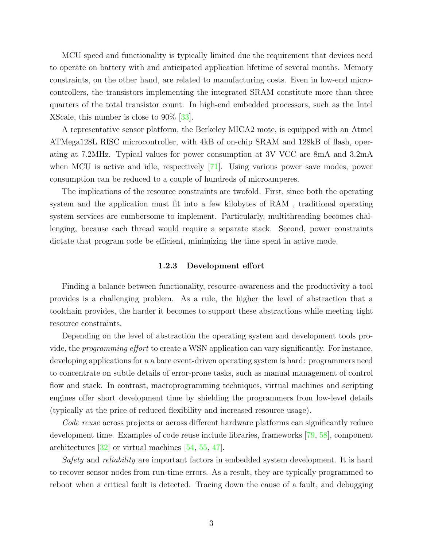MCU speed and functionality is typically limited due the requirement that devices need to operate on battery with and anticipated application lifetime of several months. Memory constraints, on the other hand, are related to manufacturing costs. Even in low-end microcontrollers, the transistors implementing the integrated SRAM constitute more than three quarters of the total transistor count. In high-end embedded processors, such as the Intel XScale, this number is close to 90% [\[33\]](#page-139-2).

A representative sensor platform, the Berkeley MICA2 mote, is equipped with an Atmel ATMega128L RISC microcontroller, with 4kB of on-chip SRAM and 128kB of flash, operating at 7.2MHz. Typical values for power consumption at 3V VCC are 8mA and 3.2mA when MCU is active and idle, respectively [\[71\]](#page-142-4). Using various power save modes, power consumption can be reduced to a couple of hundreds of microamperes.

The implications of the resource constraints are twofold. First, since both the operating system and the application must fit into a few kilobytes of RAM , traditional operating system services are cumbersome to implement. Particularly, multithreading becomes challenging, because each thread would require a separate stack. Second, power constraints dictate that program code be efficient, minimizing the time spent in active mode.

#### 1.2.3 Development effort

<span id="page-12-0"></span>Finding a balance between functionality, resource-awareness and the productivity a tool provides is a challenging problem. As a rule, the higher the level of abstraction that a toolchain provides, the harder it becomes to support these abstractions while meeting tight resource constraints.

Depending on the level of abstraction the operating system and development tools provide, the programming effort to create a WSN application can vary significantly. For instance, developing applications for a a bare event-driven operating system is hard: programmers need to concentrate on subtle details of error-prone tasks, such as manual management of control flow and stack. In contrast, macroprogramming techniques, virtual machines and scripting engines offer short development time by shielding the programmers from low-level details (typically at the price of reduced flexibility and increased resource usage).

Code reuse across projects or across different hardware platforms can significantly reduce development time. Examples of code reuse include libraries, frameworks [\[79,](#page-143-0) [58\]](#page-141-0), component architectures [\[32\]](#page-139-1) or virtual machines [\[54,](#page-141-1) [55,](#page-141-2) [47\]](#page-140-5).

Safety and *reliability* are important factors in embedded system development. It is hard to recover sensor nodes from run-time errors. As a result, they are typically programmed to reboot when a critical fault is detected. Tracing down the cause of a fault, and debugging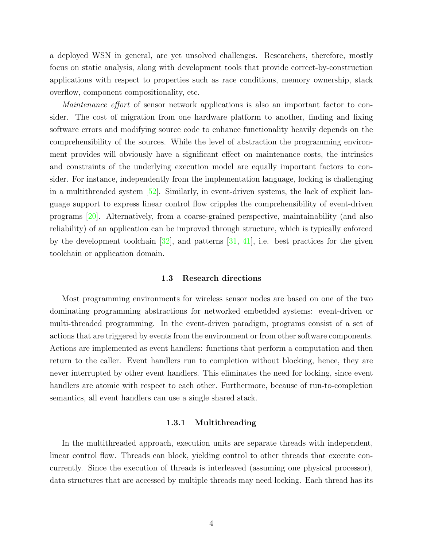a deployed WSN in general, are yet unsolved challenges. Researchers, therefore, mostly focus on static analysis, along with development tools that provide correct-by-construction applications with respect to properties such as race conditions, memory ownership, stack overflow, component compositionality, etc.

Maintenance effort of sensor network applications is also an important factor to consider. The cost of migration from one hardware platform to another, finding and fixing software errors and modifying source code to enhance functionality heavily depends on the comprehensibility of the sources. While the level of abstraction the programming environment provides will obviously have a significant effect on maintenance costs, the intrinsics and constraints of the underlying execution model are equally important factors to consider. For instance, independently from the implementation language, locking is challenging in a multithreaded system [\[52\]](#page-141-3). Similarly, in event-driven systems, the lack of explicit language support to express linear control flow cripples the comprehensibility of event-driven programs [\[20\]](#page-138-2). Alternatively, from a coarse-grained perspective, maintainability (and also reliability) of an application can be improved through structure, which is typically enforced by the development toolchain  $[32]$ , and patterns  $[31, 41]$  $[31, 41]$  $[31, 41]$ , i.e. best practices for the given toolchain or application domain.

### 1.3 Research directions

<span id="page-13-0"></span>Most programming environments for wireless sensor nodes are based on one of the two dominating programming abstractions for networked embedded systems: event-driven or multi-threaded programming. In the event-driven paradigm, programs consist of a set of actions that are triggered by events from the environment or from other software components. Actions are implemented as event handlers: functions that perform a computation and then return to the caller. Event handlers run to completion without blocking, hence, they are never interrupted by other event handlers. This eliminates the need for locking, since event handlers are atomic with respect to each other. Furthermore, because of run-to-completion semantics, all event handlers can use a single shared stack.

#### 1.3.1 Multithreading

<span id="page-13-1"></span>In the multithreaded approach, execution units are separate threads with independent, linear control flow. Threads can block, yielding control to other threads that execute concurrently. Since the execution of threads is interleaved (assuming one physical processor), data structures that are accessed by multiple threads may need locking. Each thread has its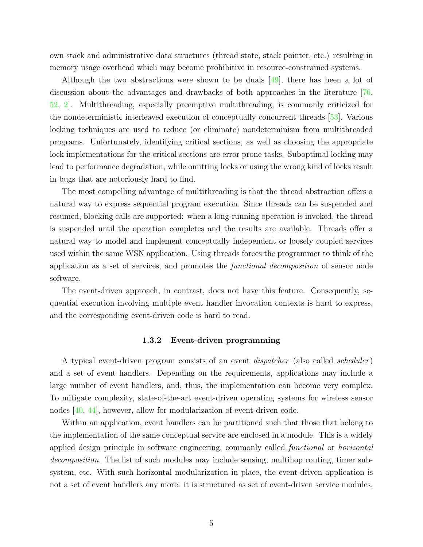own stack and administrative data structures (thread state, stack pointer, etc.) resulting in memory usage overhead which may become prohibitive in resource-constrained systems.

Although the two abstractions were shown to be duals  $[49]$ , there has been a lot of discussion about the advantages and drawbacks of both approaches in the literature [\[76,](#page-142-5) [52,](#page-141-3) [2\]](#page-137-2). Multithreading, especially preemptive multithreading, is commonly criticized for the nondeterministic interleaved execution of conceptually concurrent threads [\[53\]](#page-141-4). Various locking techniques are used to reduce (or eliminate) nondeterminism from multithreaded programs. Unfortunately, identifying critical sections, as well as choosing the appropriate lock implementations for the critical sections are error prone tasks. Suboptimal locking may lead to performance degradation, while omitting locks or using the wrong kind of locks result in bugs that are notoriously hard to find.

The most compelling advantage of multithreading is that the thread abstraction offers a natural way to express sequential program execution. Since threads can be suspended and resumed, blocking calls are supported: when a long-running operation is invoked, the thread is suspended until the operation completes and the results are available. Threads offer a natural way to model and implement conceptually independent or loosely coupled services used within the same WSN application. Using threads forces the programmer to think of the application as a set of services, and promotes the functional decomposition of sensor node software.

The event-driven approach, in contrast, does not have this feature. Consequently, sequential execution involving multiple event handler invocation contexts is hard to express, and the corresponding event-driven code is hard to read.

#### 1.3.2 Event-driven programming

<span id="page-14-0"></span>A typical event-driven program consists of an event *dispatcher* (also called *scheduler*) and a set of event handlers. Depending on the requirements, applications may include a large number of event handlers, and, thus, the implementation can become very complex. To mitigate complexity, state-of-the-art event-driven operating systems for wireless sensor nodes [\[40,](#page-140-8) [44\]](#page-140-3), however, allow for modularization of event-driven code.

Within an application, event handlers can be partitioned such that those that belong to the implementation of the same conceptual service are enclosed in a module. This is a widely applied design principle in software engineering, commonly called functional or horizontal decomposition. The list of such modules may include sensing, multihop routing, timer subsystem, etc. With such horizontal modularization in place, the event-driven application is not a set of event handlers any more: it is structured as set of event-driven service modules,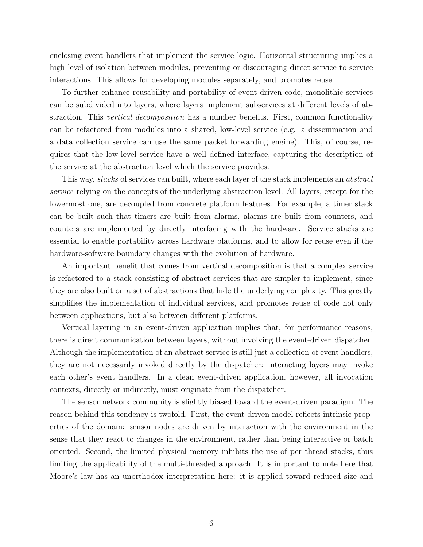enclosing event handlers that implement the service logic. Horizontal structuring implies a high level of isolation between modules, preventing or discouraging direct service to service interactions. This allows for developing modules separately, and promotes reuse.

To further enhance reusability and portability of event-driven code, monolithic services can be subdivided into layers, where layers implement subservices at different levels of abstraction. This *vertical decomposition* has a number benefits. First, common functionality can be refactored from modules into a shared, low-level service (e.g. a dissemination and a data collection service can use the same packet forwarding engine). This, of course, requires that the low-level service have a well defined interface, capturing the description of the service at the abstraction level which the service provides.

This way, *stacks* of services can built, where each layer of the stack implements an *abstract* service relying on the concepts of the underlying abstraction level. All layers, except for the lowermost one, are decoupled from concrete platform features. For example, a timer stack can be built such that timers are built from alarms, alarms are built from counters, and counters are implemented by directly interfacing with the hardware. Service stacks are essential to enable portability across hardware platforms, and to allow for reuse even if the hardware-software boundary changes with the evolution of hardware.

An important benefit that comes from vertical decomposition is that a complex service is refactored to a stack consisting of abstract services that are simpler to implement, since they are also built on a set of abstractions that hide the underlying complexity. This greatly simplifies the implementation of individual services, and promotes reuse of code not only between applications, but also between different platforms.

Vertical layering in an event-driven application implies that, for performance reasons, there is direct communication between layers, without involving the event-driven dispatcher. Although the implementation of an abstract service is still just a collection of event handlers, they are not necessarily invoked directly by the dispatcher: interacting layers may invoke each other's event handlers. In a clean event-driven application, however, all invocation contexts, directly or indirectly, must originate from the dispatcher.

The sensor network community is slightly biased toward the event-driven paradigm. The reason behind this tendency is twofold. First, the event-driven model reflects intrinsic properties of the domain: sensor nodes are driven by interaction with the environment in the sense that they react to changes in the environment, rather than being interactive or batch oriented. Second, the limited physical memory inhibits the use of per thread stacks, thus limiting the applicability of the multi-threaded approach. It is important to note here that Moore's law has an unorthodox interpretation here: it is applied toward reduced size and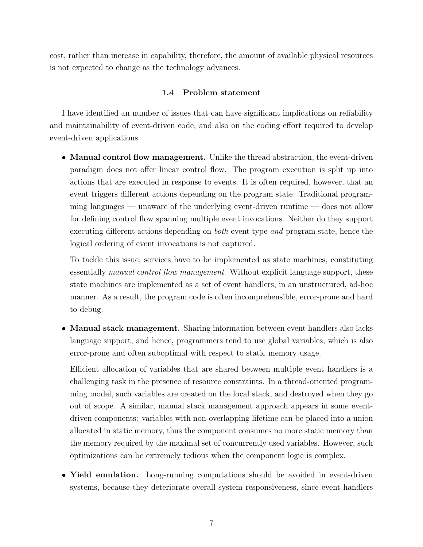cost, rather than increase in capability, therefore, the amount of available physical resources is not expected to change as the technology advances.

# 1.4 Problem statement

<span id="page-16-0"></span>I have identified an number of issues that can have significant implications on reliability and maintainability of event-driven code, and also on the coding effort required to develop event-driven applications.

• Manual control flow management. Unlike the thread abstraction, the event-driven paradigm does not offer linear control flow. The program execution is split up into actions that are executed in response to events. It is often required, however, that an event triggers different actions depending on the program state. Traditional programming languages — unaware of the underlying event-driven runtime — does not allow for defining control flow spanning multiple event invocations. Neither do they support executing different actions depending on both event type and program state, hence the logical ordering of event invocations is not captured.

To tackle this issue, services have to be implemented as state machines, constituting essentially manual control flow management. Without explicit language support, these state machines are implemented as a set of event handlers, in an unstructured, ad-hoc manner. As a result, the program code is often incomprehensible, error-prone and hard to debug.

• Manual stack management. Sharing information between event handlers also lacks language support, and hence, programmers tend to use global variables, which is also error-prone and often suboptimal with respect to static memory usage.

Efficient allocation of variables that are shared between multiple event handlers is a challenging task in the presence of resource constraints. In a thread-oriented programming model, such variables are created on the local stack, and destroyed when they go out of scope. A similar, manual stack management approach appears in some eventdriven components: variables with non-overlapping lifetime can be placed into a union allocated in static memory, thus the component consumes no more static memory than the memory required by the maximal set of concurrently used variables. However, such optimizations can be extremely tedious when the component logic is complex.

• Yield emulation. Long-running computations should be avoided in event-driven systems, because they deteriorate overall system responsiveness, since event handlers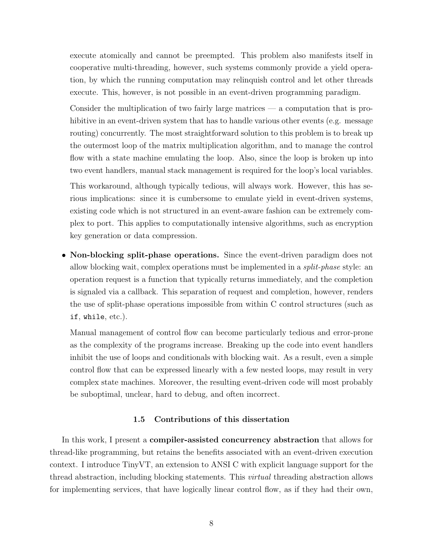execute atomically and cannot be preempted. This problem also manifests itself in cooperative multi-threading, however, such systems commonly provide a yield operation, by which the running computation may relinquish control and let other threads execute. This, however, is not possible in an event-driven programming paradigm.

Consider the multiplication of two fairly large matrices  $-$  a computation that is prohibitive in an event-driven system that has to handle various other events (e.g. message routing) concurrently. The most straightforward solution to this problem is to break up the outermost loop of the matrix multiplication algorithm, and to manage the control flow with a state machine emulating the loop. Also, since the loop is broken up into two event handlers, manual stack management is required for the loop's local variables.

This workaround, although typically tedious, will always work. However, this has serious implications: since it is cumbersome to emulate yield in event-driven systems, existing code which is not structured in an event-aware fashion can be extremely complex to port. This applies to computationally intensive algorithms, such as encryption key generation or data compression.

• Non-blocking split-phase operations. Since the event-driven paradigm does not allow blocking wait, complex operations must be implemented in a split-phase style: an operation request is a function that typically returns immediately, and the completion is signaled via a callback. This separation of request and completion, however, renders the use of split-phase operations impossible from within C control structures (such as if, while, etc.).

Manual management of control flow can become particularly tedious and error-prone as the complexity of the programs increase. Breaking up the code into event handlers inhibit the use of loops and conditionals with blocking wait. As a result, even a simple control flow that can be expressed linearly with a few nested loops, may result in very complex state machines. Moreover, the resulting event-driven code will most probably be suboptimal, unclear, hard to debug, and often incorrect.

# 1.5 Contributions of this dissertation

<span id="page-17-0"></span>In this work, I present a **compiler-assisted concurrency abstraction** that allows for thread-like programming, but retains the benefits associated with an event-driven execution context. I introduce TinyVT, an extension to ANSI C with explicit language support for the thread abstraction, including blocking statements. This virtual threading abstraction allows for implementing services, that have logically linear control flow, as if they had their own,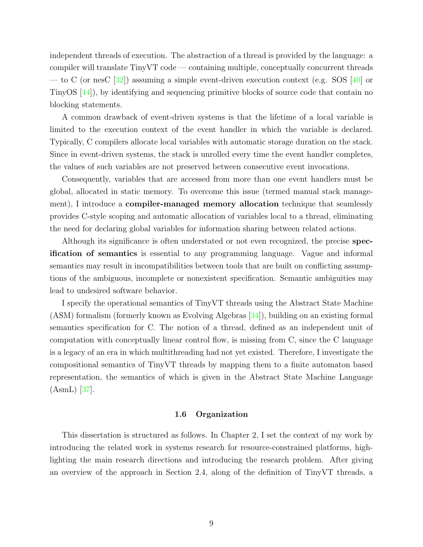independent threads of execution. The abstraction of a thread is provided by the language: a compiler will translate TinyVT code — containing multiple, conceptually concurrent threads — to C (or nesC  $[32]$ ) assuming a simple event-driven execution context (e.g. SOS  $[40]$  or TinyOS [\[44\]](#page-140-3)), by identifying and sequencing primitive blocks of source code that contain no blocking statements.

A common drawback of event-driven systems is that the lifetime of a local variable is limited to the execution context of the event handler in which the variable is declared. Typically, C compilers allocate local variables with automatic storage duration on the stack. Since in event-driven systems, the stack is unrolled every time the event handler completes, the values of such variables are not preserved between consecutive event invocations.

Consequently, variables that are accessed from more than one event handlers must be global, allocated in static memory. To overcome this issue (termed manual stack management), I introduce a compiler-managed memory allocation technique that seamlessly provides C-style scoping and automatic allocation of variables local to a thread, eliminating the need for declaring global variables for information sharing between related actions.

Although its significance is often understated or not even recognized, the precise specification of semantics is essential to any programming language. Vague and informal semantics may result in incompatibilities between tools that are built on conflicting assumptions of the ambiguous, incomplete or nonexistent specification. Semantic ambiguities may lead to undesired software behavior.

I specify the operational semantics of TinyVT threads using the Abstract State Machine (ASM) formalism (formerly known as Evolving Algebras [\[34\]](#page-139-4)), building on an existing formal semantics specification for C. The notion of a thread, defined as an independent unit of computation with conceptually linear control flow, is missing from C, since the C language is a legacy of an era in which multithreading had not yet existed. Therefore, I investigate the compositional semantics of TinyVT threads by mapping them to a finite automaton based representation, the semantics of which is given in the Abstract State Machine Language (AsmL) [\[37\]](#page-139-5).

### 1.6 Organization

<span id="page-18-0"></span>This dissertation is structured as follows. In Chapter [2,](#page-20-0) I set the context of my work by introducing the related work in systems research for resource-constrained platforms, highlighting the main research directions and introducing the research problem. After giving an overview of the approach in Section [2.4,](#page-32-1) along of the definition of TinyVT threads, a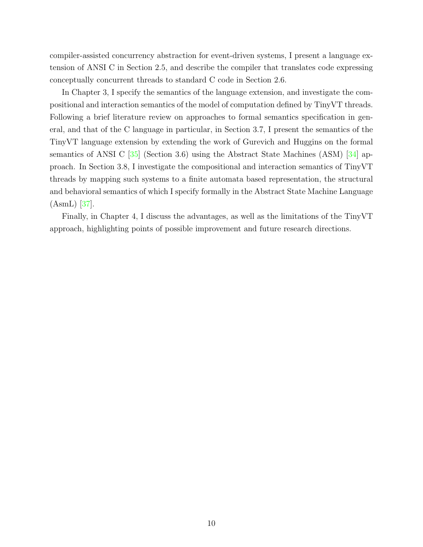compiler-assisted concurrency abstraction for event-driven systems, I present a language extension of ANSI C in Section [2.5,](#page-36-0) and describe the compiler that translates code expressing conceptually concurrent threads to standard C code in Section [2.6.](#page-41-0)

In Chapter [3,](#page-83-0) I specify the semantics of the language extension, and investigate the compositional and interaction semantics of the model of computation defined by TinyVT threads. Following a brief literature review on approaches to formal semantics specification in general, and that of the C language in particular, in Section [3.7,](#page-105-0) I present the semantics of the TinyVT language extension by extending the work of Gurevich and Huggins on the formal semantics of ANSI C  $|35|$  (Section [3.6\)](#page-99-0) using the Abstract State Machines (ASM)  $|34|$  approach. In Section [3.8,](#page-108-0) I investigate the compositional and interaction semantics of TinyVT threads by mapping such systems to a finite automata based representation, the structural and behavioral semantics of which I specify formally in the Abstract State Machine Language (AsmL) [\[37\]](#page-139-5).

Finally, in Chapter [4,](#page-125-0) I discuss the advantages, as well as the limitations of the TinyVT approach, highlighting points of possible improvement and future research directions.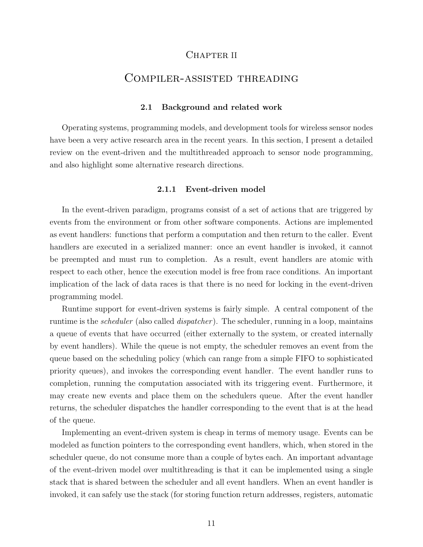# CHAPTER II

# Compiler-assisted threading

### 2.1 Background and related work

<span id="page-20-1"></span><span id="page-20-0"></span>Operating systems, programming models, and development tools for wireless sensor nodes have been a very active research area in the recent years. In this section, I present a detailed review on the event-driven and the multithreaded approach to sensor node programming, and also highlight some alternative research directions.

# 2.1.1 Event-driven model

<span id="page-20-2"></span>In the event-driven paradigm, programs consist of a set of actions that are triggered by events from the environment or from other software components. Actions are implemented as event handlers: functions that perform a computation and then return to the caller. Event handlers are executed in a serialized manner: once an event handler is invoked, it cannot be preempted and must run to completion. As a result, event handlers are atomic with respect to each other, hence the execution model is free from race conditions. An important implication of the lack of data races is that there is no need for locking in the event-driven programming model.

Runtime support for event-driven systems is fairly simple. A central component of the runtime is the *scheduler* (also called *dispatcher*). The scheduler, running in a loop, maintains a queue of events that have occurred (either externally to the system, or created internally by event handlers). While the queue is not empty, the scheduler removes an event from the queue based on the scheduling policy (which can range from a simple FIFO to sophisticated priority queues), and invokes the corresponding event handler. The event handler runs to completion, running the computation associated with its triggering event. Furthermore, it may create new events and place them on the schedulers queue. After the event handler returns, the scheduler dispatches the handler corresponding to the event that is at the head of the queue.

Implementing an event-driven system is cheap in terms of memory usage. Events can be modeled as function pointers to the corresponding event handlers, which, when stored in the scheduler queue, do not consume more than a couple of bytes each. An important advantage of the event-driven model over multithreading is that it can be implemented using a single stack that is shared between the scheduler and all event handlers. When an event handler is invoked, it can safely use the stack (for storing function return addresses, registers, automatic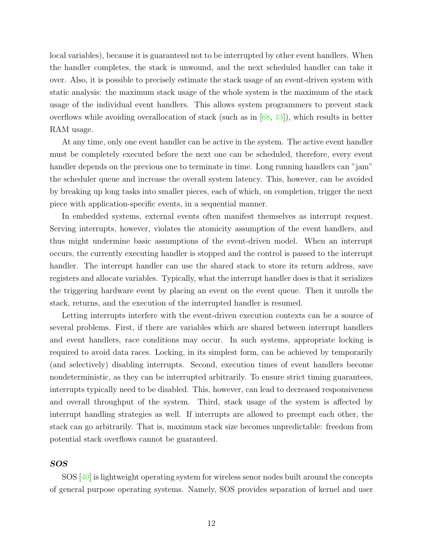local variables), because it is guaranteed not to be interrupted by other event handlers. When the handler completes, the stack is unwound, and the next scheduled handler can take it over. Also, it is possible to precisely estimate the stack usage of an event-driven system with static analysis: the maximum stack usage of the whole system is the maximum of the stack usage of the individual event handlers. This allows system programmers to prevent stack overflows while avoiding overallocation of stack (such as in  $[68, 13]$  $[68, 13]$  $[68, 13]$ ), which results in better RAM usage.

At any time, only one event handler can be active in the system. The active event handler must be completely executed before the next one can be scheduled, therefore, every event handler depends on the previous one to terminate in time. Long running handlers can "jam" the scheduler queue and increase the overall system latency. This, however, can be avoided by breaking up long tasks into smaller pieces, each of which, on completion, trigger the next piece with application-specific events, in a sequential manner.

In embedded systems, external events often manifest themselves as interrupt request. Serving interrupts, however, violates the atomicity assumption of the event handlers, and thus might undermine basic assumptions of the event-driven model. When an interrupt occurs, the currently executing handler is stopped and the control is passed to the interrupt handler. The interrupt handler can use the shared stack to store its return address, save registers and allocate variables. Typically, what the interrupt handler does is that it serializes the triggering hardware event by placing an event on the event queue. Then it unrolls the stack, returns, and the execution of the interrupted handler is resumed.

Letting interrupts interfere with the event-driven execution contexts can be a source of several problems. First, if there are variables which are shared between interrupt handlers and event handlers, race conditions may occur. In such systems, appropriate locking is required to avoid data races. Locking, in its simplest form, can be achieved by temporarily (and selectively) disabling interrupts. Second, execution times of event handlers become nondeterministic, as they can be interrupted arbitrarily. To ensure strict timing guarantees, interrupts typically need to be disabled. This, however, can lead to decreased responsiveness and overall throughput of the system. Third, stack usage of the system is affected by interrupt handling strategies as well. If interrupts are allowed to preempt each other, the stack can go arbitrarily. That is, maximum stack size becomes unpredictable: freedom from potential stack overflows cannot be guaranteed.

# SOS

SOS [\[40\]](#page-140-8) is lightweight operating system for wireless senor nodes built around the concepts of general purpose operating systems. Namely, SOS provides separation of kernel and user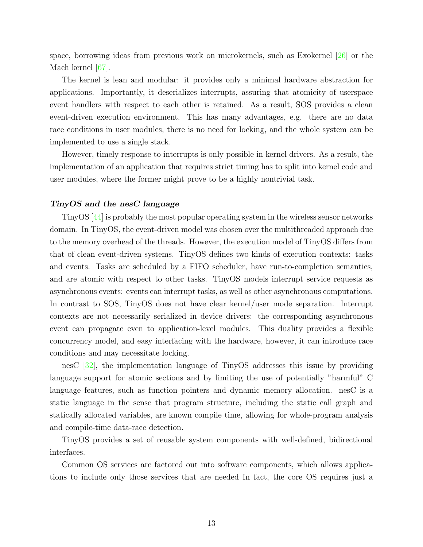space, borrowing ideas from previous work on microkernels, such as Exokernel  $|26|$  or the Mach kernel [\[67\]](#page-142-7).

The kernel is lean and modular: it provides only a minimal hardware abstraction for applications. Importantly, it deserializes interrupts, assuring that atomicity of userspace event handlers with respect to each other is retained. As a result, SOS provides a clean event-driven execution environment. This has many advantages, e.g. there are no data race conditions in user modules, there is no need for locking, and the whole system can be implemented to use a single stack.

However, timely response to interrupts is only possible in kernel drivers. As a result, the implementation of an application that requires strict timing has to split into kernel code and user modules, where the former might prove to be a highly nontrivial task.

## TinyOS and the nesC language

TinyOS [\[44\]](#page-140-3) is probably the most popular operating system in the wireless sensor networks domain. In TinyOS, the event-driven model was chosen over the multithreaded approach due to the memory overhead of the threads. However, the execution model of TinyOS differs from that of clean event-driven systems. TinyOS defines two kinds of execution contexts: tasks and events. Tasks are scheduled by a FIFO scheduler, have run-to-completion semantics, and are atomic with respect to other tasks. TinyOS models interrupt service requests as asynchronous events: events can interrupt tasks, as well as other asynchronous computations. In contrast to SOS, TinyOS does not have clear kernel/user mode separation. Interrupt contexts are not necessarily serialized in device drivers: the corresponding asynchronous event can propagate even to application-level modules. This duality provides a flexible concurrency model, and easy interfacing with the hardware, however, it can introduce race conditions and may necessitate locking.

nesC [\[32\]](#page-139-1), the implementation language of TinyOS addresses this issue by providing language support for atomic sections and by limiting the use of potentially "harmful" C language features, such as function pointers and dynamic memory allocation. nesC is a static language in the sense that program structure, including the static call graph and statically allocated variables, are known compile time, allowing for whole-program analysis and compile-time data-race detection.

TinyOS provides a set of reusable system components with well-defined, bidirectional interfaces.

Common OS services are factored out into software components, which allows applications to include only those services that are needed In fact, the core OS requires just a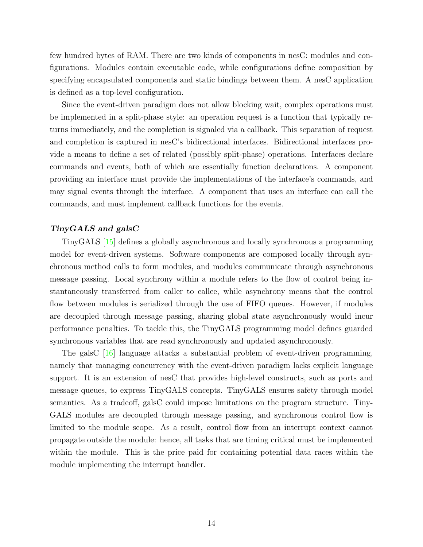few hundred bytes of RAM. There are two kinds of components in nesC: modules and configurations. Modules contain executable code, while configurations define composition by specifying encapsulated components and static bindings between them. A nesC application is defined as a top-level configuration.

Since the event-driven paradigm does not allow blocking wait, complex operations must be implemented in a split-phase style: an operation request is a function that typically returns immediately, and the completion is signaled via a callback. This separation of request and completion is captured in nesC's bidirectional interfaces. Bidirectional interfaces provide a means to define a set of related (possibly split-phase) operations. Interfaces declare commands and events, both of which are essentially function declarations. A component providing an interface must provide the implementations of the interface's commands, and may signal events through the interface. A component that uses an interface can call the commands, and must implement callback functions for the events.

# TinyGALS and galsC

TinyGALS [\[15\]](#page-138-3) defines a globally asynchronous and locally synchronous a programming model for event-driven systems. Software components are composed locally through synchronous method calls to form modules, and modules communicate through asynchronous message passing. Local synchrony within a module refers to the flow of control being instantaneously transferred from caller to callee, while asynchrony means that the control flow between modules is serialized through the use of FIFO queues. However, if modules are decoupled through message passing, sharing global state asynchronously would incur performance penalties. To tackle this, the TinyGALS programming model defines guarded synchronous variables that are read synchronously and updated asynchronously.

The galsC [\[16\]](#page-138-4) language attacks a substantial problem of event-driven programming, namely that managing concurrency with the event-driven paradigm lacks explicit language support. It is an extension of nesC that provides high-level constructs, such as ports and message queues, to express TinyGALS concepts. TinyGALS ensures safety through model semantics. As a tradeoff, galsC could impose limitations on the program structure. Tiny-GALS modules are decoupled through message passing, and synchronous control flow is limited to the module scope. As a result, control flow from an interrupt context cannot propagate outside the module: hence, all tasks that are timing critical must be implemented within the module. This is the price paid for containing potential data races within the module implementing the interrupt handler.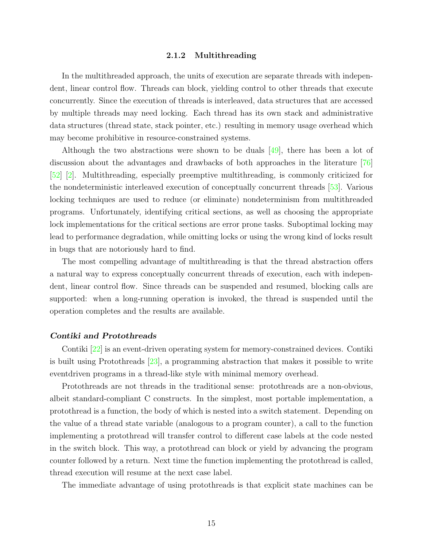#### 2.1.2 Multithreading

<span id="page-24-0"></span>In the multithreaded approach, the units of execution are separate threads with independent, linear control flow. Threads can block, yielding control to other threads that execute concurrently. Since the execution of threads is interleaved, data structures that are accessed by multiple threads may need locking. Each thread has its own stack and administrative data structures (thread state, stack pointer, etc.) resulting in memory usage overhead which may become prohibitive in resource-constrained systems.

Although the two abstractions were shown to be duals  $\vert 49 \vert$ , there has been a lot of discussion about the advantages and drawbacks of both approaches in the literature [\[76\]](#page-142-5) [\[52\]](#page-141-3) [\[2\]](#page-137-2). Multithreading, especially preemptive multithreading, is commonly criticized for the nondeterministic interleaved execution of conceptually concurrent threads [\[53\]](#page-141-4). Various locking techniques are used to reduce (or eliminate) nondeterminism from multithreaded programs. Unfortunately, identifying critical sections, as well as choosing the appropriate lock implementations for the critical sections are error prone tasks. Suboptimal locking may lead to performance degradation, while omitting locks or using the wrong kind of locks result in bugs that are notoriously hard to find.

The most compelling advantage of multithreading is that the thread abstraction offers a natural way to express conceptually concurrent threads of execution, each with independent, linear control flow. Since threads can be suspended and resumed, blocking calls are supported: when a long-running operation is invoked, the thread is suspended until the operation completes and the results are available.

## Contiki and Protothreads

Contiki [\[22\]](#page-138-5) is an event-driven operating system for memory-constrained devices. Contiki is built using Protothreads [\[23\]](#page-138-6), a programming abstraction that makes it possible to write eventdriven programs in a thread-like style with minimal memory overhead.

Protothreads are not threads in the traditional sense: protothreads are a non-obvious, albeit standard-compliant C constructs. In the simplest, most portable implementation, a protothread is a function, the body of which is nested into a switch statement. Depending on the value of a thread state variable (analogous to a program counter), a call to the function implementing a protothread will transfer control to different case labels at the code nested in the switch block. This way, a protothread can block or yield by advancing the program counter followed by a return. Next time the function implementing the protothread is called, thread execution will resume at the next case label.

The immediate advantage of using protothreads is that explicit state machines can be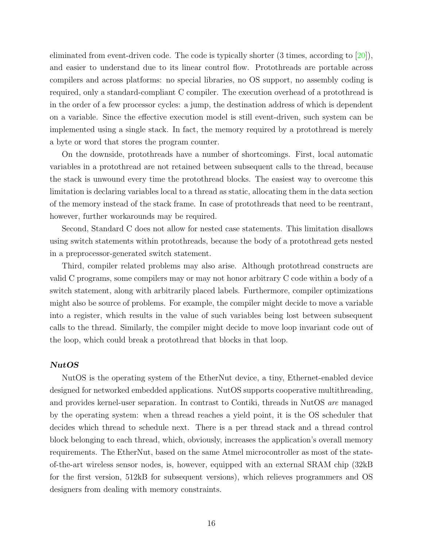eliminated from event-driven code. The code is typically shorter  $(3 \text{ times}, \text{according to } |20|)$ , and easier to understand due to its linear control flow. Protothreads are portable across compilers and across platforms: no special libraries, no OS support, no assembly coding is required, only a standard-compliant C compiler. The execution overhead of a protothread is in the order of a few processor cycles: a jump, the destination address of which is dependent on a variable. Since the effective execution model is still event-driven, such system can be implemented using a single stack. In fact, the memory required by a protothread is merely a byte or word that stores the program counter.

On the downside, protothreads have a number of shortcomings. First, local automatic variables in a protothread are not retained between subsequent calls to the thread, because the stack is unwound every time the protothread blocks. The easiest way to overcome this limitation is declaring variables local to a thread as static, allocating them in the data section of the memory instead of the stack frame. In case of protothreads that need to be reentrant, however, further workarounds may be required.

Second, Standard C does not allow for nested case statements. This limitation disallows using switch statements within protothreads, because the body of a protothread gets nested in a preprocessor-generated switch statement.

Third, compiler related problems may also arise. Although protothread constructs are valid C programs, some compilers may or may not honor arbitrary C code within a body of a switch statement, along with arbitrarily placed labels. Furthermore, compiler optimizations might also be source of problems. For example, the compiler might decide to move a variable into a register, which results in the value of such variables being lost between subsequent calls to the thread. Similarly, the compiler might decide to move loop invariant code out of the loop, which could break a protothread that blocks in that loop.

# NutOS

NutOS is the operating system of the EtherNut device, a tiny, Ethernet-enabled device designed for networked embedded applications. NutOS supports cooperative multithreading, and provides kernel-user separation. In contrast to Contiki, threads in NutOS are managed by the operating system: when a thread reaches a yield point, it is the OS scheduler that decides which thread to schedule next. There is a per thread stack and a thread control block belonging to each thread, which, obviously, increases the application's overall memory requirements. The EtherNut, based on the same Atmel microcontroller as most of the stateof-the-art wireless sensor nodes, is, however, equipped with an external SRAM chip (32kB for the first version, 512kB for subsequent versions), which relieves programmers and OS designers from dealing with memory constraints.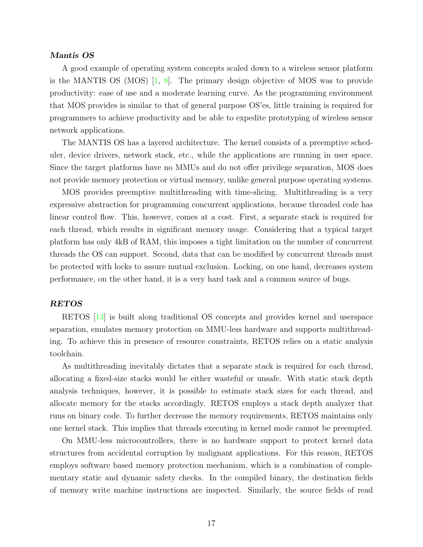## Mantis OS

A good example of operating system concepts scaled down to a wireless sensor platform is the MANTIS OS  $(MOS)$  [\[1,](#page-137-3) [8\]](#page-137-1). The primary design objective of MOS was to provide productivity: ease of use and a moderate learning curve. As the programming environment that MOS provides is similar to that of general purpose OS'es, little training is required for programmers to achieve productivity and be able to expedite prototyping of wireless sensor network applications.

The MANTIS OS has a layered architecture. The kernel consists of a preemptive scheduler, device drivers, network stack, etc., while the applications are running in user space. Since the target platforms have no MMUs and do not offer privilege separation, MOS does not provide memory protection or virtual memory, unlike general purpose operating systems.

MOS provides preemptive multithreading with time-slicing. Multithreading is a very expressive abstraction for programming concurrent applications, because threaded code has linear control flow. This, however, comes at a cost. First, a separate stack is required for each thread, which results in significant memory usage. Considering that a typical target platform has only 4kB of RAM, this imposes a tight limitation on the number of concurrent threads the OS can support. Second, data that can be modified by concurrent threads must be protected with locks to assure mutual exclusion. Locking, on one hand, decreases system performance, on the other hand, it is a very hard task and a common source of bugs.

# RETOS

RETOS [\[13\]](#page-138-1) is built along traditional OS concepts and provides kernel and userspace separation, emulates memory protection on MMU-less hardware and supports multithreading. To achieve this in presence of resource constraints, RETOS relies on a static analysis toolchain.

As multithreading inevitably dictates that a separate stack is required for each thread, allocating a fixed-size stacks would be either wasteful or unsafe. With static stack depth analysis techniques, however, it is possible to estimate stack sizes for each thread, and allocate memory for the stacks accordingly. RETOS employs a stack depth analyzer that runs on binary code. To further decrease the memory requirements, RETOS maintains only one kernel stack. This implies that threads executing in kernel mode cannot be preempted.

On MMU-less microcontrollers, there is no hardware support to protect kernel data structures from accidental corruption by malignant applications. For this reason, RETOS employs software based memory protection mechanism, which is a combination of complementary static and dynamic safety checks. In the compiled binary, the destination fields of memory write machine instructions are inspected. Similarly, the source fields of read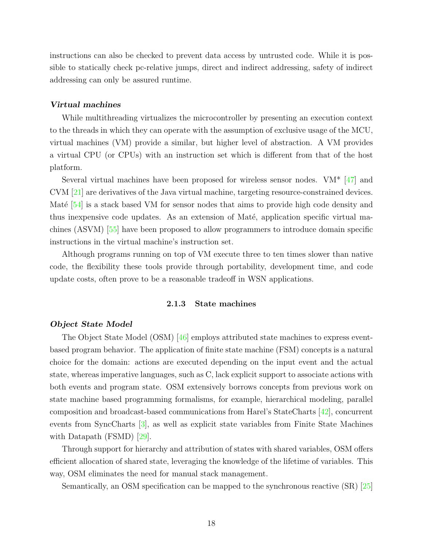instructions can also be checked to prevent data access by untrusted code. While it is possible to statically check pc-relative jumps, direct and indirect addressing, safety of indirect addressing can only be assured runtime.

#### Virtual machines

While multithreading virtualizes the microcontroller by presenting an execution context to the threads in which they can operate with the assumption of exclusive usage of the MCU, virtual machines (VM) provide a similar, but higher level of abstraction. A VM provides a virtual CPU (or CPUs) with an instruction set which is different from that of the host platform.

Several virtual machines have been proposed for wireless sensor nodes. VM\* [\[47\]](#page-140-5) and CVM [\[21\]](#page-138-7) are derivatives of the Java virtual machine, targeting resource-constrained devices. Maté  $[54]$  is a stack based VM for sensor nodes that aims to provide high code density and thus inexpensive code updates. As an extension of Maté, application specific virtual machines (ASVM) [\[55\]](#page-141-2) have been proposed to allow programmers to introduce domain specific instructions in the virtual machine's instruction set.

Although programs running on top of VM execute three to ten times slower than native code, the flexibility these tools provide through portability, development time, and code update costs, often prove to be a reasonable tradeoff in WSN applications.

### 2.1.3 State machines

#### <span id="page-27-0"></span>Object State Model

The Object State Model (OSM) [\[46\]](#page-140-4) employs attributed state machines to express eventbased program behavior. The application of finite state machine (FSM) concepts is a natural choice for the domain: actions are executed depending on the input event and the actual state, whereas imperative languages, such as C, lack explicit support to associate actions with both events and program state. OSM extensively borrows concepts from previous work on state machine based programming formalisms, for example, hierarchical modeling, parallel composition and broadcast-based communications from Harel's StateCharts [\[42\]](#page-140-9), concurrent events from SyncCharts [\[3\]](#page-137-4), as well as explicit state variables from Finite State Machines with Datapath (FSMD) [\[29\]](#page-139-8).

Through support for hierarchy and attribution of states with shared variables, OSM offers efficient allocation of shared state, leveraging the knowledge of the lifetime of variables. This way, OSM eliminates the need for manual stack management.

Semantically, an OSM specification can be mapped to the synchronous reactive (SR) [\[25\]](#page-139-9)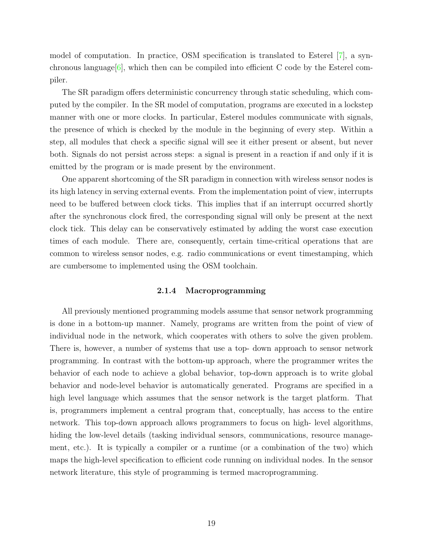model of computation. In practice, OSM specification is translated to Esterel [\[7\]](#page-137-5), a synchronous language  $[6]$ , which then can be compiled into efficient C code by the Esterel compiler.

The SR paradigm offers deterministic concurrency through static scheduling, which computed by the compiler. In the SR model of computation, programs are executed in a lockstep manner with one or more clocks. In particular, Esterel modules communicate with signals, the presence of which is checked by the module in the beginning of every step. Within a step, all modules that check a specific signal will see it either present or absent, but never both. Signals do not persist across steps: a signal is present in a reaction if and only if it is emitted by the program or is made present by the environment.

One apparent shortcoming of the SR paradigm in connection with wireless sensor nodes is its high latency in serving external events. From the implementation point of view, interrupts need to be buffered between clock ticks. This implies that if an interrupt occurred shortly after the synchronous clock fired, the corresponding signal will only be present at the next clock tick. This delay can be conservatively estimated by adding the worst case execution times of each module. There are, consequently, certain time-critical operations that are common to wireless sensor nodes, e.g. radio communications or event timestamping, which are cumbersome to implemented using the OSM toolchain.

### 2.1.4 Macroprogramming

<span id="page-28-0"></span>All previously mentioned programming models assume that sensor network programming is done in a bottom-up manner. Namely, programs are written from the point of view of individual node in the network, which cooperates with others to solve the given problem. There is, however, a number of systems that use a top- down approach to sensor network programming. In contrast with the bottom-up approach, where the programmer writes the behavior of each node to achieve a global behavior, top-down approach is to write global behavior and node-level behavior is automatically generated. Programs are specified in a high level language which assumes that the sensor network is the target platform. That is, programmers implement a central program that, conceptually, has access to the entire network. This top-down approach allows programmers to focus on high- level algorithms, hiding the low-level details (tasking individual sensors, communications, resource management, etc.). It is typically a compiler or a runtime (or a combination of the two) which maps the high-level specification to efficient code running on individual nodes. In the sensor network literature, this style of programming is termed macroprogramming.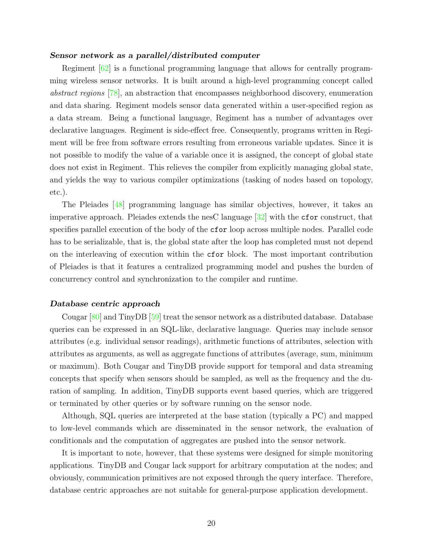#### Sensor network as a parallel/distributed computer

Regiment [\[62\]](#page-141-5) is a functional programming language that allows for centrally programming wireless sensor networks. It is built around a high-level programming concept called abstract regions [\[78\]](#page-143-1), an abstraction that encompasses neighborhood discovery, enumeration and data sharing. Regiment models sensor data generated within a user-specified region as a data stream. Being a functional language, Regiment has a number of advantages over declarative languages. Regiment is side-effect free. Consequently, programs written in Regiment will be free from software errors resulting from erroneous variable updates. Since it is not possible to modify the value of a variable once it is assigned, the concept of global state does not exist in Regiment. This relieves the compiler from explicitly managing global state, and yields the way to various compiler optimizations (tasking of nodes based on topology, etc.).

The Pleiades [\[48\]](#page-140-10) programming language has similar objectives, however, it takes an imperative approach. Pleiades extends the nesC language [\[32\]](#page-139-1) with the cfor construct, that specifies parallel execution of the body of the cfor loop across multiple nodes. Parallel code has to be serializable, that is, the global state after the loop has completed must not depend on the interleaving of execution within the cfor block. The most important contribution of Pleiades is that it features a centralized programming model and pushes the burden of concurrency control and synchronization to the compiler and runtime.

# Database centric approach

Cougar [\[80\]](#page-143-2) and TinyDB [\[59\]](#page-141-6) treat the sensor network as a distributed database. Database queries can be expressed in an SQL-like, declarative language. Queries may include sensor attributes (e.g. individual sensor readings), arithmetic functions of attributes, selection with attributes as arguments, as well as aggregate functions of attributes (average, sum, minimum or maximum). Both Cougar and TinyDB provide support for temporal and data streaming concepts that specify when sensors should be sampled, as well as the frequency and the duration of sampling. In addition, TinyDB supports event based queries, which are triggered or terminated by other queries or by software running on the sensor node.

Although, SQL queries are interpreted at the base station (typically a PC) and mapped to low-level commands which are disseminated in the sensor network, the evaluation of conditionals and the computation of aggregates are pushed into the sensor network.

It is important to note, however, that these systems were designed for simple monitoring applications. TinyDB and Cougar lack support for arbitrary computation at the nodes; and obviously, communication primitives are not exposed through the query interface. Therefore, database centric approaches are not suitable for general-purpose application development.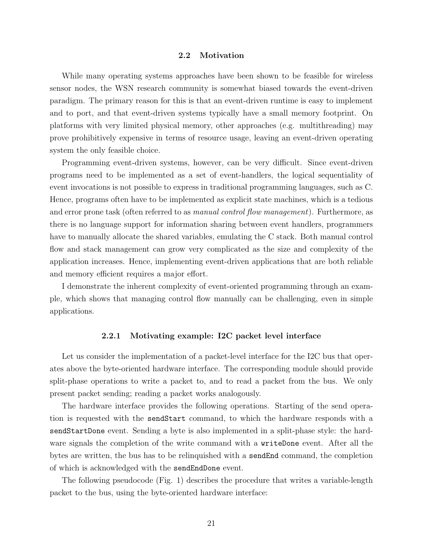### 2.2 Motivation

<span id="page-30-0"></span>While many operating systems approaches have been shown to be feasible for wireless sensor nodes, the WSN research community is somewhat biased towards the event-driven paradigm. The primary reason for this is that an event-driven runtime is easy to implement and to port, and that event-driven systems typically have a small memory footprint. On platforms with very limited physical memory, other approaches (e.g. multithreading) may prove prohibitively expensive in terms of resource usage, leaving an event-driven operating system the only feasible choice.

Programming event-driven systems, however, can be very difficult. Since event-driven programs need to be implemented as a set of event-handlers, the logical sequentiality of event invocations is not possible to express in traditional programming languages, such as C. Hence, programs often have to be implemented as explicit state machines, which is a tedious and error prone task (often referred to as manual control flow management). Furthermore, as there is no language support for information sharing between event handlers, programmers have to manually allocate the shared variables, emulating the C stack. Both manual control flow and stack management can grow very complicated as the size and complexity of the application increases. Hence, implementing event-driven applications that are both reliable and memory efficient requires a major effort.

I demonstrate the inherent complexity of event-oriented programming through an example, which shows that managing control flow manually can be challenging, even in simple applications.

# 2.2.1 Motivating example: I2C packet level interface

<span id="page-30-1"></span>Let us consider the implementation of a packet-level interface for the I2C bus that operates above the byte-oriented hardware interface. The corresponding module should provide split-phase operations to write a packet to, and to read a packet from the bus. We only present packet sending; reading a packet works analogously.

The hardware interface provides the following operations. Starting of the send operation is requested with the sendStart command, to which the hardware responds with a sendStartDone event. Sending a byte is also implemented in a split-phase style: the hardware signals the completion of the write command with a writeDone event. After all the bytes are written, the bus has to be relinquished with a sendEnd command, the completion of which is acknowledged with the sendEndDone event.

The following pseudocode (Fig. [1\)](#page-31-1) describes the procedure that writes a variable-length packet to the bus, using the byte-oriented hardware interface: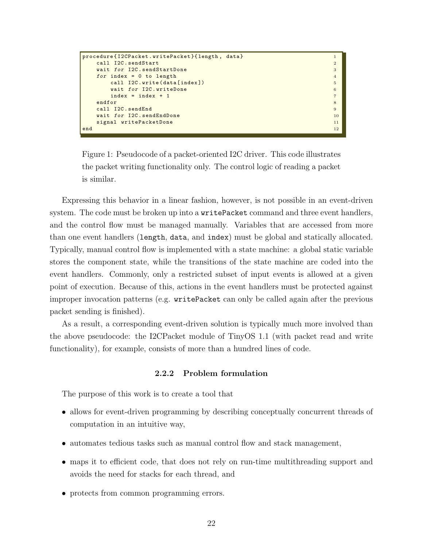```
procedure { I2CPacket . writePacket }{ length , data } 1
     call I2C . sendStart 2
     wait for I2C sendStartDone 3
     for index = 0 to length 4call I2C . write (data [index]) 5
          wait for I2C writeDone 6 and the set of the set of the set of the set of the set of the set of the set of the set of the set of the set of the set of the set of the set of the set of the set of the set of the set of the se
     index = index + 1<br>endfor x = max + 1endfor and \sim 8 \sim 8 \sim 8 \sim 8 \sim 8 \sim 8 \sim 8 \sim 8 \sim 8 \sim 8 \sim 8 \sim 8 \sim 8 \sim 8 \sim 8 \sim 8 \sim 8 \sim 8 \sim 8 \sim 8 \sim 8 \sim 8 \sim 8 \sim 8 \sim 8 \sim 8 \sim 8 \sim 8 \sim 8 \sim 8 call I2C . sendEnd 9
     wait for I2C.sendEndDone 10
     signal writePacketDone 11 and 12 and 12 and 12 and 12 and 12 and 12 and 12 and 12 and 12 and 12 and 12 and 12 and 12 and 12 and 12 and 12 and 12 and 12 and 12 and 12 and 12 and 12 and 12 and 12 and 12 and 12 and 12 and 12 
end the contract of the contract of the contract of the contract of the contract of the contract of the contract of the contract of the contract of the contract of the contract of the contract of the contract of the contra
```
<span id="page-31-1"></span>Figure 1: Pseudocode of a packet-oriented I2C driver. This code illustrates the packet writing functionality only. The control logic of reading a packet is similar.

Expressing this behavior in a linear fashion, however, is not possible in an event-driven system. The code must be broken up into a writePacket command and three event handlers, and the control flow must be managed manually. Variables that are accessed from more than one event handlers (length, data, and index) must be global and statically allocated. Typically, manual control flow is implemented with a state machine: a global static variable stores the component state, while the transitions of the state machine are coded into the event handlers. Commonly, only a restricted subset of input events is allowed at a given point of execution. Because of this, actions in the event handlers must be protected against improper invocation patterns (e.g. writePacket can only be called again after the previous packet sending is finished).

As a result, a corresponding event-driven solution is typically much more involved than the above pseudocode: the I2CPacket module of TinyOS 1.1 (with packet read and write functionality), for example, consists of more than a hundred lines of code.

# 2.2.2 Problem formulation

<span id="page-31-0"></span>The purpose of this work is to create a tool that

- allows for event-driven programming by describing conceptually concurrent threads of computation in an intuitive way,
- automates tedious tasks such as manual control flow and stack management,
- maps it to efficient code, that does not rely on run-time multithreading support and avoids the need for stacks for each thread, and
- protects from common programming errors.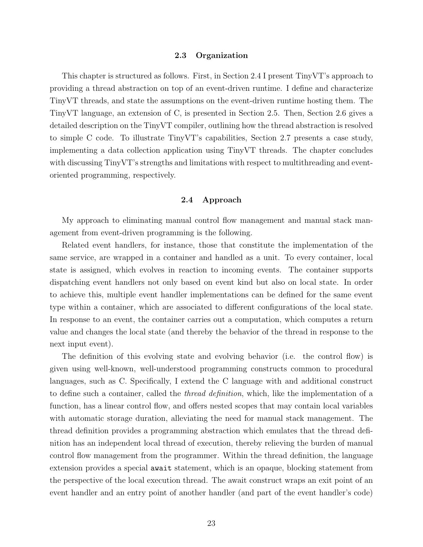### 2.3 Organization

<span id="page-32-0"></span>This chapter is structured as follows. First, in Section [2.4](#page-32-1) I present TinyVT's approach to providing a thread abstraction on top of an event-driven runtime. I define and characterize TinyVT threads, and state the assumptions on the event-driven runtime hosting them. The TinyVT language, an extension of C, is presented in Section [2.5.](#page-36-0) Then, Section [2.6](#page-41-0) gives a detailed description on the TinyVT compiler, outlining how the thread abstraction is resolved to simple C code. To illustrate TinyVT's capabilities, Section [2.7](#page-70-0) presents a case study, implementing a data collection application using TinyVT threads. The chapter concludes with discussing TinyVT's strengths and limitations with respect to multithreading and eventoriented programming, respectively.

### 2.4 Approach

<span id="page-32-1"></span>My approach to eliminating manual control flow management and manual stack management from event-driven programming is the following.

Related event handlers, for instance, those that constitute the implementation of the same service, are wrapped in a container and handled as a unit. To every container, local state is assigned, which evolves in reaction to incoming events. The container supports dispatching event handlers not only based on event kind but also on local state. In order to achieve this, multiple event handler implementations can be defined for the same event type within a container, which are associated to different configurations of the local state. In response to an event, the container carries out a computation, which computes a return value and changes the local state (and thereby the behavior of the thread in response to the next input event).

The definition of this evolving state and evolving behavior (i.e. the control flow) is given using well-known, well-understood programming constructs common to procedural languages, such as C. Specifically, I extend the C language with and additional construct to define such a container, called the thread definition, which, like the implementation of a function, has a linear control flow, and offers nested scopes that may contain local variables with automatic storage duration, alleviating the need for manual stack management. The thread definition provides a programming abstraction which emulates that the thread definition has an independent local thread of execution, thereby relieving the burden of manual control flow management from the programmer. Within the thread definition, the language extension provides a special await statement, which is an opaque, blocking statement from the perspective of the local execution thread. The await construct wraps an exit point of an event handler and an entry point of another handler (and part of the event handler's code)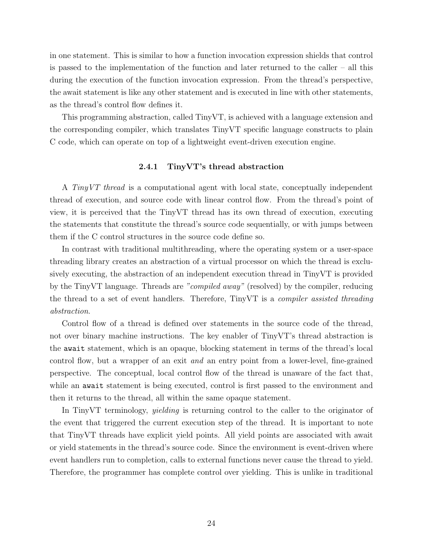in one statement. This is similar to how a function invocation expression shields that control is passed to the implementation of the function and later returned to the caller – all this during the execution of the function invocation expression. From the thread's perspective, the await statement is like any other statement and is executed in line with other statements, as the thread's control flow defines it.

This programming abstraction, called TinyVT, is achieved with a language extension and the corresponding compiler, which translates TinyVT specific language constructs to plain C code, which can operate on top of a lightweight event-driven execution engine.

### 2.4.1 TinyVT's thread abstraction

<span id="page-33-0"></span>A TinyVT thread is a computational agent with local state, conceptually independent thread of execution, and source code with linear control flow. From the thread's point of view, it is perceived that the TinyVT thread has its own thread of execution, executing the statements that constitute the thread's source code sequentially, or with jumps between them if the C control structures in the source code define so.

In contrast with traditional multithreading, where the operating system or a user-space threading library creates an abstraction of a virtual processor on which the thread is exclusively executing, the abstraction of an independent execution thread in TinyVT is provided by the TinyVT language. Threads are "compiled away" (resolved) by the compiler, reducing the thread to a set of event handlers. Therefore, TinyVT is a compiler assisted threading abstraction.

Control flow of a thread is defined over statements in the source code of the thread, not over binary machine instructions. The key enabler of TinyVT's thread abstraction is the await statement, which is an opaque, blocking statement in terms of the thread's local control flow, but a wrapper of an exit and an entry point from a lower-level, fine-grained perspective. The conceptual, local control flow of the thread is unaware of the fact that, while an await statement is being executed, control is first passed to the environment and then it returns to the thread, all within the same opaque statement.

In TinyVT terminology, *yielding* is returning control to the caller to the originator of the event that triggered the current execution step of the thread. It is important to note that TinyVT threads have explicit yield points. All yield points are associated with await or yield statements in the thread's source code. Since the environment is event-driven where event handlers run to completion, calls to external functions never cause the thread to yield. Therefore, the programmer has complete control over yielding. This is unlike in traditional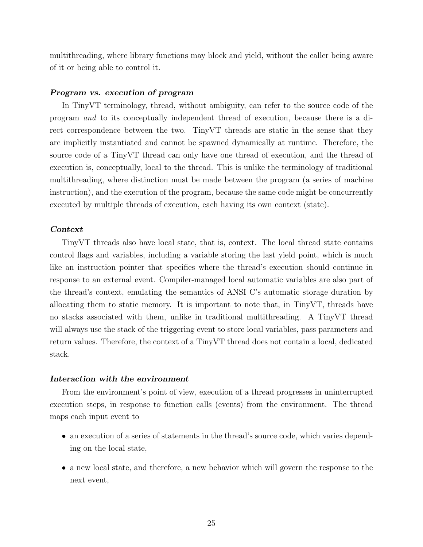multithreading, where library functions may block and yield, without the caller being aware of it or being able to control it.

#### Program vs. execution of program

In TinyVT terminology, thread, without ambiguity, can refer to the source code of the program and to its conceptually independent thread of execution, because there is a direct correspondence between the two. TinyVT threads are static in the sense that they are implicitly instantiated and cannot be spawned dynamically at runtime. Therefore, the source code of a TinyVT thread can only have one thread of execution, and the thread of execution is, conceptually, local to the thread. This is unlike the terminology of traditional multithreading, where distinction must be made between the program (a series of machine instruction), and the execution of the program, because the same code might be concurrently executed by multiple threads of execution, each having its own context (state).

## Context

TinyVT threads also have local state, that is, context. The local thread state contains control flags and variables, including a variable storing the last yield point, which is much like an instruction pointer that specifies where the thread's execution should continue in response to an external event. Compiler-managed local automatic variables are also part of the thread's context, emulating the semantics of ANSI C's automatic storage duration by allocating them to static memory. It is important to note that, in TinyVT, threads have no stacks associated with them, unlike in traditional multithreading. A TinyVT thread will always use the stack of the triggering event to store local variables, pass parameters and return values. Therefore, the context of a TinyVT thread does not contain a local, dedicated stack.

### Interaction with the environment

From the environment's point of view, execution of a thread progresses in uninterrupted execution steps, in response to function calls (events) from the environment. The thread maps each input event to

- an execution of a series of statements in the thread's source code, which varies depending on the local state,
- a new local state, and therefore, a new behavior which will govern the response to the next event,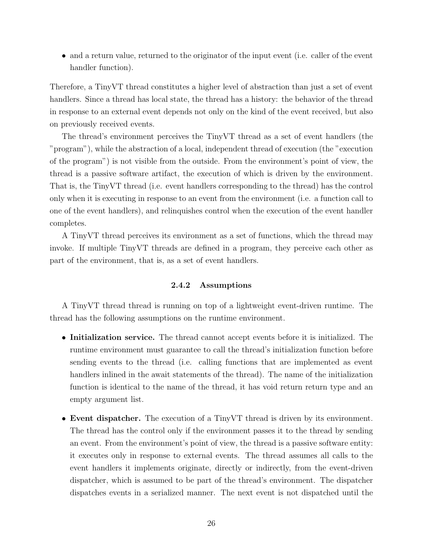• and a return value, returned to the originator of the input event (i.e. caller of the event handler function).

Therefore, a TinyVT thread constitutes a higher level of abstraction than just a set of event handlers. Since a thread has local state, the thread has a history: the behavior of the thread in response to an external event depends not only on the kind of the event received, but also on previously received events.

The thread's environment perceives the TinyVT thread as a set of event handlers (the "program"), while the abstraction of a local, independent thread of execution (the "execution of the program") is not visible from the outside. From the environment's point of view, the thread is a passive software artifact, the execution of which is driven by the environment. That is, the TinyVT thread (i.e. event handlers corresponding to the thread) has the control only when it is executing in response to an event from the environment (i.e. a function call to one of the event handlers), and relinquishes control when the execution of the event handler completes.

A TinyVT thread perceives its environment as a set of functions, which the thread may invoke. If multiple TinyVT threads are defined in a program, they perceive each other as part of the environment, that is, as a set of event handlers.

# 2.4.2 Assumptions

<span id="page-35-0"></span>A TinyVT thread thread is running on top of a lightweight event-driven runtime. The thread has the following assumptions on the runtime environment.

- Initialization service. The thread cannot accept events before it is initialized. The runtime environment must guarantee to call the thread's initialization function before sending events to the thread (i.e. calling functions that are implemented as event handlers inlined in the await statements of the thread). The name of the initialization function is identical to the name of the thread, it has void return return type and an empty argument list.
- Event dispatcher. The execution of a Tiny VT thread is driven by its environment. The thread has the control only if the environment passes it to the thread by sending an event. From the environment's point of view, the thread is a passive software entity: it executes only in response to external events. The thread assumes all calls to the event handlers it implements originate, directly or indirectly, from the event-driven dispatcher, which is assumed to be part of the thread's environment. The dispatcher dispatches events in a serialized manner. The next event is not dispatched until the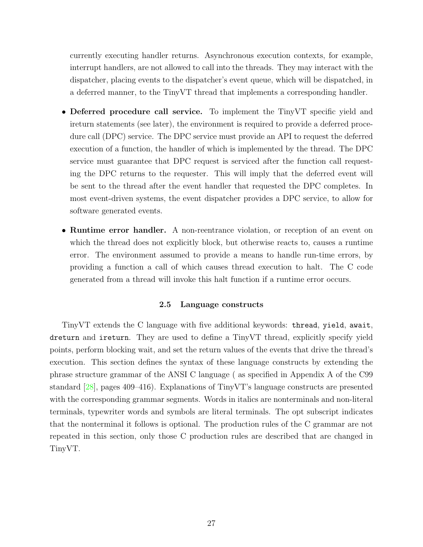currently executing handler returns. Asynchronous execution contexts, for example, interrupt handlers, are not allowed to call into the threads. They may interact with the dispatcher, placing events to the dispatcher's event queue, which will be dispatched, in a deferred manner, to the TinyVT thread that implements a corresponding handler.

- Deferred procedure call service. To implement the TinyVT specific yield and ireturn statements (see later), the environment is required to provide a deferred procedure call (DPC) service. The DPC service must provide an API to request the deferred execution of a function, the handler of which is implemented by the thread. The DPC service must guarantee that DPC request is serviced after the function call requesting the DPC returns to the requester. This will imply that the deferred event will be sent to the thread after the event handler that requested the DPC completes. In most event-driven systems, the event dispatcher provides a DPC service, to allow for software generated events.
- Runtime error handler. A non-reentrance violation, or reception of an event on which the thread does not explicitly block, but otherwise reacts to, causes a runtime error. The environment assumed to provide a means to handle run-time errors, by providing a function a call of which causes thread execution to halt. The C code generated from a thread will invoke this halt function if a runtime error occurs.

### 2.5 Language constructs

TinyVT extends the C language with five additional keywords: thread, yield, await, dreturn and ireturn. They are used to define a TinyVT thread, explicitly specify yield points, perform blocking wait, and set the return values of the events that drive the thread's execution. This section defines the syntax of these language constructs by extending the phrase structure grammar of the ANSI C language ( as specified in Appendix A of the C99 standard [\[28\]](#page-139-0), pages 409–416). Explanations of TinyVT's language constructs are presented with the corresponding grammar segments. Words in italics are nonterminals and non-literal terminals, typewriter words and symbols are literal terminals. The opt subscript indicates that the nonterminal it follows is optional. The production rules of the C grammar are not repeated in this section, only those C production rules are described that are changed in TinyVT.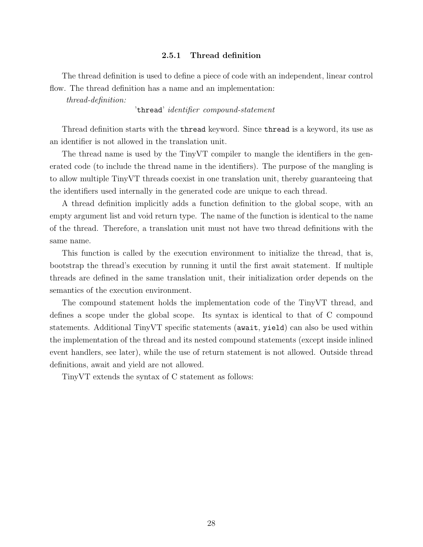### 2.5.1 Thread definition

The thread definition is used to define a piece of code with an independent, linear control flow. The thread definition has a name and an implementation:

thread-definition:

'thread' identifier compound-statement

Thread definition starts with the thread keyword. Since thread is a keyword, its use as an identifier is not allowed in the translation unit.

The thread name is used by the TinyVT compiler to mangle the identifiers in the generated code (to include the thread name in the identifiers). The purpose of the mangling is to allow multiple TinyVT threads coexist in one translation unit, thereby guaranteeing that the identifiers used internally in the generated code are unique to each thread.

A thread definition implicitly adds a function definition to the global scope, with an empty argument list and void return type. The name of the function is identical to the name of the thread. Therefore, a translation unit must not have two thread definitions with the same name.

This function is called by the execution environment to initialize the thread, that is, bootstrap the thread's execution by running it until the first await statement. If multiple threads are defined in the same translation unit, their initialization order depends on the semantics of the execution environment.

The compound statement holds the implementation code of the TinyVT thread, and defines a scope under the global scope. Its syntax is identical to that of C compound statements. Additional TinyVT specific statements (await, yield) can also be used within the implementation of the thread and its nested compound statements (except inside inlined event handlers, see later), while the use of return statement is not allowed. Outside thread definitions, await and yield are not allowed.

TinyVT extends the syntax of C statement as follows: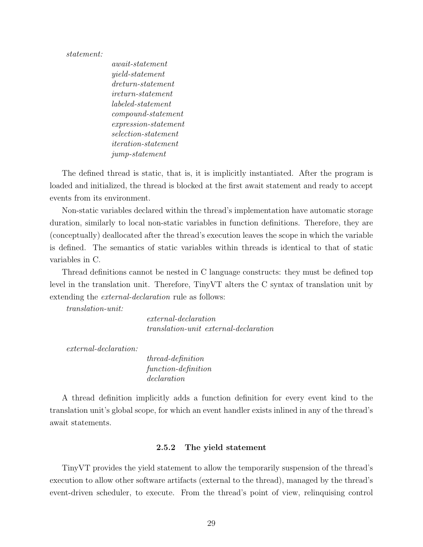# statement:

await-statement yield-statement dreturn-statement ireturn-statement labeled-statement compound-statement expression-statement selection-statement iteration-statement jump-statement

The defined thread is static, that is, it is implicitly instantiated. After the program is loaded and initialized, the thread is blocked at the first await statement and ready to accept events from its environment.

Non-static variables declared within the thread's implementation have automatic storage duration, similarly to local non-static variables in function definitions. Therefore, they are (conceptually) deallocated after the thread's execution leaves the scope in which the variable is defined. The semantics of static variables within threads is identical to that of static variables in C.

Thread definitions cannot be nested in C language constructs: they must be defined top level in the translation unit. Therefore, TinyVT alters the C syntax of translation unit by extending the *external-declaration* rule as follows:

translation-unit:

external-declaration translation-unit external-declaration

external-declaration:

thread-definition function-definition declaration

A thread definition implicitly adds a function definition for every event kind to the translation unit's global scope, for which an event handler exists inlined in any of the thread's await statements.

### 2.5.2 The yield statement

TinyVT provides the yield statement to allow the temporarily suspension of the thread's execution to allow other software artifacts (external to the thread), managed by the thread's event-driven scheduler, to execute. From the thread's point of view, relinquising control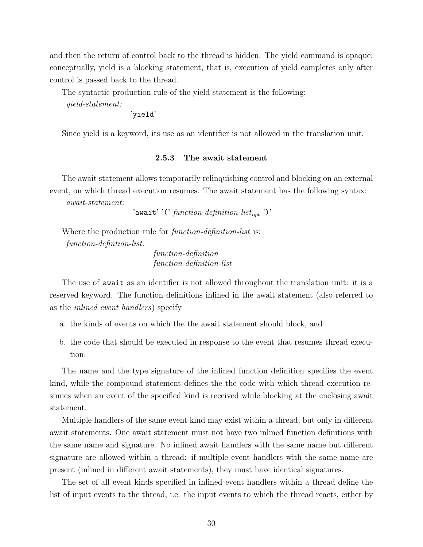and then the return of control back to the thread is hidden. The yield command is opaque: conceptually, yield is a blocking statement, that is, execution of yield completes only after control is passed back to the thread.

The syntactic production rule of the yield statement is the following:

yield-statement:

'yield'

Since yield is a keyword, its use as an identifier is not allowed in the translation unit.

### 2.5.3 The await statement

The await statement allows temporarily relinquishing control and blocking on an external event, on which thread execution resumes. The await statement has the following syntax:

await-statement:

```
'await' '(' function-definition-list<sub>ont</sub>')'
```
Where the production rule for *function-definition-list* is: function-defintion-list:

function-definition function-definition-list

The use of await as an identifier is not allowed throughout the translation unit: it is a reserved keyword. The function definitions inlined in the await statement (also referred to as the inlined event handlers) specify

- a. the kinds of events on which the the await statement should block, and
- b. the code that should be executed in response to the event that resumes thread execution.

The name and the type signature of the inlined function definition specifies the event kind, while the compound statement defines the the code with which thread execution resumes when an event of the specified kind is received while blocking at the enclosing await statement.

Multiple handlers of the same event kind may exist within a thread, but only in different await statements. One await statement must not have two inlined function definitions with the same name and signature. No inlined await handlers with the same name but different signature are allowed within a thread: if multiple event handlers with the same name are present (inlined in different await statements), they must have identical signatures.

The set of all event kinds specified in inlined event handlers within a thread define the list of input events to the thread, i.e. the input events to which the thread reacts, either by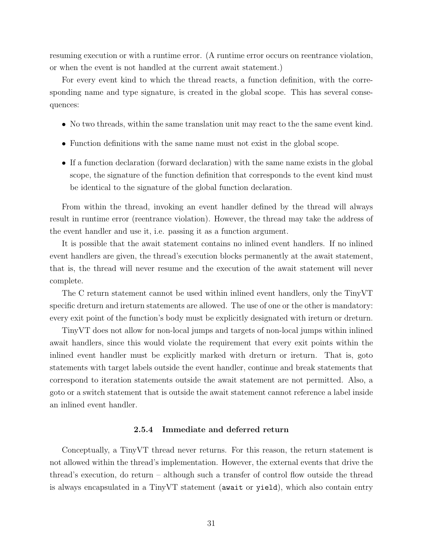resuming execution or with a runtime error. (A runtime error occurs on reentrance violation, or when the event is not handled at the current await statement.)

For every event kind to which the thread reacts, a function definition, with the corresponding name and type signature, is created in the global scope. This has several consequences:

- No two threads, within the same translation unit may react to the the same event kind.
- Function definitions with the same name must not exist in the global scope.
- If a function declaration (forward declaration) with the same name exists in the global scope, the signature of the function definition that corresponds to the event kind must be identical to the signature of the global function declaration.

From within the thread, invoking an event handler defined by the thread will always result in runtime error (reentrance violation). However, the thread may take the address of the event handler and use it, i.e. passing it as a function argument.

It is possible that the await statement contains no inlined event handlers. If no inlined event handlers are given, the thread's execution blocks permanently at the await statement, that is, the thread will never resume and the execution of the await statement will never complete.

The C return statement cannot be used within inlined event handlers, only the TinyVT specific dreturn and ireturn statements are allowed. The use of one or the other is mandatory: every exit point of the function's body must be explicitly designated with ireturn or dreturn.

TinyVT does not allow for non-local jumps and targets of non-local jumps within inlined await handlers, since this would violate the requirement that every exit points within the inlined event handler must be explicitly marked with dreturn or ireturn. That is, goto statements with target labels outside the event handler, continue and break statements that correspond to iteration statements outside the await statement are not permitted. Also, a goto or a switch statement that is outside the await statement cannot reference a label inside an inlined event handler.

# 2.5.4 Immediate and deferred return

Conceptually, a TinyVT thread never returns. For this reason, the return statement is not allowed within the thread's implementation. However, the external events that drive the thread's execution, do return – although such a transfer of control flow outside the thread is always encapsulated in a TinyVT statement (await or yield), which also contain entry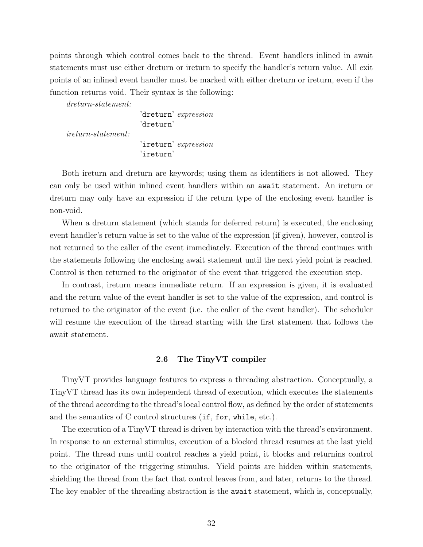points through which control comes back to the thread. Event handlers inlined in await statements must use either dreturn or ireturn to specify the handler's return value. All exit points of an inlined event handler must be marked with either dreturn or ireturn, even if the function returns void. Their syntax is the following:

dreturn-statement:

'dreturn' expression 'dreturn' ireturn-statement: 'ireturn' expression 'ireturn'

Both ireturn and dreturn are keywords; using them as identifiers is not allowed. They can only be used within inlined event handlers within an await statement. An ireturn or dreturn may only have an expression if the return type of the enclosing event handler is non-void.

When a dreturn statement (which stands for deferred return) is executed, the enclosing event handler's return value is set to the value of the expression (if given), however, control is not returned to the caller of the event immediately. Execution of the thread continues with the statements following the enclosing await statement until the next yield point is reached. Control is then returned to the originator of the event that triggered the execution step.

In contrast, ireturn means immediate return. If an expression is given, it is evaluated and the return value of the event handler is set to the value of the expression, and control is returned to the originator of the event (i.e. the caller of the event handler). The scheduler will resume the execution of the thread starting with the first statement that follows the await statement.

## 2.6 The TinyVT compiler

TinyVT provides language features to express a threading abstraction. Conceptually, a TinyVT thread has its own independent thread of execution, which executes the statements of the thread according to the thread's local control flow, as defined by the order of statements and the semantics of C control structures (if, for, while, etc.).

The execution of a TinyVT thread is driven by interaction with the thread's environment. In response to an external stimulus, execution of a blocked thread resumes at the last yield point. The thread runs until control reaches a yield point, it blocks and returnins control to the originator of the triggering stimulus. Yield points are hidden within statements, shielding the thread from the fact that control leaves from, and later, returns to the thread. The key enabler of the threading abstraction is the await statement, which is, conceptually,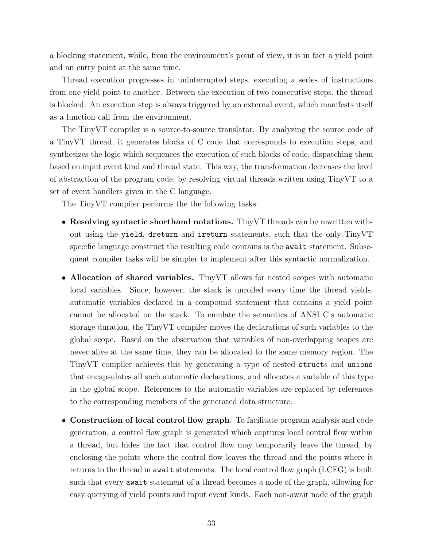a blocking statement, while, from the environment's point of view, it is in fact a yield point and an entry point at the same time.

Thread execution progresses in uninterrupted steps, executing a series of instructions from one yield point to another. Between the execution of two consecutive steps, the thread is blocked. An execution step is always triggered by an external event, which manifests itself as a function call from the environment.

The TinyVT compiler is a source-to-source translator. By analyzing the source code of a TinyVT thread, it generates blocks of C code that corresponds to execution steps, and synthesizes the logic which sequences the execution of such blocks of code, dispatching them based on input event kind and thread state. This way, the transformation decreases the level of abstraction of the program code, by resolving virtual threads written using TinyVT to a set of event handlers given in the C language.

The TinyVT compiler performs the the following tasks:

- Resolving syntactic shorthand notations. TinyVT threads can be rewritten without using the yield, dreturn and ireturn statements, such that the only TinyVT specific language construct the resulting code contains is the await statement. Subsequent compiler tasks will be simpler to implement after this syntactic normalization.
- Allocation of shared variables. TinyVT allows for nested scopes with automatic local variables. Since, however, the stack is unrolled every time the thread yields, automatic variables declared in a compound statement that contains a yield point cannot be allocated on the stack. To emulate the semantics of ANSI C's automatic storage duration, the TinyVT compiler moves the declarations of such variables to the global scope. Based on the observation that variables of non-overlapping scopes are never alive at the same time, they can be allocated to the same memory region. The TinyVT compiler achieves this by generating a type of nested structs and unions that encapsulates all such automatic declarations, and allocates a variable of this type in the global scope. References to the automatic variables are replaced by references to the corresponding members of the generated data structure.
- Construction of local control flow graph. To facilitate program analysis and code generation, a control flow graph is generated which captures local control flow within a thread, but hides the fact that control flow may temporarily leave the thread, by enclosing the points where the control flow leaves the thread and the points where it returns to the thread in await statements. The local control flow graph (LCFG) is built such that every await statement of a thread becomes a node of the graph, allowing for easy querying of yield points and input event kinds. Each non-await node of the graph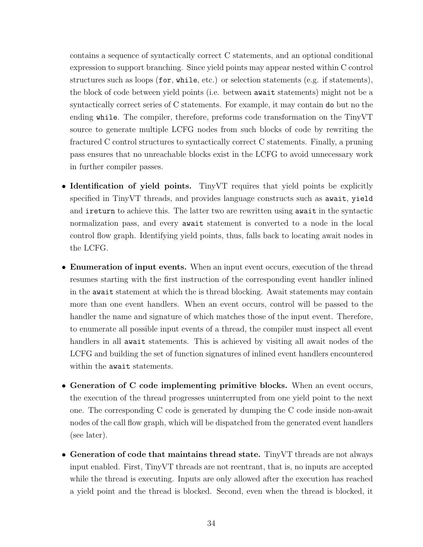contains a sequence of syntactically correct C statements, and an optional conditional expression to support branching. Since yield points may appear nested within C control structures such as loops (for, while, etc.) or selection statements (e.g. if statements), the block of code between yield points (i.e. between await statements) might not be a syntactically correct series of C statements. For example, it may contain do but no the ending while. The compiler, therefore, preforms code transformation on the TinyVT source to generate multiple LCFG nodes from such blocks of code by rewriting the fractured C control structures to syntactically correct C statements. Finally, a pruning pass ensures that no unreachable blocks exist in the LCFG to avoid unnecessary work in further compiler passes.

- Identification of yield points. Tiny VT requires that yield points be explicitly specified in TinyVT threads, and provides language constructs such as await, yield and ireturn to achieve this. The latter two are rewritten using await in the syntactic normalization pass, and every await statement is converted to a node in the local control flow graph. Identifying yield points, thus, falls back to locating await nodes in the LCFG.
- **Enumeration of input events.** When an input event occurs, execution of the thread resumes starting with the first instruction of the corresponding event handler inlined in the await statement at which the is thread blocking. Await statements may contain more than one event handlers. When an event occurs, control will be passed to the handler the name and signature of which matches those of the input event. Therefore, to enumerate all possible input events of a thread, the compiler must inspect all event handlers in all await statements. This is achieved by visiting all await nodes of the LCFG and building the set of function signatures of inlined event handlers encountered within the await statements.
- Generation of C code implementing primitive blocks. When an event occurs, the execution of the thread progresses uninterrupted from one yield point to the next one. The corresponding C code is generated by dumping the C code inside non-await nodes of the call flow graph, which will be dispatched from the generated event handlers (see later).
- Generation of code that maintains thread state. TinyVT threads are not always input enabled. First, TinyVT threads are not reentrant, that is, no inputs are accepted while the thread is executing. Inputs are only allowed after the execution has reached a yield point and the thread is blocked. Second, even when the thread is blocked, it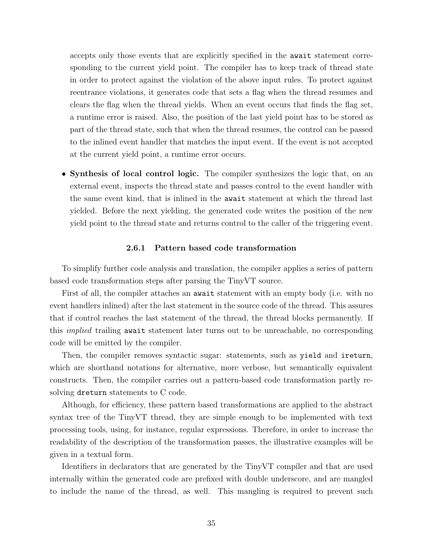accepts only those events that are explicitly specified in the await statement corresponding to the current yield point. The compiler has to keep track of thread state in order to protect against the violation of the above input rules. To protect against reentrance violations, it generates code that sets a flag when the thread resumes and clears the flag when the thread yields. When an event occurs that finds the flag set, a runtime error is raised. Also, the position of the last yield point has to be stored as part of the thread state, such that when the thread resumes, the control can be passed to the inlined event handler that matches the input event. If the event is not accepted at the current yield point, a runtime error occurs.

• Synthesis of local control logic. The compiler synthesizes the logic that, on an external event, inspects the thread state and passes control to the event handler with the same event kind, that is inlined in the await statement at which the thread last yielded. Before the next yielding, the generated code writes the position of the new yield point to the thread state and returns control to the caller of the triggering event.

### 2.6.1 Pattern based code transformation

To simplify further code analysis and translation, the compiler applies a series of pattern based code transformation steps after parsing the TinyVT source.

First of all, the compiler attaches an await statement with an empty body (i.e. with no event handlers inlined) after the last statement in the source code of the thread. This assures that if control reaches the last statement of the thread, the thread blocks permanently. If this implied trailing await statement later turns out to be unreachable, no corresponding code will be emitted by the compiler.

Then, the compiler removes syntactic sugar: statements, such as yield and ireturn, which are shorthand notations for alternative, more verbose, but semantically equivalent constructs. Then, the compiler carries out a pattern-based code transformation partly resolving dreturn statements to C code.

Although, for efficiency, these pattern based transformations are applied to the abstract syntax tree of the TinyVT thread, they are simple enough to be implemented with text processing tools, using, for instance, regular expressions. Therefore, in order to increase the readability of the description of the transformation passes, the illustrative examples will be given in a textual form.

Identifiers in declarators that are generated by the TinyVT compiler and that are used internally within the generated code are prefixed with double underscore, and are mangled to include the name of the thread, as well. This mangling is required to prevent such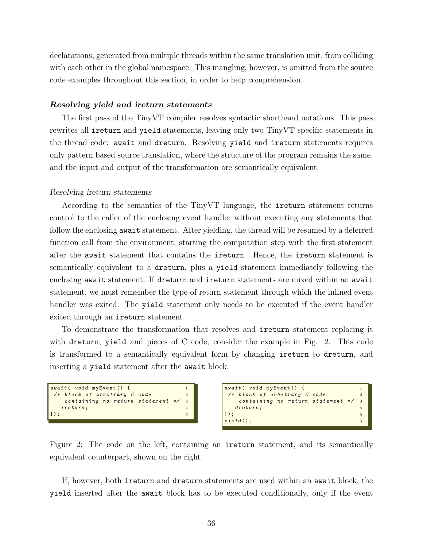declarations, generated from multiple threads within the same translation unit, from colliding with each other in the global namespace. This mangling, however, is omitted from the source code examples throughout this section, in order to help comprehension.

### Resolving yield and ireturn statements

The first pass of the TinyVT compiler resolves syntactic shorthand notations. This pass rewrites all ireturn and yield statements, leaving only two TinyVT specific statements in the thread code: await and dreturn. Resolving yield and ireturn statements requires only pattern based source translation, where the structure of the program remains the same, and the input and output of the transformation are semantically equivalent.

#### Resolving ireturn statements

According to the semantics of the TinyVT language, the ireturn statement returns control to the caller of the enclosing event handler without executing any statements that follow the enclosing await statement. After yielding, the thread will be resumed by a deferred function call from the environment, starting the computation step with the first statement after the await statement that contains the ireturn. Hence, the ireturn statement is semantically equivalent to a dreturn, plus a yield statement immediately following the enclosing await statement. If dreturn and ireturn statements are mixed within an await statement, we must remember the type of return statement through which the inlined event handler was exited. The yield statement only needs to be executed if the event handler exited through an ireturn statement.

To demonstrate the transformation that resolves and ireturn statement replacing it with dreturn, yield and pieces of C code, consider the example in Fig. [2.](#page-45-0) This code is transformed to a semantically equivalent form by changing ireturn to dreturn, and inserting a yield statement after the await block.

```
await ( void myEvent () {
/* block of arbitrary C code 2
  containing no return statement */ 3
 ireturn: 4
\}); 5
```

```
await ( void myEvent () { 1
/* block of arbitrary C code 2containing no return statement */ 3
 dreturn; 4
\}); 5
yield(); 6
```
<span id="page-45-0"></span>Figure 2: The code on the left, containing an ireturn statement, and its semantically equivalent counterpart, shown on the right.

If, however, both ireturn and dreturn statements are used within an await block, the yield inserted after the await block has to be executed conditionally, only if the event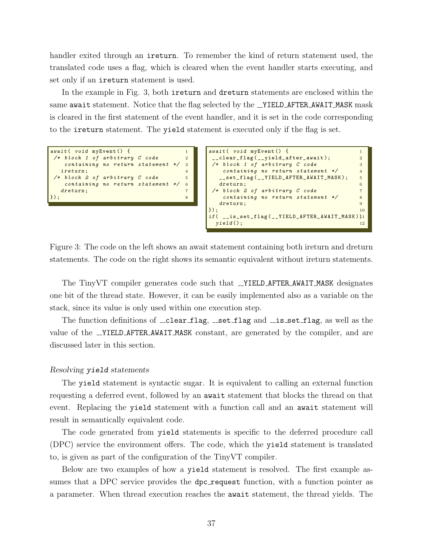handler exited through an ireturn. To remember the kind of return statement used, the translated code uses a flag, which is cleared when the event handler starts executing, and set only if an ireturn statement is used.

In the example in Fig. [3,](#page-46-0) both ireturn and dreturn statements are enclosed within the same await statement. Notice that the flag selected by the \_YIELD\_AFTER\_AWAIT\_MASK mask is cleared in the first statement of the event handler, and it is set in the code corresponding to the ireturn statement. The yield statement is executed only if the flag is set.

```
await ( void myEvent () { 1
/* block 1 of arbitrary C code 2
  containing no return statement */ 3
 ireturn; 4
/* block 2 of arbitrary C code 5containing no return statement */ 6
 dreturn: 7
}); 8
```


<span id="page-46-0"></span>Figure 3: The code on the left shows an await statement containing both ireturn and dreturn statements. The code on the right shows its semantic equivalent without ireturn statements.

The TinyVT compiler generates code such that \_\_YIELD\_AFTER\_AWAIT\_MASK designates one bit of the thread state. However, it can be easily implemented also as a variable on the stack, since its value is only used within one execution step.

The function definitions of  $\text{\textendash} \text{clear}\text{-}\text{flag}, \text{\textendash} \text{select}\text{-}\text{flag}, \text{as well as the}$ value of the \_YIELD\_AFTER\_AWAIT\_MASK constant, are generated by the compiler, and are discussed later in this section.

#### Resolving yield statements

The yield statement is syntactic sugar. It is equivalent to calling an external function requesting a deferred event, followed by an await statement that blocks the thread on that event. Replacing the yield statement with a function call and an await statement will result in semantically equivalent code.

The code generated from yield statements is specific to the deferred procedure call (DPC) service the environment offers. The code, which the yield statement is translated to, is given as part of the configuration of the TinyVT compiler.

Below are two examples of how a yield statement is resolved. The first example assumes that a DPC service provides the dpc\_request function, with a function pointer as a parameter. When thread execution reaches the await statement, the thread yields. The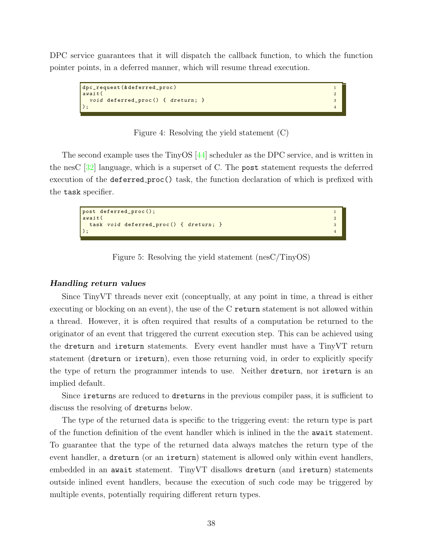DPC service guarantees that it will dispatch the callback function, to which the function pointer points, in a deferred manner, which will resume thread execution.



Figure 4: Resolving the yield statement (C)

The second example uses the TinyOS [\[44\]](#page-140-0) scheduler as the DPC service, and is written in the nesC [\[32\]](#page-139-1) language, which is a superset of C. The post statement requests the deferred execution of the deferred proc() task, the function declaration of which is prefixed with the task specifier.

```
post deferred_proc (); 1
 await ( \overline{\phantom{a}} ) and \overline{\phantom{a}} ) and \overline{\phantom{a}} ( \overline{\phantom{a}} ) and \overline{\phantom{a}} ( \overline{\phantom{a}} ) and \overline{\phantom{a}} ) and \overline{\phantom{a}} ( \overline{\phantom{a}} ) and \overline{\phantom{a}} ( \overline{\phantom{a}} ) and \overline{\phantom{a}} ( \overline{\phantom{a}} ) and
      task void deferred_proc() { dreturn; }
 ); the contract of the contract of the contract of the contract of the contract of the contract of the contract of the contract of the contract of the contract of the contract of the contract of the contract of the contra
```
Figure 5: Resolving the yield statement (nesC/TinyOS)

## Handling return values

Since TinyVT threads never exit (conceptually, at any point in time, a thread is either executing or blocking on an event), the use of the C return statement is not allowed within a thread. However, it is often required that results of a computation be returned to the originator of an event that triggered the current execution step. This can be achieved using the dreturn and ireturn statements. Every event handler must have a TinyVT return statement (dreturn or ireturn), even those returning void, in order to explicitly specify the type of return the programmer intends to use. Neither dreturn, nor ireturn is an implied default.

Since ireturns are reduced to dreturns in the previous compiler pass, it is sufficient to discuss the resolving of dreturns below.

The type of the returned data is specific to the triggering event: the return type is part of the function definition of the event handler which is inlined in the the await statement. To guarantee that the type of the returned data always matches the return type of the event handler, a dreturn (or an ireturn) statement is allowed only within event handlers, embedded in an await statement. TinyVT disallows dreturn (and ireturn) statements outside inlined event handlers, because the execution of such code may be triggered by multiple events, potentially requiring different return types.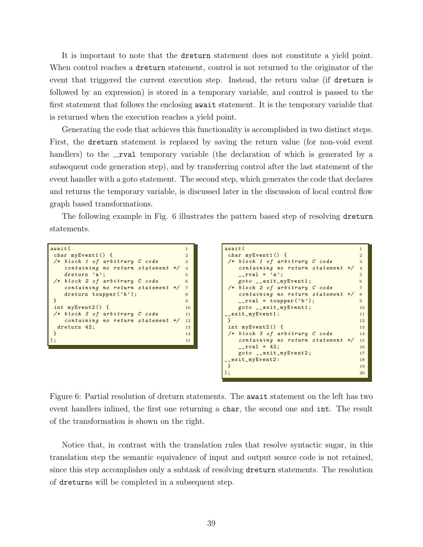It is important to note that the dreturn statement does not constitute a yield point. When control reaches a dreturn statement, control is not returned to the originator of the event that triggered the current execution step. Instead, the return value (if dreturn is followed by an expression) is stored in a temporary variable, and control is passed to the first statement that follows the enclosing await statement. It is the temporary variable that is returned when the execution reaches a yield point.

Generating the code that achieves this functionality is accomplished in two distinct steps. First, the dreturn statement is replaced by saving the return value (for non-void event handlers) to the **rval** temporary variable (the declaration of which is generated by a subsequent code generation step), and by transferring control after the last statement of the event handler with a goto statement. The second step, which generates the code that declares and returns the temporary variable, is discussed later in the discussion of local control flow graph based transformations.

The following example in Fig. [6](#page-48-0) illustrates the pattern based step of resolving dreturn statements.

| a wait(                               |                             |
|---------------------------------------|-----------------------------|
| char myEvent1() {                     | $\mathcal{D}_{\mathcal{L}}$ |
| $/*$ block 1 of arbitrary $C$ code    | 3                           |
| $containing$ no return statement $*/$ | $\overline{4}$              |
| $dreturn$ 'a':                        | $\overline{5}$              |
| $/*$ block 2 of arbitrary $C$ code    | 6                           |
| $containing$ no return statement $*/$ | $\overline{7}$              |
| $dreturn$ toupper('b');               | 8                           |
| ł                                     | 9                           |
| $int$ myEvent2() {                    | 10                          |
| $/*$ block 3 of arbitrary $C$ code    | 11                          |
| $containing$ no return statement $*/$ | 12                          |
| dreturn 42;                           | 13                          |
| <b>}</b>                              | 14                          |
|                                       | 15                          |
|                                       |                             |

| a wait(                                     | $\mathbf{1}$   |  |  |  |
|---------------------------------------------|----------------|--|--|--|
| $char$ myEvent1() {                         | $\overline{2}$ |  |  |  |
| $/*$ block 1 of arbitrary $C$ code          | 3              |  |  |  |
| $containing$ no return statement $*/$       | $\overline{4}$ |  |  |  |
| $\frac{1}{2}$ rval = 'a';                   |                |  |  |  |
| goto __exit_myEvent1;                       |                |  |  |  |
| $/*$ block 2 of arbitrary $C$ code          | $\overline{7}$ |  |  |  |
| $containing$ no return statement $*/$       | 8              |  |  |  |
| $_{-}$ rval = toupper('b');                 |                |  |  |  |
| goto __exit_myEvent1;                       |                |  |  |  |
| __exit_myEvent1:                            |                |  |  |  |
| $\mathcal{F}$                               | 12             |  |  |  |
| $int$ myEvent2() {                          |                |  |  |  |
| $/*$ block 3 of arbitrary $C$ code          | 14             |  |  |  |
| $\epsilon$ ontaining no return statement */ | 15             |  |  |  |
| $_{-}$ rval = 42;                           | 16             |  |  |  |
| goto __exit_myEvent2;                       | 17             |  |  |  |
| __exit_myEvent2:                            | 18             |  |  |  |
| $\rightarrow$                               | 19             |  |  |  |
| $)$ ;                                       | 20             |  |  |  |

<span id="page-48-0"></span>Figure 6: Partial resolution of dreturn statements. The await statement on the left has two event handlers inlined, the first one returning a char, the second one and int. The result of the transformation is shown on the right.

Notice that, in contrast with the translation rules that resolve syntactic sugar, in this translation step the semantic equivalence of input and output source code is not retained, since this step accomplishes only a subtask of resolving dreturn statements. The resolution of dreturns will be completed in a subsequent step.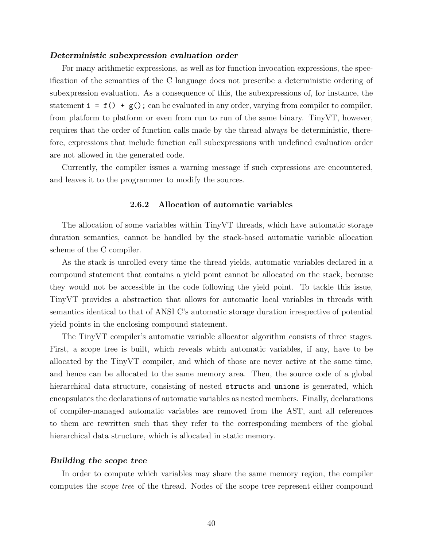#### Deterministic subexpression evaluation order

For many arithmetic expressions, as well as for function invocation expressions, the specification of the semantics of the C language does not prescribe a deterministic ordering of subexpression evaluation. As a consequence of this, the subexpressions of, for instance, the statement  $i = f() + g()$ ; can be evaluated in any order, varying from compiler to compiler, from platform to platform or even from run to run of the same binary. TinyVT, however, requires that the order of function calls made by the thread always be deterministic, therefore, expressions that include function call subexpressions with undefined evaluation order are not allowed in the generated code.

Currently, the compiler issues a warning message if such expressions are encountered, and leaves it to the programmer to modify the sources.

# 2.6.2 Allocation of automatic variables

The allocation of some variables within TinyVT threads, which have automatic storage duration semantics, cannot be handled by the stack-based automatic variable allocation scheme of the C compiler.

As the stack is unrolled every time the thread yields, automatic variables declared in a compound statement that contains a yield point cannot be allocated on the stack, because they would not be accessible in the code following the yield point. To tackle this issue, TinyVT provides a abstraction that allows for automatic local variables in threads with semantics identical to that of ANSI C's automatic storage duration irrespective of potential yield points in the enclosing compound statement.

The TinyVT compiler's automatic variable allocator algorithm consists of three stages. First, a scope tree is built, which reveals which automatic variables, if any, have to be allocated by the TinyVT compiler, and which of those are never active at the same time, and hence can be allocated to the same memory area. Then, the source code of a global hierarchical data structure, consisting of nested structs and unions is generated, which encapsulates the declarations of automatic variables as nested members. Finally, declarations of compiler-managed automatic variables are removed from the AST, and all references to them are rewritten such that they refer to the corresponding members of the global hierarchical data structure, which is allocated in static memory.

#### Building the scope tree

In order to compute which variables may share the same memory region, the compiler computes the scope tree of the thread. Nodes of the scope tree represent either compound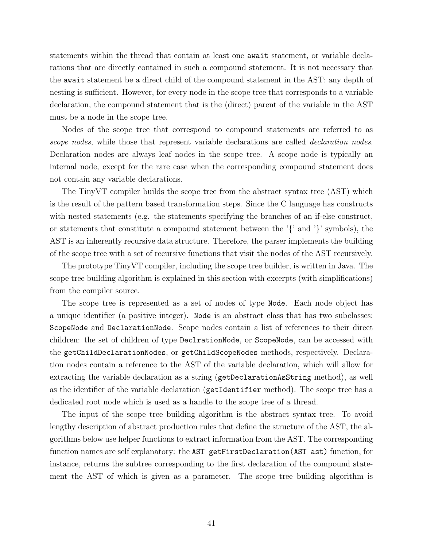statements within the thread that contain at least one await statement, or variable declarations that are directly contained in such a compound statement. It is not necessary that the await statement be a direct child of the compound statement in the AST: any depth of nesting is sufficient. However, for every node in the scope tree that corresponds to a variable declaration, the compound statement that is the (direct) parent of the variable in the AST must be a node in the scope tree.

Nodes of the scope tree that correspond to compound statements are referred to as scope nodes, while those that represent variable declarations are called declaration nodes. Declaration nodes are always leaf nodes in the scope tree. A scope node is typically an internal node, except for the rare case when the corresponding compound statement does not contain any variable declarations.

The TinyVT compiler builds the scope tree from the abstract syntax tree (AST) which is the result of the pattern based transformation steps. Since the C language has constructs with nested statements (e.g. the statements specifying the branches of an if-else construct, or statements that constitute a compound statement between the  $'\}'$  and  $'\}'$  symbols), the AST is an inherently recursive data structure. Therefore, the parser implements the building of the scope tree with a set of recursive functions that visit the nodes of the AST recursively.

The prototype TinyVT compiler, including the scope tree builder, is written in Java. The scope tree building algorithm is explained in this section with excerpts (with simplifications) from the compiler source.

The scope tree is represented as a set of nodes of type Node. Each node object has a unique identifier (a positive integer). Node is an abstract class that has two subclasses: ScopeNode and DeclarationNode. Scope nodes contain a list of references to their direct children: the set of children of type DeclrationNode, or ScopeNode, can be accessed with the getChildDeclarationNodes, or getChildScopeNodes methods, respectively. Declaration nodes contain a reference to the AST of the variable declaration, which will allow for extracting the variable declaration as a string (getDeclarationAsString method), as well as the identifier of the variable declaration (getIdentifier method). The scope tree has a dedicated root node which is used as a handle to the scope tree of a thread.

The input of the scope tree building algorithm is the abstract syntax tree. To avoid lengthy description of abstract production rules that define the structure of the AST, the algorithms below use helper functions to extract information from the AST. The corresponding function names are self explanatory: the AST getFirstDeclaration(AST ast) function, for instance, returns the subtree corresponding to the first declaration of the compound statement the AST of which is given as a parameter. The scope tree building algorithm is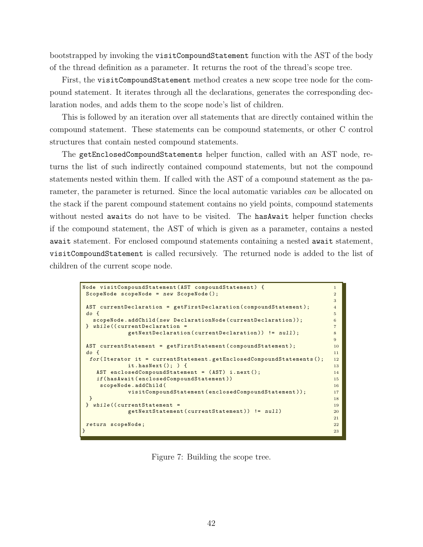bootstrapped by invoking the visitCompoundStatement function with the AST of the body of the thread definition as a parameter. It returns the root of the thread's scope tree.

First, the visitCompoundStatement method creates a new scope tree node for the compound statement. It iterates through all the declarations, generates the corresponding declaration nodes, and adds them to the scope node's list of children.

This is followed by an iteration over all statements that are directly contained within the compound statement. These statements can be compound statements, or other C control structures that contain nested compound statements.

The getEnclosedCompoundStatements helper function, called with an AST node, returns the list of such indirectly contained compound statements, but not the compound statements nested within them. If called with the AST of a compound statement as the parameter, the parameter is returned. Since the local automatic variables *can* be allocated on the stack if the parent compound statement contains no yield points, compound statements without nested awaits do not have to be visited. The hasAwait helper function checks if the compound statement, the AST of which is given as a parameter, contains a nested await statement. For enclosed compound statements containing a nested await statement, visitCompoundStatement is called recursively. The returned node is added to the list of children of the current scope node.

```
Node visitCompoundStatement (AST compoundStatement) { 1
ScopeNode scopeNode = new ScopeNode (); 2
                                          3
AST currentDeclaration = getFirstDeclaration (compoundStatement); 4
do \{scopeNode.addChild (new DeclarationNode (currentDeclaration)); 6
} while (( currentDeclaration = 7
       getNextDeclaration ( currentDeclaration ) \left( = null ); \right) 8
                                          9
AST currentStatement = getFirstStatement (compoundStatement); 10do \{ 11
 for (Iteration it = currentStatement.getEnclosedCompoundstatenents(); 12
       it.hasNext(); ) { 13
  AST enclosedCompoundStatement = (AST) i.next(); 14
  if(hasAwait(enclosedCompoundStatement)) 15
  scopeNode.addChild ( 16
       visitCompoundStatement (enclosedCompoundStatement)); 17\}} while (( currentStatement = 19
       getNextStatement ( currentStatement ) \qquad \qquad 1 ) \qquad \qquad 2021
return scopeNode; 22
\} 23
```
Figure 7: Building the scope tree.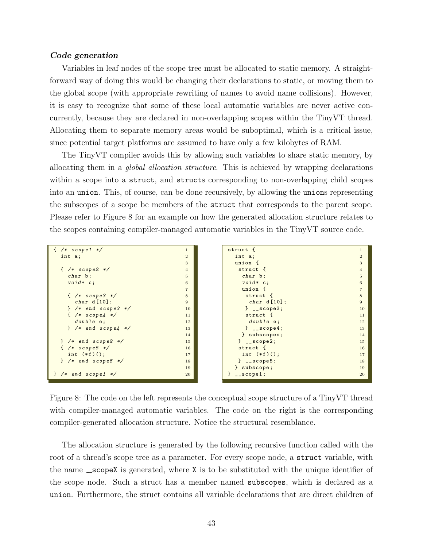## Code generation

Variables in leaf nodes of the scope tree must be allocated to static memory. A straightforward way of doing this would be changing their declarations to static, or moving them to the global scope (with appropriate rewriting of names to avoid name collisions). However, it is easy to recognize that some of these local automatic variables are never active concurrently, because they are declared in non-overlapping scopes within the TinyVT thread. Allocating them to separate memory areas would be suboptimal, which is a critical issue, since potential target platforms are assumed to have only a few kilobytes of RAM.

The TinyVT compiler avoids this by allowing such variables to share static memory, by allocating them in a global allocation structure. This is achieved by wrapping declarations within a scope into a struct, and structs corresponding to non-overlapping child scopes into an union. This, of course, can be done recursively, by allowing the unions representing the subscopes of a scope be members of the struct that corresponds to the parent scope. Please refer to Figure [8](#page-52-0) for an example on how the generated allocation structure relates to the scopes containing compiler-managed automatic variables in the TinyVT source code.

| $\frac{1}{2}$ /* scope1 */ | $\mathbf{1}$   | struct f         |    |
|----------------------------|----------------|------------------|----|
| int a;                     | $\overline{2}$ | int a;           |    |
|                            | 3              | union $\{$       |    |
| $\frac{1}{2}$ /* scope2 */ | $\overline{4}$ | struct f         |    |
| char b;                    | 5              | char b;          |    |
| $void * c;$                | 6              | $void * c;$      |    |
|                            | $\overline{7}$ | union $\{$       |    |
| $\frac{1}{2}$ /* scope3 */ | 8              | struct f         |    |
| $char d[10]$ ;             | 9              | char d[10];      |    |
| $\}$ /* end scope3 */      | 10             | $\}$ __scope3;   | 10 |
| $\frac{1}{2}$ /* scope4 */ | 11             | struct f         | 11 |
| double e;                  | 12             | double e;        | 12 |
| $\}$ /* end scope4 */      | 13             | $\}$ __scope4;   | 13 |
|                            | 14             | } subscopes;     | 14 |
| $}$ /* end scope2 */       | 15             | $\}$ __scope2;   | 15 |
| $\frac{1}{2}$ /* scope5 */ | 16             | struct {         | 16 |
| int $(*f)();$              | 17             | $int$ $(*f)()$ ; | 17 |
| $\}$ /* end scope5 */      | 18             | $\}$ __scope5;   | 18 |
|                            | 19             | } subscope;      | 19 |
| $\}$ /* end scope1 */      | 20             | $\sim$ scope1;   | 20 |

<span id="page-52-0"></span>Figure 8: The code on the left represents the conceptual scope structure of a TinyVT thread with compiler-managed automatic variables. The code on the right is the corresponding compiler-generated allocation structure. Notice the structural resemblance.

The allocation structure is generated by the following recursive function called with the root of a thread's scope tree as a parameter. For every scope node, a struct variable, with the name  $\equiv$  scopeX is generated, where X is to be substituted with the unique identifier of the scope node. Such a struct has a member named subscopes, which is declared as a union. Furthermore, the struct contains all variable declarations that are direct children of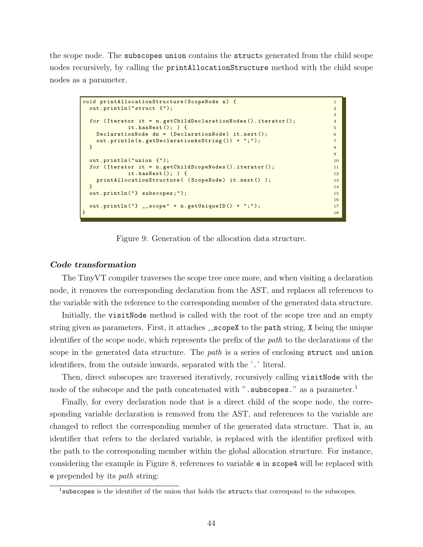the scope node. The subscopes union contains the structs generated from the child scope nodes recursively, by calling the printAllocationStructure method with the child scope nodes as a parameter.

3

9

16

```
void printAllocationStructure (ScopeNode n) { 1
out . println ("struct {"); 2
for (Iterator it = n.getChildDeclarationNodes().iterator(); 4
      it \cdot hasNext (); ) { 5DeclarationNode dn = (DeclarationNode) it.next(); 6out.println(n.getDeclarationAsString()) + ";"); 7
 \}out . println ("union {"); 10
for (Iterator it = n.getChildScopeNodes ().iterator (); 11
      it \cdot \text{hasNext}(); ) { 12printAllocationStructure ( (ScopeNode) it.next () ); 13
 \}out . println ("} subscopes;"); 15
out . println ("} __scope " + n. getUniqueID () + " ;" ); 17
\} 18
```
Figure 9: Generation of the allocation data structure.

## Code transformation

The TinyVT compiler traverses the scope tree once more, and when visiting a declaration node, it removes the corresponding declaration from the AST, and replaces all references to the variable with the reference to the corresponding member of the generated data structure.

Initially, the visitNode method is called with the root of the scope tree and an empty string given as parameters. First, it attaches  $\equiv$  scopeX to the path string, X being the unique identifier of the scope node, which represents the prefix of the path to the declarations of the scope in the generated data structure. The *path* is a series of enclosing struct and union identifiers, from the outside inwards, separated with the '.' literal.

Then, direct subscopes are traversed iteratively, recursively calling visitNode with the node of the subscope and the path concatenated with ". subscopes." as a parameter.<sup>[1](#page-53-0)</sup>

Finally, for every declaration node that is a direct child of the scope node, the corresponding variable declaration is removed from the AST, and references to the variable are changed to reflect the corresponding member of the generated data structure. That is, an identifier that refers to the declared variable, is replaced with the identifier prefixed with the path to the corresponding member within the global allocation structure. For instance, considering the example in Figure [8,](#page-52-0) references to variable e in scope4 will be replaced with e prepended by its path string:

<span id="page-53-0"></span><sup>&</sup>lt;sup>1</sup> subscopes is the identifier of the union that holds the structs that correspond to the subscopes.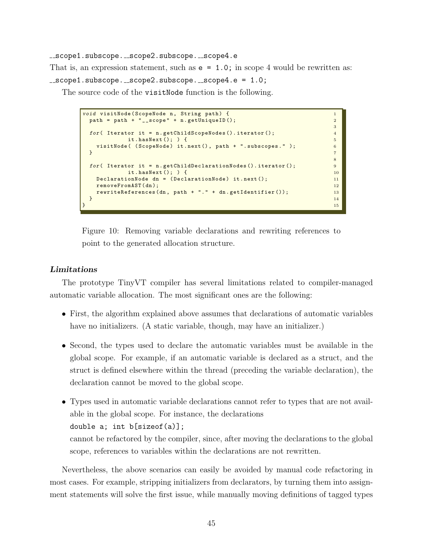\_\_scope1.subscope.\_\_scope2.subscope.\_\_scope4.e

That is, an expression statement, such as  $e = 1.0$ ; in scope 4 would be rewritten as:  $_$ scope1.subscope. $_$ scope2.subscope. $_$ scope4.e = 1.0;

The source code of the visitNode function is the following.

```
void visitNode (ScopeNode n, String path) { 1
 path = path + "__scope" + n.getUniqueID(); 2
 for( Iterator it = n.getChildScopeNodes().iterator(); 4
      it \cdot hasNext(); ) { 5visitNode ( (ScopeNode) it.next (), path + ".subscopes." ); 6
 \bf{)}for (Iterator it = n.getChildDeclarationNodes ().iterator (); 9
      it \texttt{.hasNext'}(); ) { 10DeclarationNode dn = (DeclarationNode) it.next(); 11
  removeFromAST ( dn ); 12
  \texttt{rewriteReferences (dn, path + "." + dn.getIdentifier());} 13
 \}\}
```
3

8

Figure 10: Removing variable declarations and rewriting references to point to the generated allocation structure.

# Limitations

The prototype TinyVT compiler has several limitations related to compiler-managed automatic variable allocation. The most significant ones are the following:

- First, the algorithm explained above assumes that declarations of automatic variables have no initializers. (A static variable, though, may have an initializer.)
- Second, the types used to declare the automatic variables must be available in the global scope. For example, if an automatic variable is declared as a struct, and the struct is defined elsewhere within the thread (preceding the variable declaration), the declaration cannot be moved to the global scope.
- Types used in automatic variable declarations cannot refer to types that are not available in the global scope. For instance, the declarations double a; int b[sizeof(a)]; cannot be refactored by the compiler, since, after moving the declarations to the global scope, references to variables within the declarations are not rewritten.

Nevertheless, the above scenarios can easily be avoided by manual code refactoring in most cases. For example, stripping initializers from declarators, by turning them into assignment statements will solve the first issue, while manually moving definitions of tagged types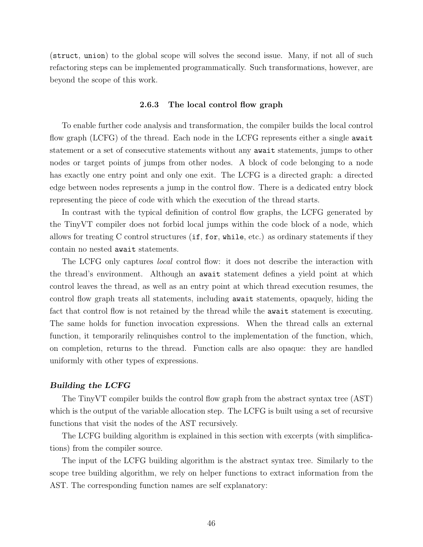(struct, union) to the global scope will solves the second issue. Many, if not all of such refactoring steps can be implemented programmatically. Such transformations, however, are beyond the scope of this work.

#### 2.6.3 The local control flow graph

To enable further code analysis and transformation, the compiler builds the local control flow graph (LCFG) of the thread. Each node in the LCFG represents either a single await statement or a set of consecutive statements without any await statements, jumps to other nodes or target points of jumps from other nodes. A block of code belonging to a node has exactly one entry point and only one exit. The LCFG is a directed graph: a directed edge between nodes represents a jump in the control flow. There is a dedicated entry block representing the piece of code with which the execution of the thread starts.

In contrast with the typical definition of control flow graphs, the LCFG generated by the TinyVT compiler does not forbid local jumps within the code block of a node, which allows for treating C control structures (if, for, while, etc.) as ordinary statements if they contain no nested await statements.

The LCFG only captures *local* control flow: it does not describe the interaction with the thread's environment. Although an await statement defines a yield point at which control leaves the thread, as well as an entry point at which thread execution resumes, the control flow graph treats all statements, including await statements, opaquely, hiding the fact that control flow is not retained by the thread while the **await** statement is executing. The same holds for function invocation expressions. When the thread calls an external function, it temporarily relinquishes control to the implementation of the function, which, on completion, returns to the thread. Function calls are also opaque: they are handled uniformly with other types of expressions.

# Building the LCFG

The TinyVT compiler builds the control flow graph from the abstract syntax tree (AST) which is the output of the variable allocation step. The LCFG is built using a set of recursive functions that visit the nodes of the AST recursively.

The LCFG building algorithm is explained in this section with excerpts (with simplifications) from the compiler source.

The input of the LCFG building algorithm is the abstract syntax tree. Similarly to the scope tree building algorithm, we rely on helper functions to extract information from the AST. The corresponding function names are self explanatory: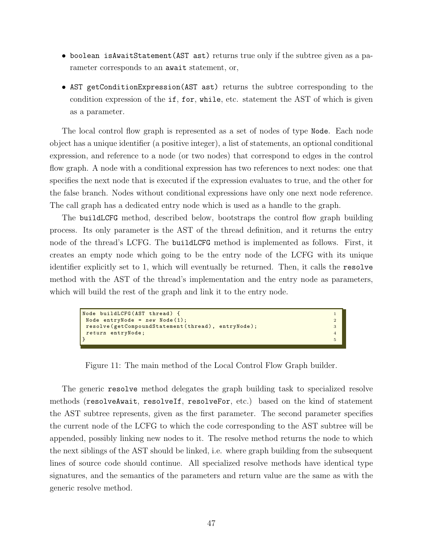- boolean isAwaitStatement(AST ast) returns true only if the subtree given as a parameter corresponds to an await statement, or,
- AST getConditionExpression(AST ast) returns the subtree corresponding to the condition expression of the if, for, while, etc. statement the AST of which is given as a parameter.

The local control flow graph is represented as a set of nodes of type Node. Each node object has a unique identifier (a positive integer), a list of statements, an optional conditional expression, and reference to a node (or two nodes) that correspond to edges in the control flow graph. A node with a conditional expression has two references to next nodes: one that specifies the next node that is executed if the expression evaluates to true, and the other for the false branch. Nodes without conditional expressions have only one next node reference. The call graph has a dedicated entry node which is used as a handle to the graph.

The buildLCFG method, described below, bootstraps the control flow graph building process. Its only parameter is the AST of the thread definition, and it returns the entry node of the thread's LCFG. The buildLCFG method is implemented as follows. First, it creates an empty node which going to be the entry node of the LCFG with its unique identifier explicitly set to 1, which will eventually be returned. Then, it calls the resolve method with the AST of the thread's implementation and the entry node as parameters, which will build the rest of the graph and link it to the entry node.

```
Node buildLCFG (AST thread) {
Node entryNode = new Node (1); 2
resolve (getCompoundStatement (thread), entryNode); 33
return entryNode; 4
\}
```
Figure 11: The main method of the Local Control Flow Graph builder.

The generic resolve method delegates the graph building task to specialized resolve methods (resolveAwait, resolveIf, resolveFor, etc.) based on the kind of statement the AST subtree represents, given as the first parameter. The second parameter specifies the current node of the LCFG to which the code corresponding to the AST subtree will be appended, possibly linking new nodes to it. The resolve method returns the node to which the next siblings of the AST should be linked, i.e. where graph building from the subsequent lines of source code should continue. All specialized resolve methods have identical type signatures, and the semantics of the parameters and return value are the same as with the generic resolve method.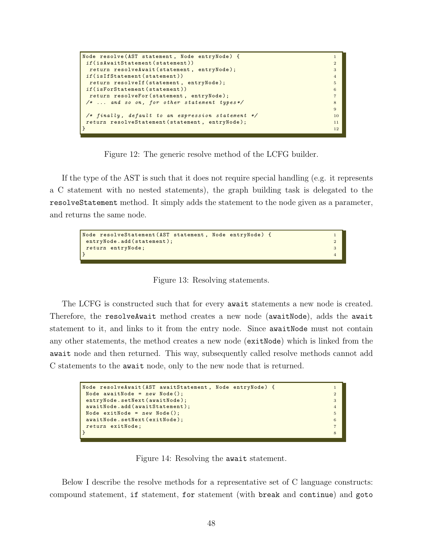```
Node resolve (AST statement, Node entryNode) { 1
if( isAwaitStatement ( statement )) 2
 return resolveAwait ( statement, entryNode); 3
if( isIfStatement ( statement )) 4
 return resolveIf (statement, entryNode); 5
if( isForStatement ( statement )) 6
 return resolveFor (statement, entryNode); 7
  \dots and so on, for other statement types */ 8
                                         9
\sqrt{\ast} finally, default to an expression statement \ast/ 10
return resolveStatement (statement, entryNode); 11
\} 12
```
Figure 12: The generic resolve method of the LCFG builder.

If the type of the AST is such that it does not require special handling (e.g. it represents a C statement with no nested statements), the graph building task is delegated to the resolveStatement method. It simply adds the statement to the node given as a parameter, and returns the same node.

```
Node resolveStatement (AST statement, Node entryNode) {
entryNode.add (statement); 2
return entryNode; 3
\}
```
Figure 13: Resolving statements.

The LCFG is constructed such that for every await statements a new node is created. Therefore, the resolveAwait method creates a new node (awaitNode), adds the await statement to it, and links to it from the entry node. Since awaitNode must not contain any other statements, the method creates a new node (exitNode) which is linked from the await node and then returned. This way, subsequently called resolve methods cannot add C statements to the await node, only to the new node that is returned.



Figure 14: Resolving the await statement.

Below I describe the resolve methods for a representative set of C language constructs: compound statement, if statement, for statement (with break and continue) and goto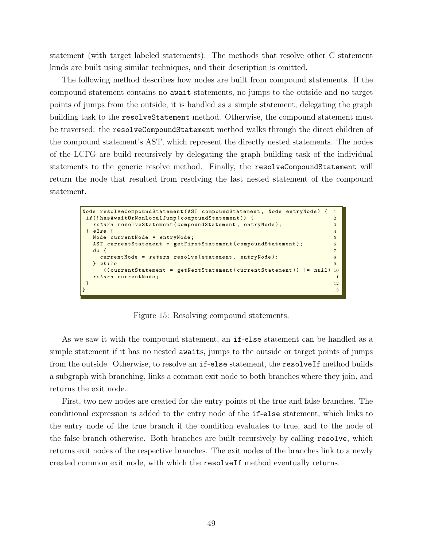statement (with target labeled statements). The methods that resolve other C statement kinds are built using similar techniques, and their description is omitted.

The following method describes how nodes are built from compound statements. If the compound statement contains no await statements, no jumps to the outside and no target points of jumps from the outside, it is handled as a simple statement, delegating the graph building task to the resolveStatement method. Otherwise, the compound statement must be traversed: the resolveCompoundStatement method walks through the direct children of the compound statement's AST, which represent the directly nested statements. The nodes of the LCFG are build recursively by delegating the graph building task of the individual statements to the generic resolve method. Finally, the resolveCompoundStatement will return the node that resulted from resolving the last nested statement of the compound statement.

```
Node resolveCompoundStatement (AST compoundStatement, Node entryNode) { 1
if (!hasAwaitOrNonLocalJump (compoundStatement)) { 2
 return resolveStatement ( compound Statement , entry Node ) ; 3
} else { 4
 Node currentNode = entryNode;<br>
5
 AST currentStatement = getFirstStatement (compoundStatement); \frac{6}{7}do \{ 7 \}currentNode = return resolve (statement, entryNode); 8
 \frac{1}{2} while \frac{9}{2}((currentStatement = getNextStatement (currentStatement)) != null) 10return currentNode; 11
\}\} 13
```
Figure 15: Resolving compound statements.

As we saw it with the compound statement, an if-else statement can be handled as a simple statement if it has no nested awaits, jumps to the outside or target points of jumps from the outside. Otherwise, to resolve an if-else statement, the resolveIf method builds a subgraph with branching, links a common exit node to both branches where they join, and returns the exit node.

First, two new nodes are created for the entry points of the true and false branches. The conditional expression is added to the entry node of the if-else statement, which links to the entry node of the true branch if the condition evaluates to true, and to the node of the false branch otherwise. Both branches are built recursively by calling resolve, which returns exit nodes of the respective branches. The exit nodes of the branches link to a newly created common exit node, with which the resolveIf method eventually returns.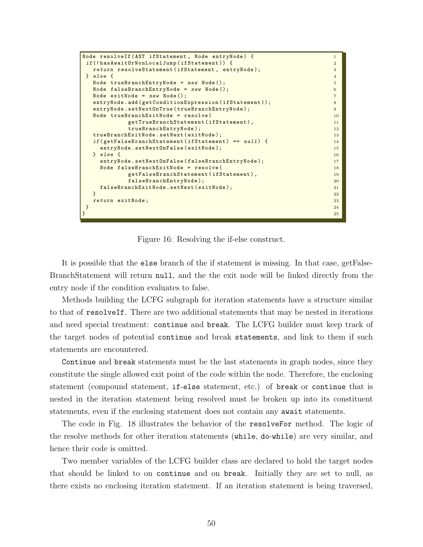```
Node resolveIf (AST ifStatement, Node entryNode) { 1
if (! hasAwaitOrNonLocalJump ( ifStatement )) { 2
 return resolveStatement (ifStatement, entryNode); 3
} else { 4
 Node trueBranchEntryNode = new Node (); 5
 Node falseBranchEntryNode = new Node (); 6
 Node exitNode = new Node (); 7
 entryNode.add (getConditionExpression (ifStatement)); 8
 entryNode.setNext0nTrue(trueBranchEntryNode); 9
 Node trueBranchExitNode = resolve ( 10 and 10 and 10 and 10 and 10 and 10 and 10 and 10 and 10 and 10 and 10 and 10 and 10 and 10 and 10 and 10 and 10 and 10 and 10 and 10 and 10 and 10 and 10 and 10 and 10 and 10 and 10 a
        getTrueBranchStatement (ifStatement), 11
        trueBranchEntryNode); 12
 trueBranchExitNode.setNext(exitNode); 13
 if (getFalse BranchStatement (ifStatement) == null) {entryNode.setNextOnFalse(exitNode); 15
  \} else { \qquad \qquad 16
   entryNode.setNext0nFalse(falseBranchEntryNode); 17
   Node falseBranchExitNode = resolve ( 18
        getFalseBranchStatement (ifStatement), 19
        falseBranchEntryNode); 20
   falseBranchExitNode.setNext(exitNode); 21
  \}return exitNode; 23
\} 24
\} 25
```
Figure 16: Resolving the if-else construct.

It is possible that the else branch of the if statement is missing. In that case, getFalse-BranchStatement will return null, and the the exit node will be linked directly from the entry node if the condition evaluates to false.

Methods building the LCFG subgraph for iteration statements have a structure similar to that of resolveIf. There are two additional statements that may be nested in iterations and need special treatment: continue and break. The LCFG builder must keep track of the target nodes of potential continue and break statements, and link to them if such statements are encountered.

Continue and break statements must be the last statements in graph nodes, since they constitute the single allowed exit point of the code within the node. Therefore, the enclosing statement (compound statement, if-else statement, etc.) of break or continue that is nested in the iteration statement being resolved must be broken up into its constituent statements, even if the enclosing statement does not contain any await statements.

The code in Fig. [18](#page-61-0) illustrates the behavior of the resolveFor method. The logic of the resolve methods for other iteration statements (while, do-while) are very similar, and hence their code is omitted.

Two member variables of the LCFG builder class are declared to hold the target nodes that should be linked to on continue and on break. Initially they are set to null, as there exists no enclosing iteration statement. If an iteration statement is being traversed,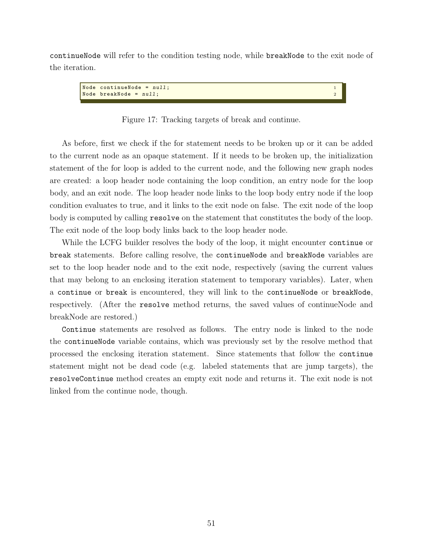continueNode will refer to the condition testing node, while breakNode to the exit node of the iteration.



Figure 17: Tracking targets of break and continue.

As before, first we check if the for statement needs to be broken up or it can be added to the current node as an opaque statement. If it needs to be broken up, the initialization statement of the for loop is added to the current node, and the following new graph nodes are created: a loop header node containing the loop condition, an entry node for the loop body, and an exit node. The loop header node links to the loop body entry node if the loop condition evaluates to true, and it links to the exit node on false. The exit node of the loop body is computed by calling resolve on the statement that constitutes the body of the loop. The exit node of the loop body links back to the loop header node.

While the LCFG builder resolves the body of the loop, it might encounter continue or break statements. Before calling resolve, the continueNode and breakNode variables are set to the loop header node and to the exit node, respectively (saving the current values that may belong to an enclosing iteration statement to temporary variables). Later, when a continue or break is encountered, they will link to the continueNode or breakNode, respectively. (After the resolve method returns, the saved values of continueNode and breakNode are restored.)

Continue statements are resolved as follows. The entry node is linked to the node the continueNode variable contains, which was previously set by the resolve method that processed the enclosing iteration statement. Since statements that follow the continue statement might not be dead code (e.g. labeled statements that are jump targets), the resolveContinue method creates an empty exit node and returns it. The exit node is not linked from the continue node, though.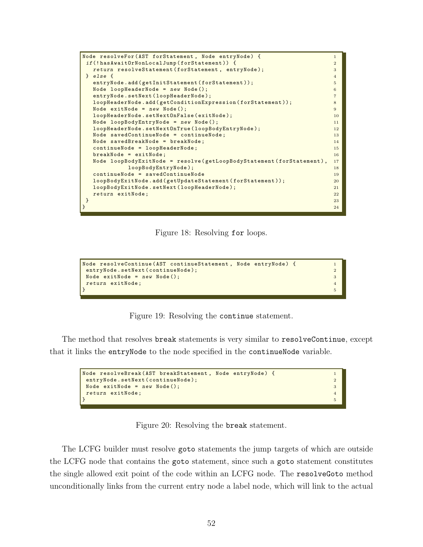```
Node resolveFor (AST forStatement, Node entryNode) { 1if (! hasAwaitOrNonLocalJump ( forStatement )) { 2
  return resolveStatement (forStatement, entryNode); 3
} else { 4
  entryNode.add ( getInitStatement ( forStatement ) ); 5
 Node loopHeaderNode = new Node (); 6 and 6 and 6 and 6 and 6 and 6 and 6 and 6 and 6 and 6 and 6 and 6 and 6 and 6 and 6 and 6 and 6 and 6 and 6 and 6 and 6 and 6 and 6 and 6 and 6 and 6 and 6 and 6 and 6 and 6 and 6 and 6
  entryNode.setNext(loopHeaderNode); 7
  loopHeaderNode . add ( getConditionExpression ( forStatement )); 8
 Node exitNode = new Node (); 9
 loopHeaderNode . setNextOnFalse ( exitNode ); 10
 Node loopBodyEntryNode = new Node (); 11
 loopHeaderNode . setNextOnTrue ( loopBodyEntryNode ); 12
 Node savedContinueNode = continueNode; 13
 Node savedBreakNode = breakNode; 14
 continueNode = loopHeaderNode ; 15
  breakNode = exitNode; 16
 Node loopBodyExitNode = resolve (getLoopBodyStatement (forStatement), 17
        loopBodyEntryNode); 18
  continueNode = savedContinueNode 19
 loopBodyExitNode . add ( getUpdateStatement ( forStatement )); 20
  loopBodyExitNode . setNext ( loopHeaderNode ); 21
  return exitNode; 22
\}\}
```
<span id="page-61-0"></span>Figure 18: Resolving for loops.

```
Node resolveContinue ( AST continueStatement , Node entryNode ) { 1
entryNode . setNext ( continueNode ); 2
Node exitNode = new Node (); 3
return exitNode ; 4
\}
```
Figure 19: Resolving the continue statement.

The method that resolves break statements is very similar to resolveContinue, except that it links the entryNode to the node specified in the continueNode variable.



Figure 20: Resolving the break statement.

The LCFG builder must resolve goto statements the jump targets of which are outside the LCFG node that contains the goto statement, since such a goto statement constitutes the single allowed exit point of the code within an LCFG node. The resolveGoto method unconditionally links from the current entry node a label node, which will link to the actual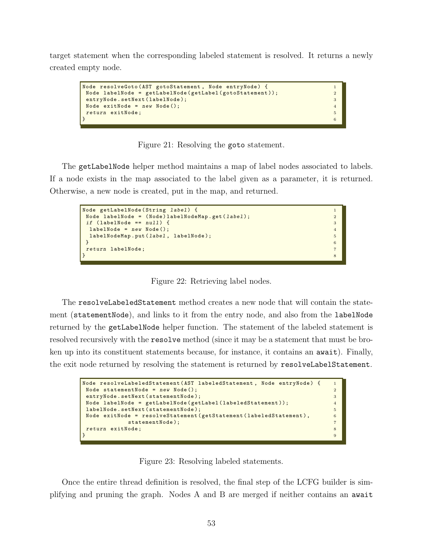target statement when the corresponding labeled statement is resolved. It returns a newly created empty node.

```
Node resolveGoto (AST gotoStatement, Node entryNode) { 1Node labelNode = getLabelNode (getLabel (gotoStatement)); 2
entryNode . setNext (labelNode); 33
Node exitNode = new Node (); 4
return exitNode; 5
\}
```
Figure 21: Resolving the goto statement.

The getLabelNode helper method maintains a map of label nodes associated to labels. If a node exists in the map associated to the label given as a parameter, it is returned. Otherwise, a new node is created, put in the map, and returned.

```
Node getLabelNode (String label) { 1
Node labelNode = (Node) labelNodeMap.get (label); 2
if (labelNode == null) { 3\texttt{labelNode} = \texttt{newNode} ();
labelNodeMap.put (label, labelNode); 5
\}return labelNode: 7
\}
```
Figure 22: Retrieving label nodes.

The resolveLabeledStatement method creates a new node that will contain the statement (statementNode), and links to it from the entry node, and also from the labelNode returned by the getLabelNode helper function. The statement of the labeled statement is resolved recursively with the resolve method (since it may be a statement that must be broken up into its constituent statements because, for instance, it contains an await). Finally, the exit node returned by resolving the statement is returned by resolveLabelStatement.



Figure 23: Resolving labeled statements.

Once the entire thread definition is resolved, the final step of the LCFG builder is simplifying and pruning the graph. Nodes A and B are merged if neither contains an await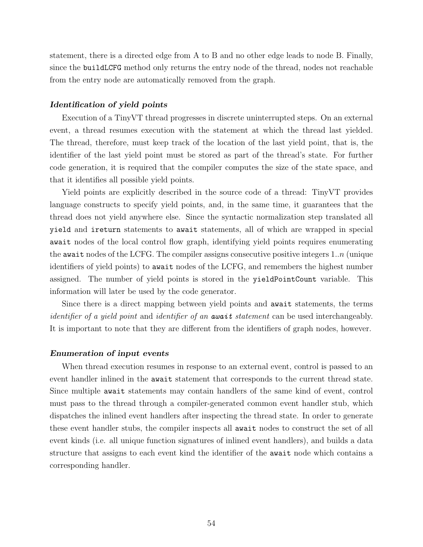statement, there is a directed edge from A to B and no other edge leads to node B. Finally, since the buildLCFG method only returns the entry node of the thread, nodes not reachable from the entry node are automatically removed from the graph.

# Identification of yield points

Execution of a TinyVT thread progresses in discrete uninterrupted steps. On an external event, a thread resumes execution with the statement at which the thread last yielded. The thread, therefore, must keep track of the location of the last yield point, that is, the identifier of the last yield point must be stored as part of the thread's state. For further code generation, it is required that the compiler computes the size of the state space, and that it identifies all possible yield points.

Yield points are explicitly described in the source code of a thread: TinyVT provides language constructs to specify yield points, and, in the same time, it guarantees that the thread does not yield anywhere else. Since the syntactic normalization step translated all yield and ireturn statements to await statements, all of which are wrapped in special await nodes of the local control flow graph, identifying yield points requires enumerating the await nodes of the LCFG. The compiler assigns consecutive positive integers  $1..n$  (unique identifiers of yield points) to await nodes of the LCFG, and remembers the highest number assigned. The number of yield points is stored in the yieldPointCount variable. This information will later be used by the code generator.

Since there is a direct mapping between yield points and await statements, the terms *identifier of a yield point and identifier of an await statement* can be used interchangeably. It is important to note that they are different from the identifiers of graph nodes, however.

## Enumeration of input events

When thread execution resumes in response to an external event, control is passed to an event handler inlined in the await statement that corresponds to the current thread state. Since multiple await statements may contain handlers of the same kind of event, control must pass to the thread through a compiler-generated common event handler stub, which dispatches the inlined event handlers after inspecting the thread state. In order to generate these event handler stubs, the compiler inspects all await nodes to construct the set of all event kinds (i.e. all unique function signatures of inlined event handlers), and builds a data structure that assigns to each event kind the identifier of the await node which contains a corresponding handler.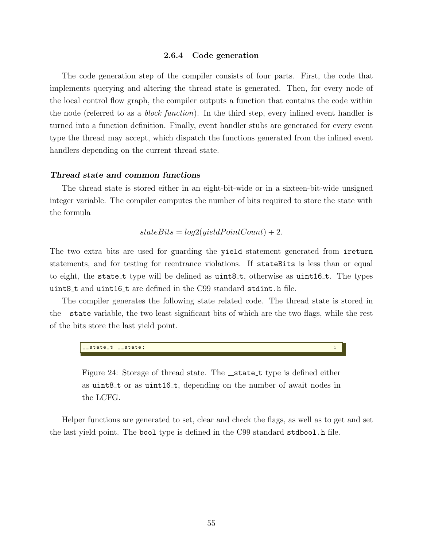### 2.6.4 Code generation

The code generation step of the compiler consists of four parts. First, the code that implements querying and altering the thread state is generated. Then, for every node of the local control flow graph, the compiler outputs a function that contains the code within the node (referred to as a block function). In the third step, every inlined event handler is turned into a function definition. Finally, event handler stubs are generated for every event type the thread may accept, which dispatch the functions generated from the inlined event handlers depending on the current thread state.

### Thread state and common functions

The thread state is stored either in an eight-bit-wide or in a sixteen-bit-wide unsigned integer variable. The compiler computes the number of bits required to store the state with the formula

$$
stateBits = log2(yieldPointCount) + 2.
$$

The two extra bits are used for guarding the yield statement generated from ireturn statements, and for testing for reentrance violations. If stateBits is less than or equal to eight, the state  $t$  type will be defined as uint $8-t$ , otherwise as uint $16-t$ . The types uint8<sub>-t</sub> and uint16<sub>-t</sub> are defined in the C99 standard stdint.h file.

The compiler generates the following state related code. The thread state is stored in the \_state variable, the two least significant bits of which are the two flags, while the rest of the bits store the last yield point.

 $\frac{1}{1}$ \_state\_t  $\frac{1}{1}$ 

Figure 24: Storage of thread state. The **\_state\_t** type is defined either as uint8<sub>-t</sub> or as uint16<sub>-t</sub>, depending on the number of await nodes in the LCFG.

Helper functions are generated to set, clear and check the flags, as well as to get and set the last yield point. The bool type is defined in the C99 standard stdbool.h file.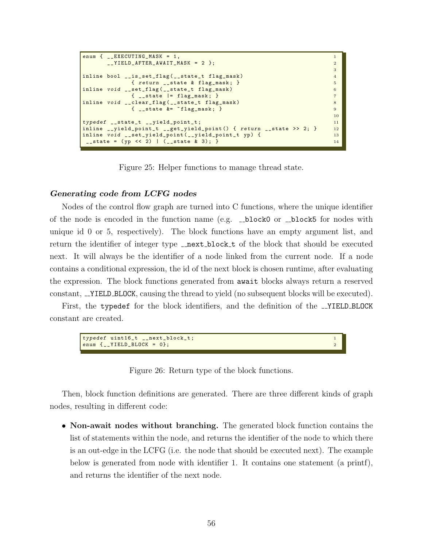```
\text{enum } \left\{ \begin{array}{rcl} \texttt{L} & \texttt{L} \\ \texttt{L} & \texttt{L} \end{array} \right.\texttt{\_YIELD}\texttt{\_}AFTER_AWAIT_MASK = 2 }; 2
                                                                           3
inline bool __is_set_flag(__state_t flag_mask) 4
              { return __state & flag_mask ; } 5
inline void __set_flag(__state_t flag_mask) 6
             { \qquad \qquad \qquad \qquad \qquad \qquad \qquad \qquad \qquad \qquad \qquad \qquad \qquad \qquad \qquad \qquad \qquad \qquad \qquad \qquad \qquad \qquad \qquad \qquad \qquad \qquad \qquad \qquad \qquad \qquad \qquad \qquad \qquad \qquad \qquad \qquad inline void __clear_flag(__state_t flag_mask) 88
               \{ __state &= \tilde{ } flag_mask; } 9
                                                                           10
typedef __state_t __yield_point_t; 11
inline \text{\_}yield_point_t \text{\_}get\_yield\_point() { return \text{\_}state >> 2; } 12
inline void __set_yield_point (__yield_point_t yp) { 13
 __state = ( yp << 2) | ( __state & 3); } 14
```
Figure 25: Helper functions to manage thread state.

# Generating code from LCFG nodes

Nodes of the control flow graph are turned into C functions, where the unique identifier of the node is encoded in the function name (e.g.  $\Box$ block0 or  $\Box$ block5 for nodes with unique id 0 or 5, respectively). The block functions have an empty argument list, and return the identifier of integer type \_next\_block\_t of the block that should be executed next. It will always be the identifier of a node linked from the current node. If a node contains a conditional expression, the id of the next block is chosen runtime, after evaluating the expression. The block functions generated from await blocks always return a reserved constant, \_\_**YIELD\_BLOCK**, causing the thread to yield (no subsequent blocks will be executed).

First, the typedef for the block identifiers, and the definition of the \_YIELD\_BLOCK constant are created.

```
typedef uint16_t __next_block_t ; 1
enum \{_YIELD_BLOCK = 0};
```
Figure 26: Return type of the block functions.

Then, block function definitions are generated. There are three different kinds of graph nodes, resulting in different code:

• Non-await nodes without branching. The generated block function contains the list of statements within the node, and returns the identifier of the node to which there is an out-edge in the LCFG (i.e. the node that should be executed next). The example below is generated from node with identifier 1. It contains one statement (a printf), and returns the identifier of the next node.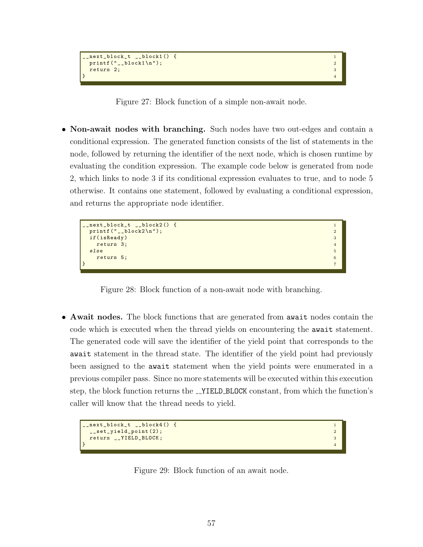```
__next_block_t __block1 () { 1
print('\_block1 \n''); 2
return 2; 3
\}
```
Figure 27: Block function of a simple non-await node.

• Non-await nodes with branching. Such nodes have two out-edges and contain a conditional expression. The generated function consists of the list of statements in the node, followed by returning the identifier of the next node, which is chosen runtime by evaluating the condition expression. The example code below is generated from node 2, which links to node 3 if its conditional expression evaluates to true, and to node 5 otherwise. It contains one statement, followed by evaluating a conditional expression, and returns the appropriate node identifier.

```
__next_block_t __block2 () { 1
 \text{print} ("\text{\_}block2\n"); 2
 if(isReady ) 3
   return 3; 4 and 4 and 4 and 4 and 4 and 4 and 4 and 4 and 4 and 4 and 4 and 4 and 4 and 4 and 4 and 4 and 4 and 4 and 4 and 4 and 4 and 4 and 4 and 4 and 4 and 4 and 4 and 4 and 4 and 4 and 4 and 4 and 4 and 4 and 4 and 4 
 else 55 animation of the set of the set of the set of the set of the set of the set of the set of the set of t
   return 5; 6
\}
```
Figure 28: Block function of a non-await node with branching.

• Await nodes. The block functions that are generated from await nodes contain the code which is executed when the thread yields on encountering the await statement. The generated code will save the identifier of the yield point that corresponds to the await statement in the thread state. The identifier of the yield point had previously been assigned to the await statement when the yield points were enumerated in a previous compiler pass. Since no more statements will be executed within this execution step, the block function returns the \_YIELD\_BLOCK constant, from which the function's caller will know that the thread needs to yield.

```
__next_block_t __block4() {
__set_yield_point (2); 2
return __YIELD_BLOCK ; 3
\}
```
Figure 29: Block function of an await node.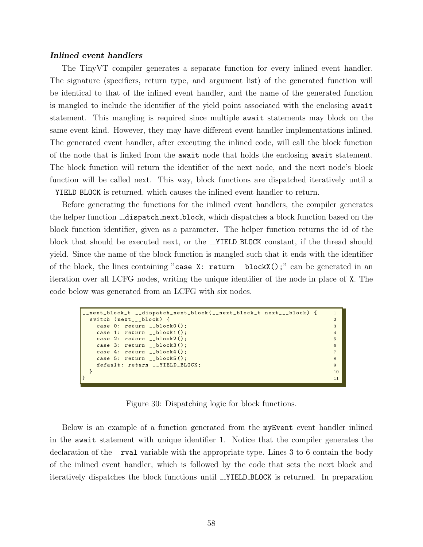## Inlined event handlers

The TinyVT compiler generates a separate function for every inlined event handler. The signature (specifiers, return type, and argument list) of the generated function will be identical to that of the inlined event handler, and the name of the generated function is mangled to include the identifier of the yield point associated with the enclosing await statement. This mangling is required since multiple await statements may block on the same event kind. However, they may have different event handler implementations inlined. The generated event handler, after executing the inlined code, will call the block function of the node that is linked from the await node that holds the enclosing await statement. The block function will return the identifier of the next node, and the next node's block function will be called next. This way, block functions are dispatched iteratively until a YIELD BLOCK is returned, which causes the inlined event handler to return.

Before generating the functions for the inlined event handlers, the compiler generates the helper function  $\text{\_}$ dispatch next block, which dispatches a block function based on the block function identifier, given as a parameter. The helper function returns the id of the block that should be executed next, or the **\_YIELD\_BLOCK** constant, if the thread should yield. Since the name of the block function is mangled such that it ends with the identifier of the block, the lines containing "case X: return \_blockX();" can be generated in an iteration over all LCFG nodes, writing the unique identifier of the node in place of X. The code below was generated from an LCFG with six nodes.

```
_next_block_t __dispatch_next_block(__next_block_t next___block) { 1
switch (next___block) { 2
 case 0: return __block0(); 3
 case 1: return __block1(); 4
 case 2: return __block2(); 5
 case 3: return __block3(); 6
 case 4: return __block4(); 7
 case 5: return __block5();<br>default: return __YIELD_BLOCK; 9
 default: return __YIELD_BLOCK;
\} 10
\}
```
Figure 30: Dispatching logic for block functions.

Below is an example of a function generated from the myEvent event handler inlined in the await statement with unique identifier 1. Notice that the compiler generates the declaration of the  $\lnot$  variable with the appropriate type. Lines 3 to 6 contain the body of the inlined event handler, which is followed by the code that sets the next block and iteratively dispatches the block functions until YIELD BLOCK is returned. In preparation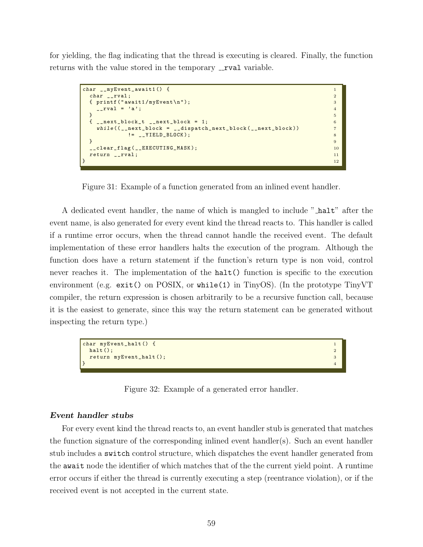for yielding, the flag indicating that the thread is executing is cleared. Finally, the function returns with the value stored in the temporary **rval** variable.

```
char __myEvent_await1 () { 1
char_{-r}val; 2
{ printf ("await1/myEvent\n"); 3
 \frac{1}{2}rval = 'a'; 4
\}\frac{1}{\text{rank\_block\_t}} \frac{1}{\text{rank\_block}} = 1; 6<br>
\frac{1}{\text{rank}(1 - \text{rank\_block})} = dispatch next block ( next block)) 7
 while ((__next_block = __dispatch_next_block (__next_block))
      != __YIELD_BLOCK ); 8
\}_clear_flag(__EXECUTING_MASK); 10
return __rval ; 11
\}
```
Figure 31: Example of a function generated from an inlined event handler.

A dedicated event handler, the name of which is mangled to include " halt" after the event name, is also generated for every event kind the thread reacts to. This handler is called if a runtime error occurs, when the thread cannot handle the received event. The default implementation of these error handlers halts the execution of the program. Although the function does have a return statement if the function's return type is non void, control never reaches it. The implementation of the halt() function is specific to the execution environment (e.g. exit() on POSIX, or while(1) in TinyOS). (In the prototype TinyVT compiler, the return expression is chosen arbitrarily to be a recursive function call, because it is the easiest to generate, since this way the return statement can be generated without inspecting the return type.)

```
char myEvent_halt() {
  halt ( ); 2 \, 2 \, 2 \, 2 \, 2 \, 2 \, 2 \, 2 \, 2 \, 2 \, 2 \, 2 \, 2 \, 2 \, 2 \, 2 \, 2 \, 2 \, 2 \, 2 \, 2 \, 2 \, 2 \, 2 \, 2 \, 2 \, 2 \, 2 \, 2 \, 2 \, 2
  return myEvent_halt();
\}
```
Figure 32: Example of a generated error handler.

# Event handler stubs

For every event kind the thread reacts to, an event handler stub is generated that matches the function signature of the corresponding inlined event handler(s). Such an event handler stub includes a switch control structure, which dispatches the event handler generated from the await node the identifier of which matches that of the the current yield point. A runtime error occurs if either the thread is currently executing a step (reentrance violation), or if the received event is not accepted in the current state.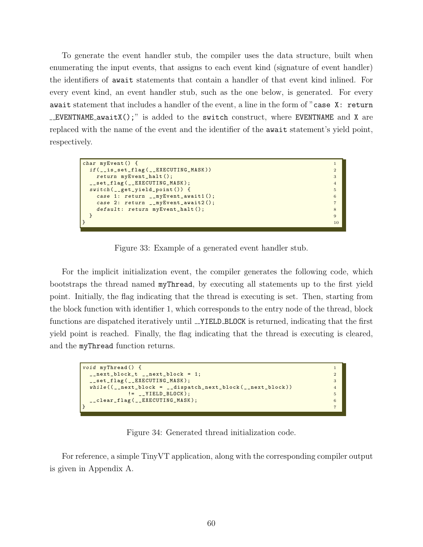To generate the event handler stub, the compiler uses the data structure, built when enumerating the input events, that assigns to each event kind (signature of event handler) the identifiers of await statements that contain a handler of that event kind inlined. For every event kind, an event handler stub, such as the one below, is generated. For every await statement that includes a handler of the event, a line in the form of "case X: return  $LEVENTNAME$  awaitX();" is added to the switch construct, where EVENTNAME and X are replaced with the name of the event and the identifier of the await statement's yield point, respectively.

```
char myEvent () { 1
if(\_\texttt{mis\_set\_flag}(\_\texttt{EXECUTIONASK})) 2
 return myEvent_halt (); 3
 _set_flag(__EXECUTING_MASK); 4
switch ( __get_yield_point ()) { 5case 1: return __myEvent_await1(); 6
 case 2: return __myEvent_await2(); 7
 default: return myEvent_halt(); 8
\}\} 10
```
Figure 33: Example of a generated event handler stub.

For the implicit initialization event, the compiler generates the following code, which bootstraps the thread named myThread, by executing all statements up to the first yield point. Initially, the flag indicating that the thread is executing is set. Then, starting from the block function with identifier 1, which corresponds to the entry node of the thread, block functions are dispatched iteratively until \_YIELD\_BLOCK is returned, indicating that the first yield point is reached. Finally, the flag indicating that the thread is executing is cleared, and the myThread function returns.

```
\mathbf void myThread () { 1\texttt{__next\_block\_t} \texttt{__next\_block} = 1; 2
   __set_flag(__EXECUTING_MASK); 33
   while ((\underline{\hspace{1cm}}\underline{\hspace{1cm}}\underline{\hspace{1cm}}\underline{\hspace{1cm}}\underline{\hspace{1cm}}\underline{\hspace{1cm}}\underline{\hspace{1cm}}\underline{\hspace{1cm}}\underline{\hspace{1cm}}\underline{\hspace{1cm}}\underline{\hspace{1cm}}\underline{\hspace{1cm}}\underline{\hspace{1cm}}\underline{\hspace{1cm}}\underline{\hspace{1cm}}\underline{\hspace{1cm}}\underline{\hspace{1cm}}\underline{\hspace{1cm}}\underline{\hspace{1cm}}\underline{\hspace{1cm}}\underline{\hspace{1cm}}\underline{\hspace{1cm}}\underline{\hspace{1cm}}\underline{\hspace{1cm}}\underline!= __YIELD_BLOCK ); 5
     external clear_flag(__EXECUTING_MASK); 6
\}
```
Figure 34: Generated thread initialization code.

For reference, a simple TinyVT application, along with the corresponding compiler output is given in Appendix [A.](#page-130-0)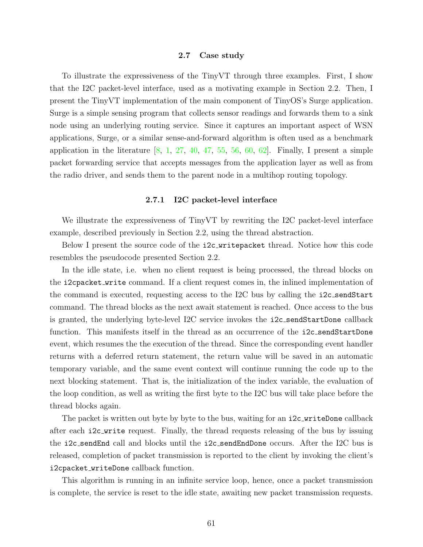#### 2.7 Case study

To illustrate the expressiveness of the TinyVT through three examples. First, I show that the I2C packet-level interface, used as a motivating example in Section [2.2.](#page-30-0) Then, I present the TinyVT implementation of the main component of TinyOS's Surge application. Surge is a simple sensing program that collects sensor readings and forwards them to a sink node using an underlying routing service. Since it captures an important aspect of WSN applications, Surge, or a similar sense-and-forward algorithm is often used as a benchmark application in the literature  $[8, 1, 27, 40, 47, 55, 56, 60, 62]$  $[8, 1, 27, 40, 47, 55, 56, 60, 62]$  $[8, 1, 27, 40, 47, 55, 56, 60, 62]$  $[8, 1, 27, 40, 47, 55, 56, 60, 62]$  $[8, 1, 27, 40, 47, 55, 56, 60, 62]$  $[8, 1, 27, 40, 47, 55, 56, 60, 62]$  $[8, 1, 27, 40, 47, 55, 56, 60, 62]$  $[8, 1, 27, 40, 47, 55, 56, 60, 62]$  $[8, 1, 27, 40, 47, 55, 56, 60, 62]$  $[8, 1, 27, 40, 47, 55, 56, 60, 62]$  $[8, 1, 27, 40, 47, 55, 56, 60, 62]$  $[8, 1, 27, 40, 47, 55, 56, 60, 62]$  $[8, 1, 27, 40, 47, 55, 56, 60, 62]$  $[8, 1, 27, 40, 47, 55, 56, 60, 62]$  $[8, 1, 27, 40, 47, 55, 56, 60, 62]$  $[8, 1, 27, 40, 47, 55, 56, 60, 62]$  $[8, 1, 27, 40, 47, 55, 56, 60, 62]$ . Finally, I present a simple packet forwarding service that accepts messages from the application layer as well as from the radio driver, and sends them to the parent node in a multihop routing topology.

### 2.7.1 I2C packet-level interface

We illustrate the expressiveness of TinyVT by rewriting the I2C packet-level interface example, described previously in Section [2.2,](#page-30-0) using the thread abstraction.

Below I present the source code of the i2c writepacket thread. Notice how this code resembles the pseudocode presented Section [2.2.](#page-30-0)

In the idle state, i.e. when no client request is being processed, the thread blocks on the i2cpacket write command. If a client request comes in, the inlined implementation of the command is executed, requesting access to the I2C bus by calling the i2c\_sendStart command. The thread blocks as the next await statement is reached. Once access to the bus is granted, the underlying byte-level I2C service invokes the i2c sendStartDone callback function. This manifests itself in the thread as an occurrence of the i2c\_sendStartDone event, which resumes the the execution of the thread. Since the corresponding event handler returns with a deferred return statement, the return value will be saved in an automatic temporary variable, and the same event context will continue running the code up to the next blocking statement. That is, the initialization of the index variable, the evaluation of the loop condition, as well as writing the first byte to the I2C bus will take place before the thread blocks again.

The packet is written out byte by byte to the bus, waiting for an i2c\_writeDone callback after each i2c write request. Finally, the thread requests releasing of the bus by issuing the i2c sendEnd call and blocks until the i2c sendEndDone occurs. After the I2C bus is released, completion of packet transmission is reported to the client by invoking the client's i2cpacket writeDone callback function.

This algorithm is running in an infinite service loop, hence, once a packet transmission is complete, the service is reset to the idle state, awaiting new packet transmission requests.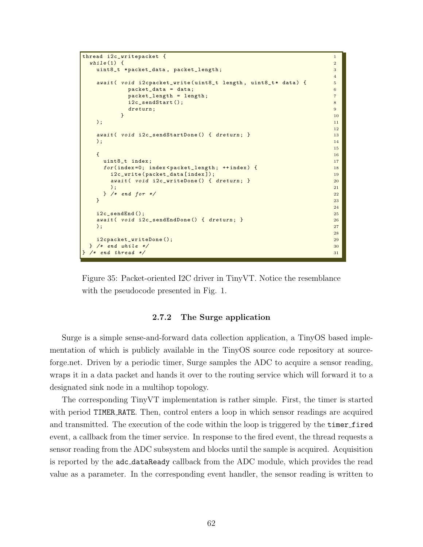```
thread i2c_writepacket { 1
 while (1) { 2uint8_t *packet_data, packet_length; 3
  await ( void i2cpacket_write ( uint 8_t length, uint 8_t* data ) { 5
        packet_data = data; 6
        packet_length = length; 7
        i2c_sendStart (); 8
         dreturn ; 9
       \} 10
  ); the contract of the contract of the contract of the contract of the contract of the contract of \mathbb{I}await ( void i2c_sendStartDone () { dreturn; } 13
  ); the contract of the contract of the contract of the contract of the contract of the contract of the contract of the contract of the contract of the contract of the contract of the contract of the contract of the contra
  \{ 16
    uint8 t index ; 17
    for (index=0; index <packet_length; ++index) { 18
     i2c_write (packet_data [index]); 19
     await ( void i2c_writeDone () { dreturn; } 20
     ); the contract of the contract of the contract of the contract of the contract of the contract of 21} /* end for */ 22
  \}i2c<sub>s</sub> i2c<sub>s</sub> i2c<sub>s</sub> i2c<sub>s</sub> i2c<sub>s</sub> i25await ( void i2c_sendEndDone () { dreturn; } 26
  ) ; the contract of the contract of the contract of the contract of the contract of the contract of 27i2cpacket_writeDone (); 29
 } / * end while * / 30
} /* end thread */ 31
```
4

12

15

24

28

Figure 35: Packet-oriented I2C driver in TinyVT. Notice the resemblance with the pseudocode presented in Fig. [1.](#page-31-0)

# 2.7.2 The Surge application

Surge is a simple sense-and-forward data collection application, a TinyOS based implementation of which is publicly available in the TinyOS source code repository at sourceforge.net. Driven by a periodic timer, Surge samples the ADC to acquire a sensor reading, wraps it in a data packet and hands it over to the routing service which will forward it to a designated sink node in a multihop topology.

The corresponding TinyVT implementation is rather simple. First, the timer is started with period **TIMER RATE**. Then, control enters a loop in which sensor readings are acquired and transmitted. The execution of the code within the loop is triggered by the timer fired event, a callback from the timer service. In response to the fired event, the thread requests a sensor reading from the ADC subsystem and blocks until the sample is acquired. Acquisition is reported by the adc dataReady callback from the ADC module, which provides the read value as a parameter. In the corresponding event handler, the sensor reading is written to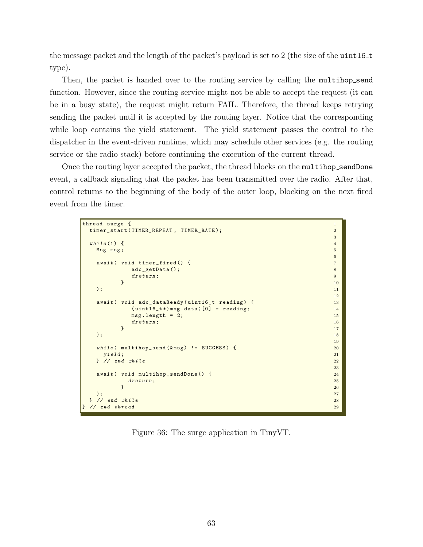the message packet and the length of the packet's payload is set to 2 (the size of the uint16  $\pm$ type).

Then, the packet is handed over to the routing service by calling the multihop\_send function. However, since the routing service might not be able to accept the request (it can be in a busy state), the request might return FAIL. Therefore, the thread keeps retrying sending the packet until it is accepted by the routing layer. Notice that the corresponding while loop contains the yield statement. The yield statement passes the control to the dispatcher in the event-driven runtime, which may schedule other services (e.g. the routing service or the radio stack) before continuing the execution of the current thread.

Once the routing layer accepted the packet, the thread blocks on the multihop sendDone event, a callback signaling that the packet has been transmitted over the radio. After that, control returns to the beginning of the body of the outer loop, blocking on the next fired event from the timer.

3

6

12

19

23

```
thread surge { \qquad \qquad 1
 timer_start (TIMER_REPEAT, TIMER_RATE); 2
 while (1) { 4Msg msg; 5await ( void timer_fired () { 7
           adc_getData(); 8
           dreturn ; 900 percent systems in the set of the set of the set of the set of the set of the set of the set of the set of the set of the set of the set of the set of the set of the set of the set of the set of the set of th
         \} 10
   ); the contract of the contract of the contract of the contract of the contract of the contract of \simawait ( void adc_dataReady ( uint16_t reading ) { 13
           (uint16_t *) msg.data [0] = reading; 14
           msg.length = 2; 15
           dreturn ; 16 and 16 and 16 and 16 and 16 and 16 and 16 and 16 and 16 and 16 and 16 and 16 and 16 and 16 and 16 and 16 and 16 and 16 and 16 and 16 and 16 and 16 and 16 and 16 and 16 and 16 and 16 and 16 and 16 and 16 and 16
         \} 17
   ); the contract of the contract of the contract of the contract of the contract of the contract of the contract of the contract of the contract of the contract of the contract of the contract of the contract of the contra
   while ( multihop\_send (& msg) != SUCESS) { (20
     yield; 21
    \frac{1}{2} and while 22
   await ( void multihop_sendDone () { 24
          dreturn ; 25\} 26
   ) ; the contract of the contract of the contract of the contract of the contract of the contract of 27} // end while 28
 \frac{1}{2} and thread 29
```
Figure 36: The surge application in TinyVT.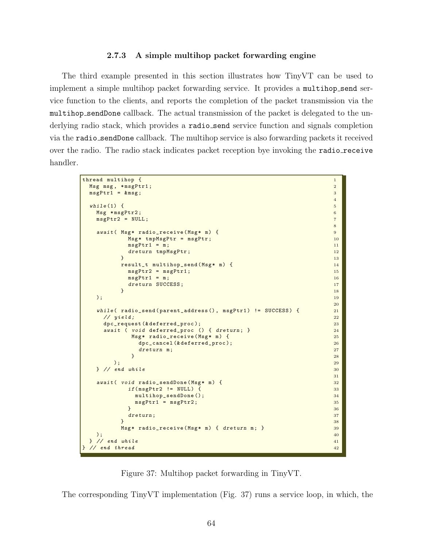# 2.7.3 A simple multihop packet forwarding engine

The third example presented in this section illustrates how TinyVT can be used to implement a simple multihop packet forwarding service. It provides a multihop send service function to the clients, and reports the completion of the packet transmission via the multihop sendDone callback. The actual transmission of the packet is delegated to the underlying radio stack, which provides a radio\_send service function and signals completion via the radio sendDone callback. The multihop service is also forwarding packets it received over the radio. The radio stack indicates packet reception bye invoking the radio receive handler.

4

8

20

31

```
thread multihop { 1Msg msg, *msgPtr1; 2
 msgPtr1 = \&msg; 3
 while (1) { 5Msg *msgPtr2; 6
  msgPtr2 = NULL; 7
  await ( Msg * radio_receive (Msg * m) { 9
       Msg* tmpMsgPtr = msgPtr; 10
       msgPtr1 = m; 11
       dreturn tmpMsgPtr; 12
      \} 13
      result_t multihop_send (Msg * m) { 14
       msgPtr2 = msgPtr1; 15
       msgPtr1 = m; 16
       dreturn SUCCESS; 17
      \} 18
  ); the contract of the contract of the contract of the contract of the contract of the contract of the contract of the contract of the contract of the contract of the contract of the contract of the contract of the contra
  while (radio-send (parameters), msgPtr1) != SUCCESS) { 21\frac{1}{22} yield; 22
   dpc_request (& deferred_proc); 23
   await ( void deferred_proc () { dreturn; } 24
        Msg* radio_receive (Msg* m) { 25
         dpc_cancel (& deferred_proc); 26
         dreturn m; 27
        \} 28
     ); the contract of the contract of the contract of the contract of the contract of the contract of the contract of the contract of the contract of the contract of the contract of the contract of the contract of the contra
  \frac{1}{2} // end while 30
  await( void radio_sendDone (Msg* m) { 32if(msgPtr2 != NULL) {multihop_sendDone (); 34
        msgPtr1 = msgPtr2; 35
       \}dreturn ; 37
      \} 38
      Msg* radio_receive (Msg* m) { dreturn m; } 39
  ); the contract of the contract of the contract of the contract of the contract of the contract of the contract of the contract of the contract of the contract of the contract of the contract of the contract of the contra
 } // end while 41
\frac{1}{2} end thread \frac{42}{2}
```
<span id="page-73-0"></span>

The corresponding TinyVT implementation (Fig. [37\)](#page-73-0) runs a service loop, in which, the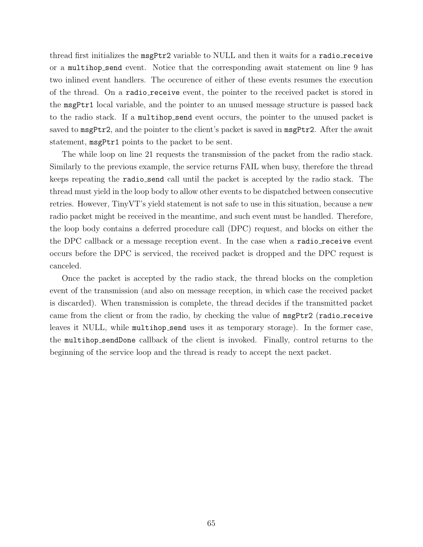thread first initializes the msgPtr2 variable to NULL and then it waits for a radio receive or a multihop send event. Notice that the corresponding await statement on line 9 has two inlined event handlers. The occurence of either of these events resumes the execution of the thread. On a radio receive event, the pointer to the received packet is stored in the msgPtr1 local variable, and the pointer to an unused message structure is passed back to the radio stack. If a multihop send event occurs, the pointer to the unused packet is saved to msgPtr2, and the pointer to the client's packet is saved in msgPtr2. After the await statement, msgPtr1 points to the packet to be sent.

The while loop on line 21 requests the transmission of the packet from the radio stack. Similarly to the previous example, the service returns FAIL when busy, therefore the thread keeps repeating the radio send call until the packet is accepted by the radio stack. The thread must yield in the loop body to allow other events to be dispatched between consecutive retries. However, TinyVT's yield statement is not safe to use in this situation, because a new radio packet might be received in the meantime, and such event must be handled. Therefore, the loop body contains a deferred procedure call (DPC) request, and blocks on either the the DPC callback or a message reception event. In the case when a radio receive event occurs before the DPC is serviced, the received packet is dropped and the DPC request is canceled.

Once the packet is accepted by the radio stack, the thread blocks on the completion event of the transmission (and also on message reception, in which case the received packet is discarded). When transmission is complete, the thread decides if the transmitted packet came from the client or from the radio, by checking the value of msgPtr2 (radio\_receive leaves it NULL, while multihop-send uses it as temporary storage). In the former case, the multihop sendDone callback of the client is invoked. Finally, control returns to the beginning of the service loop and the thread is ready to accept the next packet.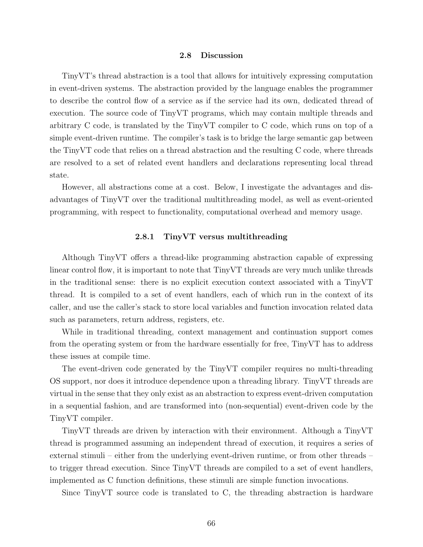#### 2.8 Discussion

TinyVT's thread abstraction is a tool that allows for intuitively expressing computation in event-driven systems. The abstraction provided by the language enables the programmer to describe the control flow of a service as if the service had its own, dedicated thread of execution. The source code of TinyVT programs, which may contain multiple threads and arbitrary C code, is translated by the TinyVT compiler to C code, which runs on top of a simple event-driven runtime. The compiler's task is to bridge the large semantic gap between the TinyVT code that relies on a thread abstraction and the resulting C code, where threads are resolved to a set of related event handlers and declarations representing local thread state.

However, all abstractions come at a cost. Below, I investigate the advantages and disadvantages of TinyVT over the traditional multithreading model, as well as event-oriented programming, with respect to functionality, computational overhead and memory usage.

## 2.8.1 TinyVT versus multithreading

Although TinyVT offers a thread-like programming abstraction capable of expressing linear control flow, it is important to note that TinyVT threads are very much unlike threads in the traditional sense: there is no explicit execution context associated with a TinyVT thread. It is compiled to a set of event handlers, each of which run in the context of its caller, and use the caller's stack to store local variables and function invocation related data such as parameters, return address, registers, etc.

While in traditional threading, context management and continuation support comes from the operating system or from the hardware essentially for free, TinyVT has to address these issues at compile time.

The event-driven code generated by the TinyVT compiler requires no multi-threading OS support, nor does it introduce dependence upon a threading library. TinyVT threads are virtual in the sense that they only exist as an abstraction to express event-driven computation in a sequential fashion, and are transformed into (non-sequential) event-driven code by the TinyVT compiler.

TinyVT threads are driven by interaction with their environment. Although a TinyVT thread is programmed assuming an independent thread of execution, it requires a series of external stimuli – either from the underlying event-driven runtime, or from other threads – to trigger thread execution. Since TinyVT threads are compiled to a set of event handlers, implemented as C function definitions, these stimuli are simple function invocations.

Since TinyVT source code is translated to C, the threading abstraction is hardware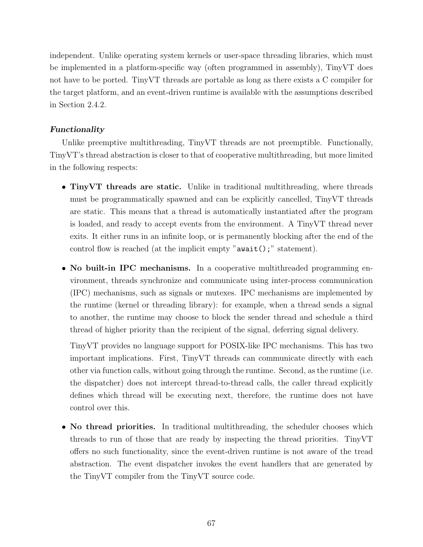independent. Unlike operating system kernels or user-space threading libraries, which must be implemented in a platform-specific way (often programmed in assembly), TinyVT does not have to be ported. TinyVT threads are portable as long as there exists a C compiler for the target platform, and an event-driven runtime is available with the assumptions described in Section [2.4.2.](#page-35-0)

# Functionality

Unlike preemptive multithreading, TinyVT threads are not preemptible. Functionally, TinyVT's thread abstraction is closer to that of cooperative multithreading, but more limited in the following respects:

- Tiny VT threads are static. Unlike in traditional multithreading, where threads must be programmatically spawned and can be explicitly cancelled, TinyVT threads are static. This means that a thread is automatically instantiated after the program is loaded, and ready to accept events from the environment. A TinyVT thread never exits. It either runs in an infinite loop, or is permanently blocking after the end of the control flow is reached (at the implicit empty "await();" statement).
- No built-in IPC mechanisms. In a cooperative multithreaded programming environment, threads synchronize and communicate using inter-process communication (IPC) mechanisms, such as signals or mutexes. IPC mechanisms are implemented by the runtime (kernel or threading library): for example, when a thread sends a signal to another, the runtime may choose to block the sender thread and schedule a third thread of higher priority than the recipient of the signal, deferring signal delivery.

TinyVT provides no language support for POSIX-like IPC mechanisms. This has two important implications. First, TinyVT threads can communicate directly with each other via function calls, without going through the runtime. Second, as the runtime (i.e. the dispatcher) does not intercept thread-to-thread calls, the caller thread explicitly defines which thread will be executing next, therefore, the runtime does not have control over this.

• No thread priorities. In traditional multithreading, the scheduler chooses which threads to run of those that are ready by inspecting the thread priorities. TinyVT offers no such functionality, since the event-driven runtime is not aware of the tread abstraction. The event dispatcher invokes the event handlers that are generated by the TinyVT compiler from the TinyVT source code.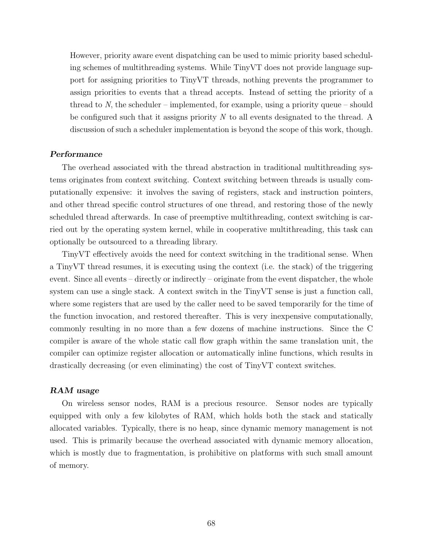However, priority aware event dispatching can be used to mimic priority based scheduling schemes of multithreading systems. While TinyVT does not provide language support for assigning priorities to TinyVT threads, nothing prevents the programmer to assign priorities to events that a thread accepts. Instead of setting the priority of a thread to  $N$ , the scheduler – implemented, for example, using a priority queue – should be configured such that it assigns priority  $N$  to all events designated to the thread. A discussion of such a scheduler implementation is beyond the scope of this work, though.

### Performance

The overhead associated with the thread abstraction in traditional multithreading systems originates from context switching. Context switching between threads is usually computationally expensive: it involves the saving of registers, stack and instruction pointers, and other thread specific control structures of one thread, and restoring those of the newly scheduled thread afterwards. In case of preemptive multithreading, context switching is carried out by the operating system kernel, while in cooperative multithreading, this task can optionally be outsourced to a threading library.

TinyVT effectively avoids the need for context switching in the traditional sense. When a TinyVT thread resumes, it is executing using the context (i.e. the stack) of the triggering event. Since all events – directly or indirectly – originate from the event dispatcher, the whole system can use a single stack. A context switch in the TinyVT sense is just a function call, where some registers that are used by the caller need to be saved temporarily for the time of the function invocation, and restored thereafter. This is very inexpensive computationally, commonly resulting in no more than a few dozens of machine instructions. Since the C compiler is aware of the whole static call flow graph within the same translation unit, the compiler can optimize register allocation or automatically inline functions, which results in drastically decreasing (or even eliminating) the cost of TinyVT context switches.

# RAM usage

On wireless sensor nodes, RAM is a precious resource. Sensor nodes are typically equipped with only a few kilobytes of RAM, which holds both the stack and statically allocated variables. Typically, there is no heap, since dynamic memory management is not used. This is primarily because the overhead associated with dynamic memory allocation, which is mostly due to fragmentation, is prohibitive on platforms with such small amount of memory.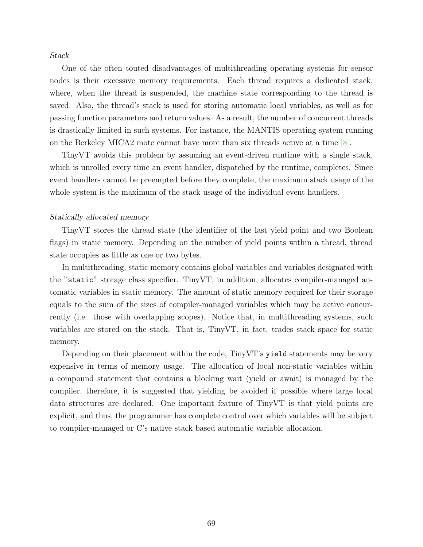#### Stack

One of the often touted disadvantages of multithreading operating systems for sensor nodes is their excessive memory requirements. Each thread requires a dedicated stack, where, when the thread is suspended, the machine state corresponding to the thread is saved. Also, the thread's stack is used for storing automatic local variables, as well as for passing function parameters and return values. As a result, the number of concurrent threads is drastically limited in such systems. For instance, the MANTIS operating system running on the Berkeley MICA2 mote cannot have more than six threads active at a time [\[8\]](#page-137-0).

TinyVT avoids this problem by assuming an event-driven runtime with a single stack, which is unrolled every time an event handler, dispatched by the runtime, completes. Since event handlers cannot be preempted before they complete, the maximum stack usage of the whole system is the maximum of the stack usage of the individual event handlers.

#### Statically allocated memory

TinyVT stores the thread state (the identifier of the last yield point and two Boolean flags) in static memory. Depending on the number of yield points within a thread, thread state occupies as little as one or two bytes.

In multithreading, static memory contains global variables and variables designated with the "static" storage class specifier. TinyVT, in addition, allocates compiler-managed automatic variables in static memory. The amount of static memory required for their storage equals to the sum of the sizes of compiler-managed variables which may be active concurrently (i.e. those with overlapping scopes). Notice that, in multithreading systems, such variables are stored on the stack. That is, TinyVT, in fact, trades stack space for static memory.

Depending on their placement within the code, TinyVT's yield statements may be very expensive in terms of memory usage. The allocation of local non-static variables within a compound statement that contains a blocking wait (yield or await) is managed by the compiler, therefore, it is suggested that yielding be avoided if possible where large local data structures are declared. One important feature of TinyVT is that yield points are explicit, and thus, the programmer has complete control over which variables will be subject to compiler-managed or C's native stack based automatic variable allocation.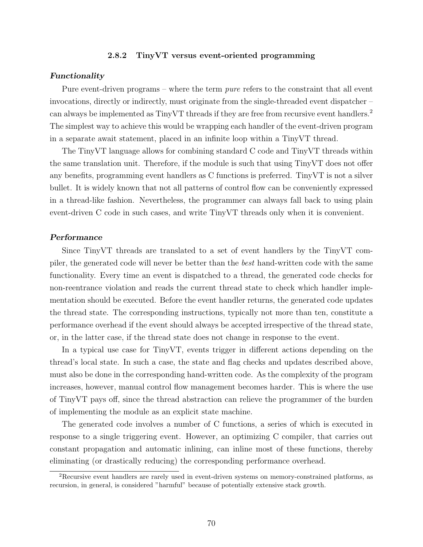# 2.8.2 TinyVT versus event-oriented programming

### Functionality

Pure event-driven programs – where the term *pure* refers to the constraint that all event invocations, directly or indirectly, must originate from the single-threaded event dispatcher – can always be implemented as TinyVT threads if they are free from recursive event handlers.[2](#page-79-0) The simplest way to achieve this would be wrapping each handler of the event-driven program in a separate await statement, placed in an infinite loop within a TinyVT thread.

The TinyVT language allows for combining standard C code and TinyVT threads within the same translation unit. Therefore, if the module is such that using TinyVT does not offer any benefits, programming event handlers as C functions is preferred. TinyVT is not a silver bullet. It is widely known that not all patterns of control flow can be conveniently expressed in a thread-like fashion. Nevertheless, the programmer can always fall back to using plain event-driven C code in such cases, and write TinyVT threads only when it is convenient.

# Performance

Since TinyVT threads are translated to a set of event handlers by the TinyVT compiler, the generated code will never be better than the best hand-written code with the same functionality. Every time an event is dispatched to a thread, the generated code checks for non-reentrance violation and reads the current thread state to check which handler implementation should be executed. Before the event handler returns, the generated code updates the thread state. The corresponding instructions, typically not more than ten, constitute a performance overhead if the event should always be accepted irrespective of the thread state, or, in the latter case, if the thread state does not change in response to the event.

In a typical use case for TinyVT, events trigger in different actions depending on the thread's local state. In such a case, the state and flag checks and updates described above, must also be done in the corresponding hand-written code. As the complexity of the program increases, however, manual control flow management becomes harder. This is where the use of TinyVT pays off, since the thread abstraction can relieve the programmer of the burden of implementing the module as an explicit state machine.

The generated code involves a number of C functions, a series of which is executed in response to a single triggering event. However, an optimizing C compiler, that carries out constant propagation and automatic inlining, can inline most of these functions, thereby eliminating (or drastically reducing) the corresponding performance overhead.

<span id="page-79-0"></span><sup>2</sup>Recursive event handlers are rarely used in event-driven systems on memory-constrained platforms, as recursion, in general, is considered "harmful" because of potentially extensive stack growth.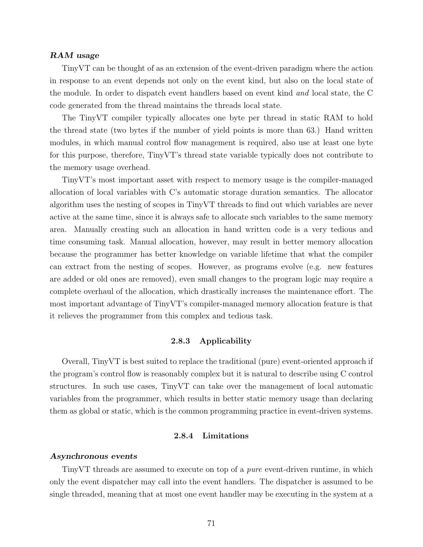#### RAM usage

TinyVT can be thought of as an extension of the event-driven paradigm where the action in response to an event depends not only on the event kind, but also on the local state of the module. In order to dispatch event handlers based on event kind and local state, the C code generated from the thread maintains the threads local state.

The TinyVT compiler typically allocates one byte per thread in static RAM to hold the thread state (two bytes if the number of yield points is more than 63.) Hand written modules, in which manual control flow management is required, also use at least one byte for this purpose, therefore, TinyVT's thread state variable typically does not contribute to the memory usage overhead.

TinyVT's most important asset with respect to memory usage is the compiler-managed allocation of local variables with C's automatic storage duration semantics. The allocator algorithm uses the nesting of scopes in TinyVT threads to find out which variables are never active at the same time, since it is always safe to allocate such variables to the same memory area. Manually creating such an allocation in hand written code is a very tedious and time consuming task. Manual allocation, however, may result in better memory allocation because the programmer has better knowledge on variable lifetime that what the compiler can extract from the nesting of scopes. However, as programs evolve (e.g. new features are added or old ones are removed), even small changes to the program logic may require a complete overhaul of the allocation, which drastically increases the maintenance effort. The most important advantage of TinyVT's compiler-managed memory allocation feature is that it relieves the programmer from this complex and tedious task.

# 2.8.3 Applicability

Overall, TinyVT is best suited to replace the traditional (pure) event-oriented approach if the program's control flow is reasonably complex but it is natural to describe using C control structures. In such use cases, TinyVT can take over the management of local automatic variables from the programmer, which results in better static memory usage than declaring them as global or static, which is the common programming practice in event-driven systems.

#### 2.8.4 Limitations

### Asynchronous events

TinyVT threads are assumed to execute on top of a pure event-driven runtime, in which only the event dispatcher may call into the event handlers. The dispatcher is assumed to be single threaded, meaning that at most one event handler may be executing in the system at a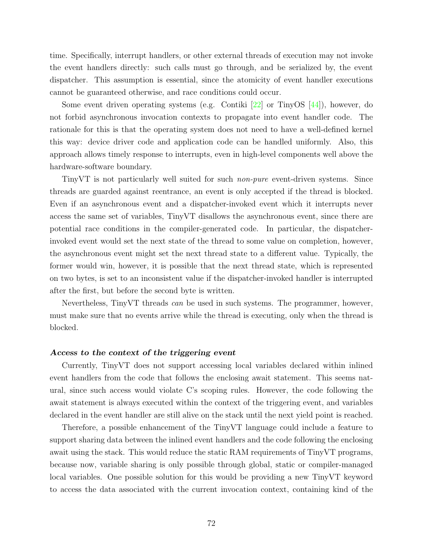time. Specifically, interrupt handlers, or other external threads of execution may not invoke the event handlers directly: such calls must go through, and be serialized by, the event dispatcher. This assumption is essential, since the atomicity of event handler executions cannot be guaranteed otherwise, and race conditions could occur.

Some event driven operating systems (e.g. Contiki [\[22\]](#page-138-0) or TinyOS [\[44\]](#page-140-0)), however, do not forbid asynchronous invocation contexts to propagate into event handler code. The rationale for this is that the operating system does not need to have a well-defined kernel this way: device driver code and application code can be handled uniformly. Also, this approach allows timely response to interrupts, even in high-level components well above the hardware-software boundary.

TinyVT is not particularly well suited for such non-pure event-driven systems. Since threads are guarded against reentrance, an event is only accepted if the thread is blocked. Even if an asynchronous event and a dispatcher-invoked event which it interrupts never access the same set of variables, TinyVT disallows the asynchronous event, since there are potential race conditions in the compiler-generated code. In particular, the dispatcherinvoked event would set the next state of the thread to some value on completion, however, the asynchronous event might set the next thread state to a different value. Typically, the former would win, however, it is possible that the next thread state, which is represented on two bytes, is set to an inconsistent value if the dispatcher-invoked handler is interrupted after the first, but before the second byte is written.

Nevertheless, TinyVT threads *can* be used in such systems. The programmer, however, must make sure that no events arrive while the thread is executing, only when the thread is blocked.

#### Access to the context of the triggering event

Currently, TinyVT does not support accessing local variables declared within inlined event handlers from the code that follows the enclosing await statement. This seems natural, since such access would violate C's scoping rules. However, the code following the await statement is always executed within the context of the triggering event, and variables declared in the event handler are still alive on the stack until the next yield point is reached.

Therefore, a possible enhancement of the TinyVT language could include a feature to support sharing data between the inlined event handlers and the code following the enclosing await using the stack. This would reduce the static RAM requirements of TinyVT programs, because now, variable sharing is only possible through global, static or compiler-managed local variables. One possible solution for this would be providing a new TinyVT keyword to access the data associated with the current invocation context, containing kind of the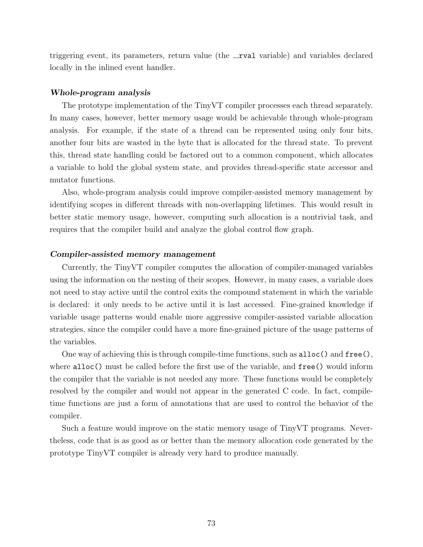triggering event, its parameters, return value (the **r**val variable) and variables declared locally in the inlined event handler.

#### Whole-program analysis

The prototype implementation of the TinyVT compiler processes each thread separately. In many cases, however, better memory usage would be achievable through whole-program analysis. For example, if the state of a thread can be represented using only four bits, another four bits are wasted in the byte that is allocated for the thread state. To prevent this, thread state handling could be factored out to a common component, which allocates a variable to hold the global system state, and provides thread-specific state accessor and mutator functions.

Also, whole-program analysis could improve compiler-assisted memory management by identifying scopes in different threads with non-overlapping lifetimes. This would result in better static memory usage, however, computing such allocation is a nontrivial task, and requires that the compiler build and analyze the global control flow graph.

#### Compiler-assisted memory management

Currently, the TinyVT compiler computes the allocation of compiler-managed variables using the information on the nesting of their scopes. However, in many cases, a variable does not need to stay active until the control exits the compound statement in which the variable is declared: it only needs to be active until it is last accessed. Fine-grained knowledge if variable usage patterns would enable more aggressive compiler-assisted variable allocation strategies, since the compiler could have a more fine-grained picture of the usage patterns of the variables.

One way of achieving this is through compile-time functions, such as  $\text{alloc}()$  and  $\text{free}()$ , where alloc() must be called before the first use of the variable, and free() would inform the compiler that the variable is not needed any more. These functions would be completely resolved by the compiler and would not appear in the generated C code. In fact, compiletime functions are just a form of annotations that are used to control the behavior of the compiler.

Such a feature would improve on the static memory usage of TinyVT programs. Nevertheless, code that is as good as or better than the memory allocation code generated by the prototype TinyVT compiler is already very hard to produce manually.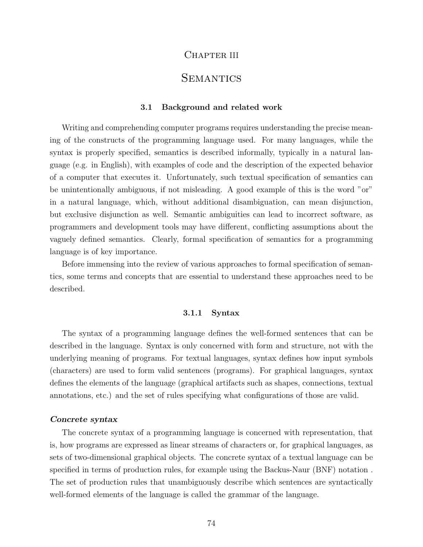# CHAPTER III

# **SEMANTICS**

# 3.1 Background and related work

Writing and comprehending computer programs requires understanding the precise meaning of the constructs of the programming language used. For many languages, while the syntax is properly specified, semantics is described informally, typically in a natural language (e.g. in English), with examples of code and the description of the expected behavior of a computer that executes it. Unfortunately, such textual specification of semantics can be unintentionally ambiguous, if not misleading. A good example of this is the word "or" in a natural language, which, without additional disambiguation, can mean disjunction, but exclusive disjunction as well. Semantic ambiguities can lead to incorrect software, as programmers and development tools may have different, conflicting assumptions about the vaguely defined semantics. Clearly, formal specification of semantics for a programming language is of key importance.

Before immensing into the review of various approaches to formal specification of semantics, some terms and concepts that are essential to understand these approaches need to be described.

#### 3.1.1 Syntax

The syntax of a programming language defines the well-formed sentences that can be described in the language. Syntax is only concerned with form and structure, not with the underlying meaning of programs. For textual languages, syntax defines how input symbols (characters) are used to form valid sentences (programs). For graphical languages, syntax defines the elements of the language (graphical artifacts such as shapes, connections, textual annotations, etc.) and the set of rules specifying what configurations of those are valid.

#### Concrete syntax

The concrete syntax of a programming language is concerned with representation, that is, how programs are expressed as linear streams of characters or, for graphical languages, as sets of two-dimensional graphical objects. The concrete syntax of a textual language can be specified in terms of production rules, for example using the Backus-Naur (BNF) notation . The set of production rules that unambiguously describe which sentences are syntactically well-formed elements of the language is called the grammar of the language.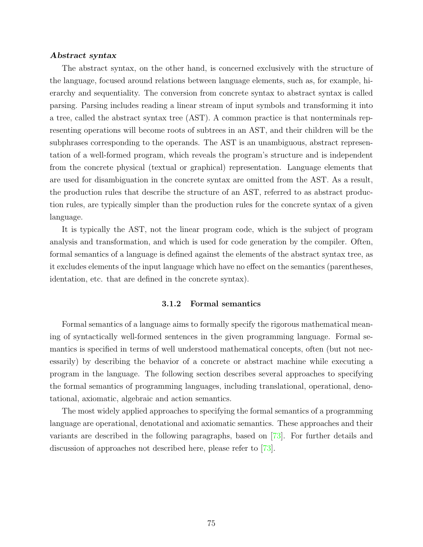#### Abstract syntax

The abstract syntax, on the other hand, is concerned exclusively with the structure of the language, focused around relations between language elements, such as, for example, hierarchy and sequentiality. The conversion from concrete syntax to abstract syntax is called parsing. Parsing includes reading a linear stream of input symbols and transforming it into a tree, called the abstract syntax tree (AST). A common practice is that nonterminals representing operations will become roots of subtrees in an AST, and their children will be the subphrases corresponding to the operands. The AST is an unambiguous, abstract representation of a well-formed program, which reveals the program's structure and is independent from the concrete physical (textual or graphical) representation. Language elements that are used for disambiguation in the concrete syntax are omitted from the AST. As a result, the production rules that describe the structure of an AST, referred to as abstract production rules, are typically simpler than the production rules for the concrete syntax of a given language.

It is typically the AST, not the linear program code, which is the subject of program analysis and transformation, and which is used for code generation by the compiler. Often, formal semantics of a language is defined against the elements of the abstract syntax tree, as it excludes elements of the input language which have no effect on the semantics (parentheses, identation, etc. that are defined in the concrete syntax).

# 3.1.2 Formal semantics

Formal semantics of a language aims to formally specify the rigorous mathematical meaning of syntactically well-formed sentences in the given programming language. Formal semantics is specified in terms of well understood mathematical concepts, often (but not necessarily) by describing the behavior of a concrete or abstract machine while executing a program in the language. The following section describes several approaches to specifying the formal semantics of programming languages, including translational, operational, denotational, axiomatic, algebraic and action semantics.

The most widely applied approaches to specifying the formal semantics of a programming language are operational, denotational and axiomatic semantics. These approaches and their variants are described in the following paragraphs, based on [\[73\]](#page-142-0). For further details and discussion of approaches not described here, please refer to [\[73\]](#page-142-0).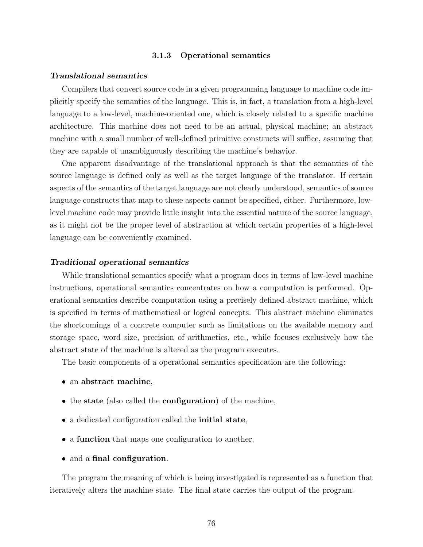# 3.1.3 Operational semantics

### Translational semantics

Compilers that convert source code in a given programming language to machine code implicitly specify the semantics of the language. This is, in fact, a translation from a high-level language to a low-level, machine-oriented one, which is closely related to a specific machine architecture. This machine does not need to be an actual, physical machine; an abstract machine with a small number of well-defined primitive constructs will suffice, assuming that they are capable of unambiguously describing the machine's behavior.

One apparent disadvantage of the translational approach is that the semantics of the source language is defined only as well as the target language of the translator. If certain aspects of the semantics of the target language are not clearly understood, semantics of source language constructs that map to these aspects cannot be specified, either. Furthermore, lowlevel machine code may provide little insight into the essential nature of the source language, as it might not be the proper level of abstraction at which certain properties of a high-level language can be conveniently examined.

# Traditional operational semantics

While translational semantics specify what a program does in terms of low-level machine instructions, operational semantics concentrates on how a computation is performed. Operational semantics describe computation using a precisely defined abstract machine, which is specified in terms of mathematical or logical concepts. This abstract machine eliminates the shortcomings of a concrete computer such as limitations on the available memory and storage space, word size, precision of arithmetics, etc., while focuses exclusively how the abstract state of the machine is altered as the program executes.

The basic components of a operational semantics specification are the following:

- an abstract machine,
- the state (also called the **configuration**) of the machine,
- a dedicated configuration called the **initial state**,
- a function that maps one configuration to another,
- and a final configuration.

The program the meaning of which is being investigated is represented as a function that iteratively alters the machine state. The final state carries the output of the program.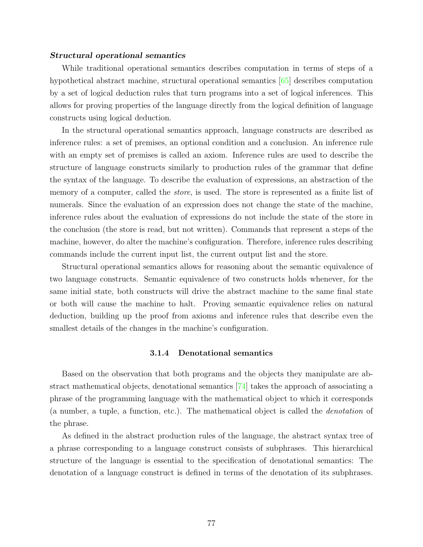#### Structural operational semantics

While traditional operational semantics describes computation in terms of steps of a hypothetical abstract machine, structural operational semantics [\[65\]](#page-142-1) describes computation by a set of logical deduction rules that turn programs into a set of logical inferences. This allows for proving properties of the language directly from the logical definition of language constructs using logical deduction.

In the structural operational semantics approach, language constructs are described as inference rules: a set of premises, an optional condition and a conclusion. An inference rule with an empty set of premises is called an axiom. Inference rules are used to describe the structure of language constructs similarly to production rules of the grammar that define the syntax of the language. To describe the evaluation of expressions, an abstraction of the memory of a computer, called the *store*, is used. The store is represented as a finite list of numerals. Since the evaluation of an expression does not change the state of the machine, inference rules about the evaluation of expressions do not include the state of the store in the conclusion (the store is read, but not written). Commands that represent a steps of the machine, however, do alter the machine's configuration. Therefore, inference rules describing commands include the current input list, the current output list and the store.

Structural operational semantics allows for reasoning about the semantic equivalence of two language constructs. Semantic equivalence of two constructs holds whenever, for the same initial state, both constructs will drive the abstract machine to the same final state or both will cause the machine to halt. Proving semantic equivalence relies on natural deduction, building up the proof from axioms and inference rules that describe even the smallest details of the changes in the machine's configuration.

# 3.1.4 Denotational semantics

Based on the observation that both programs and the objects they manipulate are abstract mathematical objects, denotational semantics [\[74\]](#page-142-2) takes the approach of associating a phrase of the programming language with the mathematical object to which it corresponds (a number, a tuple, a function, etc.). The mathematical object is called the denotation of the phrase.

As defined in the abstract production rules of the language, the abstract syntax tree of a phrase corresponding to a language construct consists of subphrases. This hierarchical structure of the language is essential to the specification of denotational semantics: The denotation of a language construct is defined in terms of the denotation of its subphrases.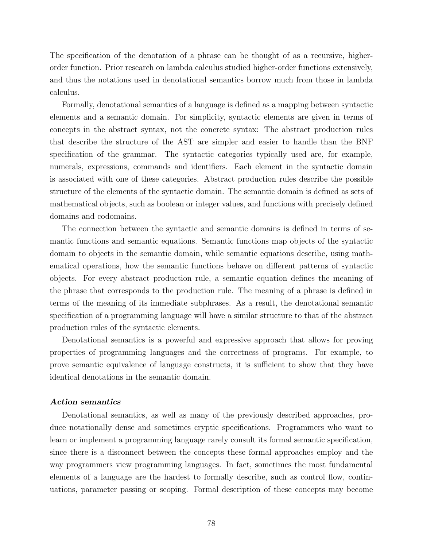The specification of the denotation of a phrase can be thought of as a recursive, higherorder function. Prior research on lambda calculus studied higher-order functions extensively, and thus the notations used in denotational semantics borrow much from those in lambda calculus.

Formally, denotational semantics of a language is defined as a mapping between syntactic elements and a semantic domain. For simplicity, syntactic elements are given in terms of concepts in the abstract syntax, not the concrete syntax: The abstract production rules that describe the structure of the AST are simpler and easier to handle than the BNF specification of the grammar. The syntactic categories typically used are, for example, numerals, expressions, commands and identifiers. Each element in the syntactic domain is associated with one of these categories. Abstract production rules describe the possible structure of the elements of the syntactic domain. The semantic domain is defined as sets of mathematical objects, such as boolean or integer values, and functions with precisely defined domains and codomains.

The connection between the syntactic and semantic domains is defined in terms of semantic functions and semantic equations. Semantic functions map objects of the syntactic domain to objects in the semantic domain, while semantic equations describe, using mathematical operations, how the semantic functions behave on different patterns of syntactic objects. For every abstract production rule, a semantic equation defines the meaning of the phrase that corresponds to the production rule. The meaning of a phrase is defined in terms of the meaning of its immediate subphrases. As a result, the denotational semantic specification of a programming language will have a similar structure to that of the abstract production rules of the syntactic elements.

Denotational semantics is a powerful and expressive approach that allows for proving properties of programming languages and the correctness of programs. For example, to prove semantic equivalence of language constructs, it is sufficient to show that they have identical denotations in the semantic domain.

# Action semantics

Denotational semantics, as well as many of the previously described approaches, produce notationally dense and sometimes cryptic specifications. Programmers who want to learn or implement a programming language rarely consult its formal semantic specification, since there is a disconnect between the concepts these formal approaches employ and the way programmers view programming languages. In fact, sometimes the most fundamental elements of a language are the hardest to formally describe, such as control flow, continuations, parameter passing or scoping. Formal description of these concepts may become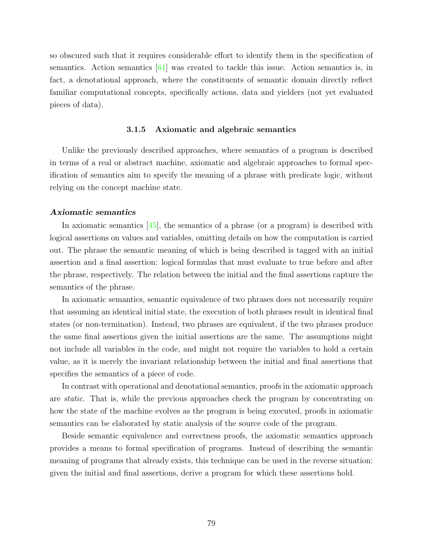so obscured such that it requires considerable effort to identify them in the specification of semantics. Action semantics  $[61]$  was created to tackle this issue. Action semantics is, in fact, a denotational approach, where the constituents of semantic domain directly reflect familiar computational concepts, specifically actions, data and yielders (not yet evaluated pieces of data).

## 3.1.5 Axiomatic and algebraic semantics

Unlike the previously described approaches, where semantics of a program is described in terms of a real or abstract machine, axiomatic and algebraic approaches to formal specification of semantics aim to specify the meaning of a phrase with predicate logic, without relying on the concept machine state.

# Axiomatic semantics

In axiomatic semantics  $\langle 45 \rangle$ , the semantics of a phrase (or a program) is described with logical assertions on values and variables, omitting details on how the computation is carried out. The phrase the semantic meaning of which is being described is tagged with an initial assertion and a final assertion: logical formulas that must evaluate to true before and after the phrase, respectively. The relation between the initial and the final assertions capture the semantics of the phrase.

In axiomatic semantics, semantic equivalence of two phrases does not necessarily require that assuming an identical initial state, the execution of both phrases result in identical final states (or non-termination). Instead, two phrases are equivalent, if the two phrases produce the same final assertions given the initial assertions are the same. The assumptions might not include all variables in the code, and might not require the variables to hold a certain value, as it is merely the invariant relationship between the initial and final assertions that specifies the semantics of a piece of code.

In contrast with operational and denotational semantics, proofs in the axiomatic approach are static. That is, while the previous approaches check the program by concentrating on how the state of the machine evolves as the program is being executed, proofs in axiomatic semantics can be elaborated by static analysis of the source code of the program.

Beside semantic equivalence and correctness proofs, the axiomatic semantics approach provides a means to formal specification of programs. Instead of describing the semantic meaning of programs that already exists, this technique can be used in the reverse situation: given the initial and final assertions, derive a program for which these assertions hold.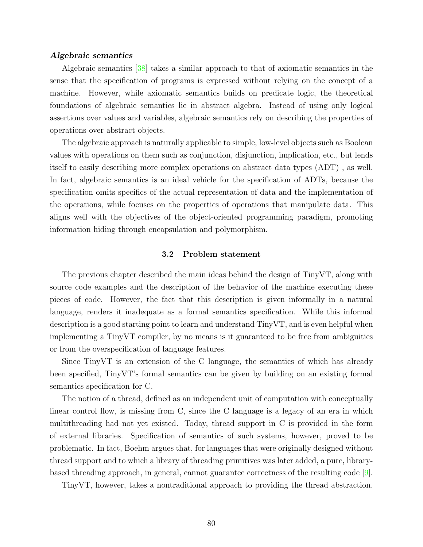#### Algebraic semantics

Algebraic semantics [\[38\]](#page-139-0) takes a similar approach to that of axiomatic semantics in the sense that the specification of programs is expressed without relying on the concept of a machine. However, while axiomatic semantics builds on predicate logic, the theoretical foundations of algebraic semantics lie in abstract algebra. Instead of using only logical assertions over values and variables, algebraic semantics rely on describing the properties of operations over abstract objects.

The algebraic approach is naturally applicable to simple, low-level objects such as Boolean values with operations on them such as conjunction, disjunction, implication, etc., but lends itself to easily describing more complex operations on abstract data types (ADT) , as well. In fact, algebraic semantics is an ideal vehicle for the specification of ADTs, because the specification omits specifics of the actual representation of data and the implementation of the operations, while focuses on the properties of operations that manipulate data. This aligns well with the objectives of the object-oriented programming paradigm, promoting information hiding through encapsulation and polymorphism.

# 3.2 Problem statement

The previous chapter described the main ideas behind the design of TinyVT, along with source code examples and the description of the behavior of the machine executing these pieces of code. However, the fact that this description is given informally in a natural language, renders it inadequate as a formal semantics specification. While this informal description is a good starting point to learn and understand TinyVT, and is even helpful when implementing a TinyVT compiler, by no means is it guaranteed to be free from ambiguities or from the overspecification of language features.

Since TinyVT is an extension of the C language, the semantics of which has already been specified, TinyVT's formal semantics can be given by building on an existing formal semantics specification for C.

The notion of a thread, defined as an independent unit of computation with conceptually linear control flow, is missing from C, since the C language is a legacy of an era in which multithreading had not yet existed. Today, thread support in C is provided in the form of external libraries. Specification of semantics of such systems, however, proved to be problematic. In fact, Boehm argues that, for languages that were originally designed without thread support and to which a library of threading primitives was later added, a pure, librarybased threading approach, in general, cannot guarantee correctness of the resulting code [\[9\]](#page-137-1).

TinyVT, however, takes a nontraditional approach to providing the thread abstraction.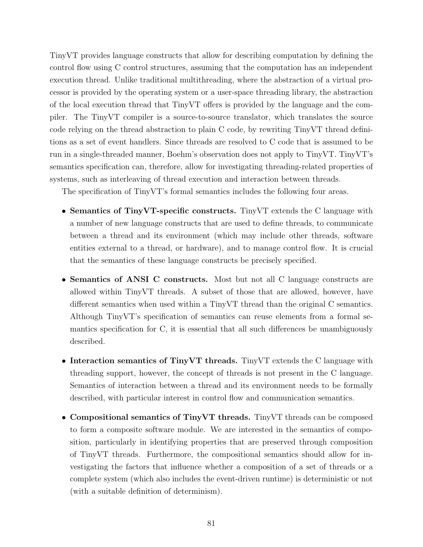TinyVT provides language constructs that allow for describing computation by defining the control flow using C control structures, assuming that the computation has an independent execution thread. Unlike traditional multithreading, where the abstraction of a virtual processor is provided by the operating system or a user-space threading library, the abstraction of the local execution thread that TinyVT offers is provided by the language and the compiler. The TinyVT compiler is a source-to-source translator, which translates the source code relying on the thread abstraction to plain C code, by rewriting TinyVT thread definitions as a set of event handlers. Since threads are resolved to C code that is assumed to be run in a single-threaded manner, Boehm's observation does not apply to TinyVT. TinyVT's semantics specification can, therefore, allow for investigating threading-related properties of systems, such as interleaving of thread execution and interaction between threads.

The specification of TinyVT's formal semantics includes the following four areas.

- Semantics of Tiny VT-specific constructs. Tiny VT extends the C language with a number of new language constructs that are used to define threads, to communicate between a thread and its environment (which may include other threads, software entities external to a thread, or hardware), and to manage control flow. It is crucial that the semantics of these language constructs be precisely specified.
- Semantics of ANSI C constructs. Most but not all C language constructs are allowed within TinyVT threads. A subset of those that are allowed, however, have different semantics when used within a TinyVT thread than the original C semantics. Although TinyVT's specification of semantics can reuse elements from a formal semantics specification for C, it is essential that all such differences be unambiguously described.
- Interaction semantics of Tiny VT threads. Tiny VT extends the C language with threading support, however, the concept of threads is not present in the C language. Semantics of interaction between a thread and its environment needs to be formally described, with particular interest in control flow and communication semantics.
- Compositional semantics of Tiny VT threads. Tiny VT threads can be composed to form a composite software module. We are interested in the semantics of composition, particularly in identifying properties that are preserved through composition of TinyVT threads. Furthermore, the compositional semantics should allow for investigating the factors that influence whether a composition of a set of threads or a complete system (which also includes the event-driven runtime) is deterministic or not (with a suitable definition of determinism).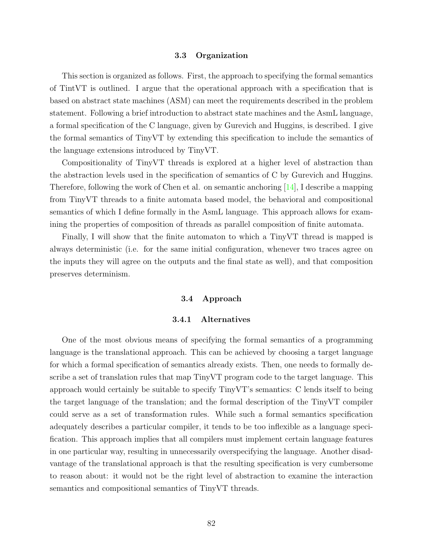#### 3.3 Organization

This section is organized as follows. First, the approach to specifying the formal semantics of TintVT is outlined. I argue that the operational approach with a specification that is based on abstract state machines (ASM) can meet the requirements described in the problem statement. Following a brief introduction to abstract state machines and the AsmL language, a formal specification of the C language, given by Gurevich and Huggins, is described. I give the formal semantics of TinyVT by extending this specification to include the semantics of the language extensions introduced by TinyVT.

Compositionality of TinyVT threads is explored at a higher level of abstraction than the abstraction levels used in the specification of semantics of C by Gurevich and Huggins. Therefore, following the work of Chen et al. on semantic anchoring  $[14]$ , I describe a mapping from TinyVT threads to a finite automata based model, the behavioral and compositional semantics of which I define formally in the AsmL language. This approach allows for examining the properties of composition of threads as parallel composition of finite automata.

Finally, I will show that the finite automaton to which a TinyVT thread is mapped is always deterministic (i.e. for the same initial configuration, whenever two traces agree on the inputs they will agree on the outputs and the final state as well), and that composition preserves determinism.

#### 3.4 Approach

#### 3.4.1 Alternatives

One of the most obvious means of specifying the formal semantics of a programming language is the translational approach. This can be achieved by choosing a target language for which a formal specification of semantics already exists. Then, one needs to formally describe a set of translation rules that map TinyVT program code to the target language. This approach would certainly be suitable to specify TinyVT's semantics: C lends itself to being the target language of the translation; and the formal description of the TinyVT compiler could serve as a set of transformation rules. While such a formal semantics specification adequately describes a particular compiler, it tends to be too inflexible as a language specification. This approach implies that all compilers must implement certain language features in one particular way, resulting in unnecessarily overspecifying the language. Another disadvantage of the translational approach is that the resulting specification is very cumbersome to reason about: it would not be the right level of abstraction to examine the interaction semantics and compositional semantics of TinyVT threads.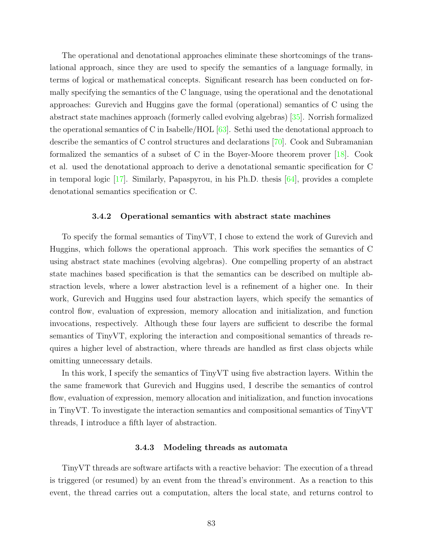The operational and denotational approaches eliminate these shortcomings of the translational approach, since they are used to specify the semantics of a language formally, in terms of logical or mathematical concepts. Significant research has been conducted on formally specifying the semantics of the C language, using the operational and the denotational approaches: Gurevich and Huggins gave the formal (operational) semantics of C using the abstract state machines approach (formerly called evolving algebras) [\[35\]](#page-139-1). Norrish formalized the operational semantics of C in Isabelle/HOL [\[63\]](#page-141-1). Sethi used the denotational approach to describe the semantics of C control structures and declarations [\[70\]](#page-142-3). Cook and Subramanian formalized the semantics of a subset of C in the Boyer-Moore theorem prover [\[18\]](#page-138-2). Cook et al. used the denotational approach to derive a denotational semantic specification for C in temporal logic [\[17\]](#page-138-3). Similarly, Papaspyrou, in his Ph.D. thesis [\[64\]](#page-141-2), provides a complete denotational semantics specification or C.

### 3.4.2 Operational semantics with abstract state machines

To specify the formal semantics of TinyVT, I chose to extend the work of Gurevich and Huggins, which follows the operational approach. This work specifies the semantics of C using abstract state machines (evolving algebras). One compelling property of an abstract state machines based specification is that the semantics can be described on multiple abstraction levels, where a lower abstraction level is a refinement of a higher one. In their work, Gurevich and Huggins used four abstraction layers, which specify the semantics of control flow, evaluation of expression, memory allocation and initialization, and function invocations, respectively. Although these four layers are sufficient to describe the formal semantics of TinyVT, exploring the interaction and compositional semantics of threads requires a higher level of abstraction, where threads are handled as first class objects while omitting unnecessary details.

In this work, I specify the semantics of TinyVT using five abstraction layers. Within the the same framework that Gurevich and Huggins used, I describe the semantics of control flow, evaluation of expression, memory allocation and initialization, and function invocations in TinyVT. To investigate the interaction semantics and compositional semantics of TinyVT threads, I introduce a fifth layer of abstraction.

# 3.4.3 Modeling threads as automata

TinyVT threads are software artifacts with a reactive behavior: The execution of a thread is triggered (or resumed) by an event from the thread's environment. As a reaction to this event, the thread carries out a computation, alters the local state, and returns control to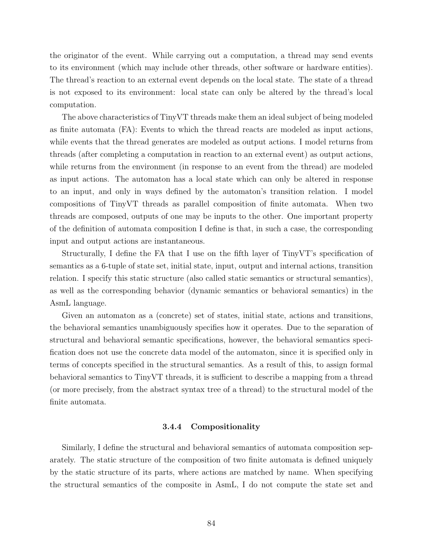the originator of the event. While carrying out a computation, a thread may send events to its environment (which may include other threads, other software or hardware entities). The thread's reaction to an external event depends on the local state. The state of a thread is not exposed to its environment: local state can only be altered by the thread's local computation.

The above characteristics of TinyVT threads make them an ideal subject of being modeled as finite automata (FA): Events to which the thread reacts are modeled as input actions, while events that the thread generates are modeled as output actions. I model returns from threads (after completing a computation in reaction to an external event) as output actions, while returns from the environment (in response to an event from the thread) are modeled as input actions. The automaton has a local state which can only be altered in response to an input, and only in ways defined by the automaton's transition relation. I model compositions of TinyVT threads as parallel composition of finite automata. When two threads are composed, outputs of one may be inputs to the other. One important property of the definition of automata composition I define is that, in such a case, the corresponding input and output actions are instantaneous.

Structurally, I define the FA that I use on the fifth layer of TinyVT's specification of semantics as a 6-tuple of state set, initial state, input, output and internal actions, transition relation. I specify this static structure (also called static semantics or structural semantics), as well as the corresponding behavior (dynamic semantics or behavioral semantics) in the AsmL language.

Given an automaton as a (concrete) set of states, initial state, actions and transitions, the behavioral semantics unambiguously specifies how it operates. Due to the separation of structural and behavioral semantic specifications, however, the behavioral semantics specification does not use the concrete data model of the automaton, since it is specified only in terms of concepts specified in the structural semantics. As a result of this, to assign formal behavioral semantics to TinyVT threads, it is sufficient to describe a mapping from a thread (or more precisely, from the abstract syntax tree of a thread) to the structural model of the finite automata.

# 3.4.4 Compositionality

Similarly, I define the structural and behavioral semantics of automata composition separately. The static structure of the composition of two finite automata is defined uniquely by the static structure of its parts, where actions are matched by name. When specifying the structural semantics of the composite in AsmL, I do not compute the state set and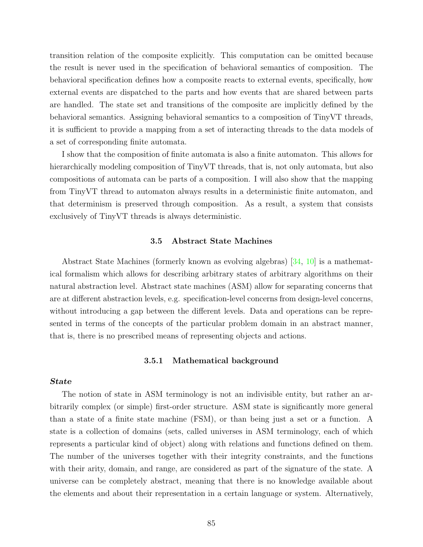transition relation of the composite explicitly. This computation can be omitted because the result is never used in the specification of behavioral semantics of composition. The behavioral specification defines how a composite reacts to external events, specifically, how external events are dispatched to the parts and how events that are shared between parts are handled. The state set and transitions of the composite are implicitly defined by the behavioral semantics. Assigning behavioral semantics to a composition of TinyVT threads, it is sufficient to provide a mapping from a set of interacting threads to the data models of a set of corresponding finite automata.

I show that the composition of finite automata is also a finite automaton. This allows for hierarchically modeling composition of TinyVT threads, that is, not only automata, but also compositions of automata can be parts of a composition. I will also show that the mapping from TinyVT thread to automaton always results in a deterministic finite automaton, and that determinism is preserved through composition. As a result, a system that consists exclusively of TinyVT threads is always deterministic.

# 3.5 Abstract State Machines

Abstract State Machines (formerly known as evolving algebras) [\[34,](#page-139-2) [10\]](#page-137-2) is a mathematical formalism which allows for describing arbitrary states of arbitrary algorithms on their natural abstraction level. Abstract state machines (ASM) allow for separating concerns that are at different abstraction levels, e.g. specification-level concerns from design-level concerns, without introducing a gap between the different levels. Data and operations can be represented in terms of the concepts of the particular problem domain in an abstract manner, that is, there is no prescribed means of representing objects and actions.

### 3.5.1 Mathematical background

# State

The notion of state in ASM terminology is not an indivisible entity, but rather an arbitrarily complex (or simple) first-order structure. ASM state is significantly more general than a state of a finite state machine (FSM), or than being just a set or a function. A state is a collection of domains (sets, called universes in ASM terminology, each of which represents a particular kind of object) along with relations and functions defined on them. The number of the universes together with their integrity constraints, and the functions with their arity, domain, and range, are considered as part of the signature of the state. A universe can be completely abstract, meaning that there is no knowledge available about the elements and about their representation in a certain language or system. Alternatively,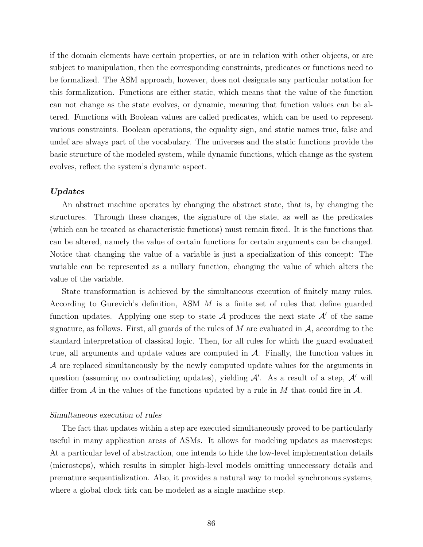if the domain elements have certain properties, or are in relation with other objects, or are subject to manipulation, then the corresponding constraints, predicates or functions need to be formalized. The ASM approach, however, does not designate any particular notation for this formalization. Functions are either static, which means that the value of the function can not change as the state evolves, or dynamic, meaning that function values can be altered. Functions with Boolean values are called predicates, which can be used to represent various constraints. Boolean operations, the equality sign, and static names true, false and undef are always part of the vocabulary. The universes and the static functions provide the basic structure of the modeled system, while dynamic functions, which change as the system evolves, reflect the system's dynamic aspect.

# Updates

An abstract machine operates by changing the abstract state, that is, by changing the structures. Through these changes, the signature of the state, as well as the predicates (which can be treated as characteristic functions) must remain fixed. It is the functions that can be altered, namely the value of certain functions for certain arguments can be changed. Notice that changing the value of a variable is just a specialization of this concept: The variable can be represented as a nullary function, changing the value of which alters the value of the variable.

State transformation is achieved by the simultaneous execution of finitely many rules. According to Gurevich's definition, ASM M is a finite set of rules that define guarded function updates. Applying one step to state  $A$  produces the next state  $A'$  of the same signature, as follows. First, all guards of the rules of  $M$  are evaluated in  $A$ , according to the standard interpretation of classical logic. Then, for all rules for which the guard evaluated true, all arguments and update values are computed in  $A$ . Finally, the function values in A are replaced simultaneously by the newly computed update values for the arguments in question (assuming no contradicting updates), yielding  $A'$ . As a result of a step,  $A'$  will differ from  $\mathcal A$  in the values of the functions updated by a rule in  $M$  that could fire in  $\mathcal A$ .

# Simultaneous execution of rules

The fact that updates within a step are executed simultaneously proved to be particularly useful in many application areas of ASMs. It allows for modeling updates as macrosteps: At a particular level of abstraction, one intends to hide the low-level implementation details (microsteps), which results in simpler high-level models omitting unnecessary details and premature sequentialization. Also, it provides a natural way to model synchronous systems, where a global clock tick can be modeled as a single machine step.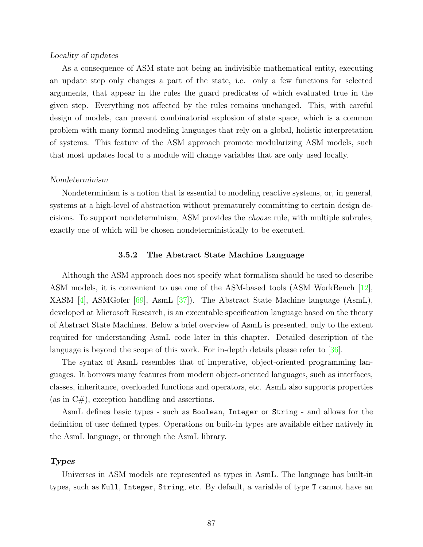### Locality of updates

As a consequence of ASM state not being an indivisible mathematical entity, executing an update step only changes a part of the state, i.e. only a few functions for selected arguments, that appear in the rules the guard predicates of which evaluated true in the given step. Everything not affected by the rules remains unchanged. This, with careful design of models, can prevent combinatorial explosion of state space, which is a common problem with many formal modeling languages that rely on a global, holistic interpretation of systems. This feature of the ASM approach promote modularizing ASM models, such that most updates local to a module will change variables that are only used locally.

#### Nondeterminism

Nondeterminism is a notion that is essential to modeling reactive systems, or, in general, systems at a high-level of abstraction without prematurely committing to certain design decisions. To support nondeterminism, ASM provides the choose rule, with multiple subrules, exactly one of which will be chosen nondeterministically to be executed.

# 3.5.2 The Abstract State Machine Language

Although the ASM approach does not specify what formalism should be used to describe ASM models, it is convenient to use one of the ASM-based tools (ASM WorkBench [\[12\]](#page-137-3), XASM [\[4\]](#page-137-4), ASMGofer [\[69\]](#page-142-4), AsmL [\[37\]](#page-139-3)). The Abstract State Machine language (AsmL), developed at Microsoft Research, is an executable specification language based on the theory of Abstract State Machines. Below a brief overview of AsmL is presented, only to the extent required for understanding AsmL code later in this chapter. Detailed description of the language is beyond the scope of this work. For in-depth details please refer to [\[36\]](#page-139-4).

The syntax of AsmL resembles that of imperative, object-oriented programming languages. It borrows many features from modern object-oriented languages, such as interfaces, classes, inheritance, overloaded functions and operators, etc. AsmL also supports properties (as in  $C#$ ), exception handling and assertions.

AsmL defines basic types - such as Boolean, Integer or String - and allows for the definition of user defined types. Operations on built-in types are available either natively in the AsmL language, or through the AsmL library.

# Types

Universes in ASM models are represented as types in AsmL. The language has built-in types, such as Null, Integer, String, etc. By default, a variable of type T cannot have an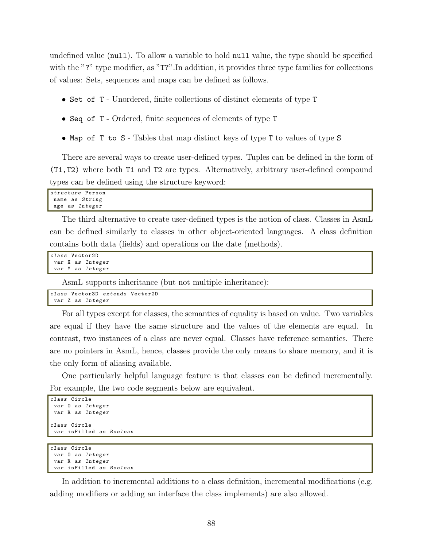undefined value (null). To allow a variable to hold null value, the type should be specified with the "?" type modifier, as "T?". In addition, it provides three type families for collections of values: Sets, sequences and maps can be defined as follows.

- Set of T Unordered, finite collections of distinct elements of type T
- Seq of T Ordered, finite sequences of elements of type T
- Map of T to S Tables that map distinct keys of type T to values of type S

There are several ways to create user-defined types. Tuples can be defined in the form of (T1,T2) where both T1 and T2 are types. Alternatively, arbitrary user-defined compound types can be defined using the structure keyword:

| structure Person      |  |  |
|-----------------------|--|--|
| name as String        |  |  |
| age <i>as Integer</i> |  |  |

The third alternative to create user-defined types is the notion of class. Classes in AsmL can be defined similarly to classes in other object-oriented languages. A class definition contains both data (fields) and operations on the date (methods).

```
class Vector2D
var X as Integer
var Y as Integer
```
AsmL supports inheritance (but not multiple inheritance):

```
class Vector3D extends Vector2D
var Z as Integer
```
For all types except for classes, the semantics of equality is based on value. Two variables are equal if they have the same structure and the values of the elements are equal. In contrast, two instances of a class are never equal. Classes have reference semantics. There are no pointers in AsmL, hence, classes provide the only means to share memory, and it is the only form of aliasing available.

One particularly helpful language feature is that classes can be defined incrementally. For example, the two code segments below are equivalent.

```
class Circle
var O as Integer
var R as Integer
class Circle
var isFilled as Boolean
```

```
class Circle
var O as Integer
var R as Integer
var isFilled as Boolean
```
In addition to incremental additions to a class definition, incremental modifications (e.g. adding modifiers or adding an interface the class implements) are also allowed.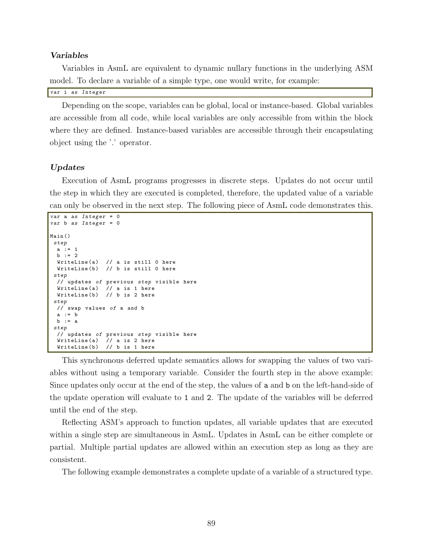# Variables

Variables in AsmL are equivalent to dynamic nullary functions in the underlying ASM model. To declare a variable of a simple type, one would write, for example:

var i as Integer

Depending on the scope, variables can be global, local or instance-based. Global variables are accessible from all code, while local variables are only accessible from within the block where they are defined. Instance-based variables are accessible through their encapsulating object using the '.' operator.

## Updates

Execution of AsmL programs progresses in discrete steps. Updates do not occur until the step in which they are executed is completed, therefore, the updated value of a variable can only be observed in the next step. The following piece of AsmL code demonstrates this.

```
var a as Integer = 0
var b as Integer = 0Main ()
 step
  a := 1b := 2<br>WriteLine(a)
  WriteLine (a) // a is still 0 here<br>WriteLine (b) // b is still 0 here
                 // b is still 0 herestep
  // updates of previous step visible here
  WriteLine ( a) // a is 1 here
  WriteLine ( b) // b is 2 here
 step
  // swap values of a and b
  a := b
  b := astep
  // updates of previous step visible here
  WriteLine (a) // a is 2 here
  WriteLine(b) // b is 1 here
```
This synchronous deferred update semantics allows for swapping the values of two variables without using a temporary variable. Consider the fourth step in the above example: Since updates only occur at the end of the step, the values of a and b on the left-hand-side of the update operation will evaluate to 1 and 2. The update of the variables will be deferred until the end of the step.

Reflecting ASM's approach to function updates, all variable updates that are executed within a single step are simultaneous in AsmL. Updates in AsmL can be either complete or partial. Multiple partial updates are allowed within an execution step as long as they are consistent.

The following example demonstrates a complete update of a variable of a structured type.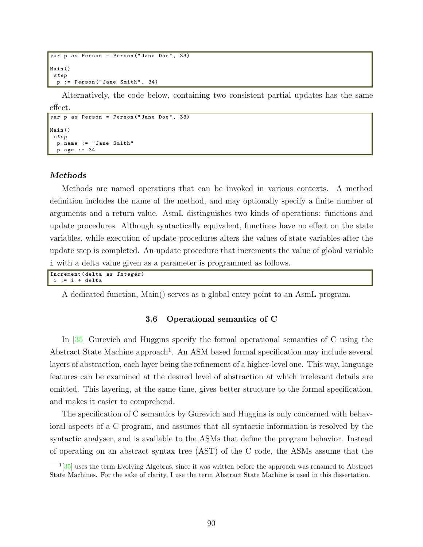```
var p as Person = Person ("Jane Doe", 33)
Main ()
 step
 p := Person (" Jane Smith ", 34)
```
Alternatively, the code below, containing two consistent partial updates has the same effect.

```
var p as Person = Person ("Jane Doe", 33)
Main ()
step
  p. name := " Jane Smith "
 p. age := 34
```
# Methods

Methods are named operations that can be invoked in various contexts. A method definition includes the name of the method, and may optionally specify a finite number of arguments and a return value. AsmL distinguishes two kinds of operations: functions and update procedures. Although syntactically equivalent, functions have no effect on the state variables, while execution of update procedures alters the values of state variables after the update step is completed. An update procedure that increments the value of global variable i with a delta value given as a parameter is programmed as follows.

| Increment (delta as Integer) |  |
|------------------------------|--|
| i := i + delta               |  |

A dedicated function, Main() serves as a global entry point to an AsmL program.

### 3.6 Operational semantics of C

In [\[35\]](#page-139-1) Gurevich and Huggins specify the formal operational semantics of C using the Abstract State Machine approach<sup>[1](#page-99-0)</sup>. An ASM based formal specification may include several layers of abstraction, each layer being the refinement of a higher-level one. This way, language features can be examined at the desired level of abstraction at which irrelevant details are omitted. This layering, at the same time, gives better structure to the formal specification, and makes it easier to comprehend.

The specification of C semantics by Gurevich and Huggins is only concerned with behavioral aspects of a C program, and assumes that all syntactic information is resolved by the syntactic analyser, and is available to the ASMs that define the program behavior. Instead of operating on an abstract syntax tree (AST) of the C code, the ASMs assume that the

<span id="page-99-0"></span><sup>&</sup>lt;sup>1</sup>[\[35\]](#page-139-1) uses the term Evolving Algebras, since it was written before the approach was renamed to Abstract State Machines. For the sake of clarity, I use the term Abstract State Machine is used in this dissertation.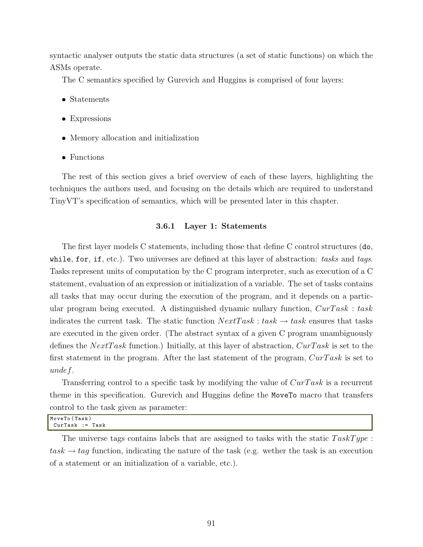syntactic analyser outputs the static data structures (a set of static functions) on which the ASMs operate.

The C semantics specified by Gurevich and Huggins is comprised of four layers:

- Statements
- Expressions
- Memory allocation and initialization
- Functions

The rest of this section gives a brief overview of each of these layers, highlighting the techniques the authors used, and focusing on the details which are required to understand TinyVT's specification of semantics, which will be presented later in this chapter.

#### 3.6.1 Layer 1: Statements

The first layer models C statements, including those that define C control structures (do, while, for, if, etc.). Two universes are defined at this layer of abstraction: tasks and tags. Tasks represent units of computation by the C program interpreter, such as execution of a C statement, evaluation of an expression or initialization of a variable. The set of tasks contains all tasks that may occur during the execution of the program, and it depends on a particular program being executed. A distinguished dynamic nullary function,  $CurTask : task$ indicates the current task. The static function  $NextTask : task \rightarrow task$  ensures that tasks are executed in the given order. (The abstract syntax of a given C program unambiguously defines the NextTask function.) Initially, at this layer of abstraction,  $CurTask$  is set to the first statement in the program. After the last statement of the program,  $CurTask$  is set to undef.

Transferring control to a specific task by modifying the value of  $CurTask$  is a recurrent theme in this specification. Gurevich and Huggins define the MoveTo macro that transfers control to the task given as parameter:

| MoveTo (Task)                     |  |
|-----------------------------------|--|
| Task<br>$C_1$ r Tack<br>$\cdot =$ |  |
|                                   |  |

The universe tags contains labels that are assigned to tasks with the static  $TaskType$ :  $task \rightarrow tag$  function, indicating the nature of the task (e.g. wether the task is an execution of a statement or an initialization of a variable, etc.).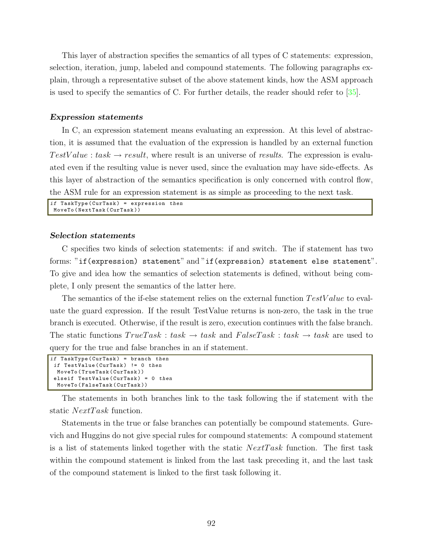This layer of abstraction specifies the semantics of all types of C statements: expression, selection, iteration, jump, labeled and compound statements. The following paragraphs explain, through a representative subset of the above statement kinds, how the ASM approach is used to specify the semantics of C. For further details, the reader should refer to [\[35\]](#page-139-1).

# Expression statements

In C, an expression statement means evaluating an expression. At this level of abstraction, it is assumed that the evaluation of the expression is handled by an external function TestValue : task  $\rightarrow$  result, where result is an universe of results. The expression is evaluated even if the resulting value is never used, since the evaluation may have side-effects. As this layer of abstraction of the semantics specification is only concerned with control flow, the ASM rule for an expression statement is as simple as proceeding to the next task.

| <i>if</i> TaskType(CurTask) = expression then |  |
|-----------------------------------------------|--|
| MoveTo(NextTask(CurTask))                     |  |

# Selection statements

C specifies two kinds of selection statements: if and switch. The if statement has two forms: "if(expression) statement" and "if(expression) statement else statement". To give and idea how the semantics of selection statements is defined, without being complete, I only present the semantics of the latter here.

The semantics of the if-else statement relies on the external function  $TestValue$  to evaluate the guard expression. If the result TestValue returns is non-zero, the task in the true branch is executed. Otherwise, if the result is zero, execution continues with the false branch. The static functions  $TrueTask : task \rightarrow task$  and  $FalseTask : task \rightarrow task$  are used to query for the true and false branches in an if statement.

```
if TaskType (CurTask) = branch then
if TestValue (CurTask) != 0 then
  MoveTo ( TrueTask ( CurTask ))
 elseif TestValue (CurTask) = 0 then
  MoveTo ( FalseTask ( CurTask ))
```
The statements in both branches link to the task following the if statement with the static *NextTask* function.

Statements in the true or false branches can potentially be compound statements. Gurevich and Huggins do not give special rules for compound statements: A compound statement is a list of statements linked together with the static  $NextTask$  function. The first task within the compound statement is linked from the last task preceding it, and the last task of the compound statement is linked to the first task following it.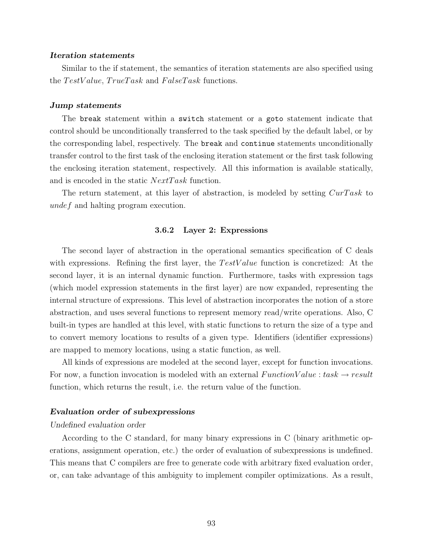# Iteration statements

Similar to the if statement, the semantics of iteration statements are also specified using the  $TestValue$ ,  $TrueTask$  and  $FalseTask$  functions.

## Jump statements

The break statement within a switch statement or a goto statement indicate that control should be unconditionally transferred to the task specified by the default label, or by the corresponding label, respectively. The break and continue statements unconditionally transfer control to the first task of the enclosing iteration statement or the first task following the enclosing iteration statement, respectively. All this information is available statically, and is encoded in the static *NextTask* function.

The return statement, at this layer of abstraction, is modeled by setting  $CurTask$  to undef and halting program execution.

### 3.6.2 Layer 2: Expressions

The second layer of abstraction in the operational semantics specification of C deals with expressions. Refining the first layer, the  $TestValue$  function is concretized: At the second layer, it is an internal dynamic function. Furthermore, tasks with expression tags (which model expression statements in the first layer) are now expanded, representing the internal structure of expressions. This level of abstraction incorporates the notion of a store abstraction, and uses several functions to represent memory read/write operations. Also, C built-in types are handled at this level, with static functions to return the size of a type and to convert memory locations to results of a given type. Identifiers (identifier expressions) are mapped to memory locations, using a static function, as well.

All kinds of expressions are modeled at the second layer, except for function invocations. For now, a function invocation is modeled with an external  $FunctionValue: task \rightarrow result$ function, which returns the result, i.e. the return value of the function.

#### Evaluation order of subexpressions

#### Undefined evaluation order

According to the C standard, for many binary expressions in C (binary arithmetic operations, assignment operation, etc.) the order of evaluation of subexpressions is undefined. This means that C compilers are free to generate code with arbitrary fixed evaluation order, or, can take advantage of this ambiguity to implement compiler optimizations. As a result,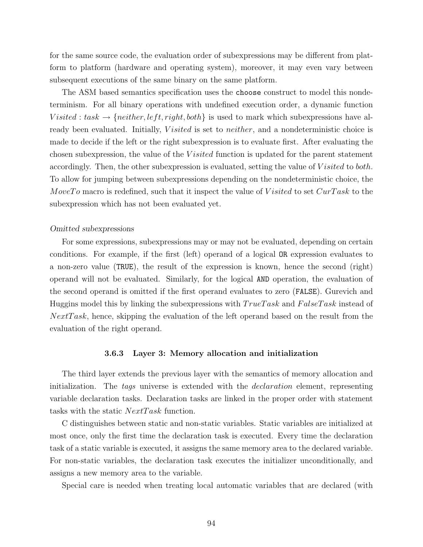for the same source code, the evaluation order of subexpressions may be different from platform to platform (hardware and operating system), moreover, it may even vary between subsequent executions of the same binary on the same platform.

The ASM based semantics specification uses the choose construct to model this nondeterminism. For all binary operations with undefined execution order, a dynamic function Visited : task  $\rightarrow$  {neither, left, right, both} is used to mark which subexpressions have already been evaluated. Initially, *Visited* is set to *neither*, and a nondeterministic choice is made to decide if the left or the right subexpression is to evaluate first. After evaluating the chosen subexpression, the value of the Visited function is updated for the parent statement accordingly. Then, the other subexpression is evaluated, setting the value of V isited to both. To allow for jumping between subexpressions depending on the nondeterministic choice, the MoveTo macro is redefined, such that it inspect the value of Visited to set  $CurTask$  to the subexpression which has not been evaluated yet.

### Omitted subexpressions

For some expressions, subexpressions may or may not be evaluated, depending on certain conditions. For example, if the first (left) operand of a logical OR expression evaluates to a non-zero value (TRUE), the result of the expression is known, hence the second (right) operand will not be evaluated. Similarly, for the logical AND operation, the evaluation of the second operand is omitted if the first operand evaluates to zero (FALSE). Gurevich and Huggins model this by linking the subexpressions with  $TrueTask$  and  $FalseTask$  instead of  $NextTask$ , hence, skipping the evaluation of the left operand based on the result from the evaluation of the right operand.

#### 3.6.3 Layer 3: Memory allocation and initialization

The third layer extends the previous layer with the semantics of memory allocation and initialization. The *tags* universe is extended with the *declaration* element, representing variable declaration tasks. Declaration tasks are linked in the proper order with statement tasks with the static  $NextTask$  function.

C distinguishes between static and non-static variables. Static variables are initialized at most once, only the first time the declaration task is executed. Every time the declaration task of a static variable is executed, it assigns the same memory area to the declared variable. For non-static variables, the declaration task executes the initializer unconditionally, and assigns a new memory area to the variable.

Special care is needed when treating local automatic variables that are declared (with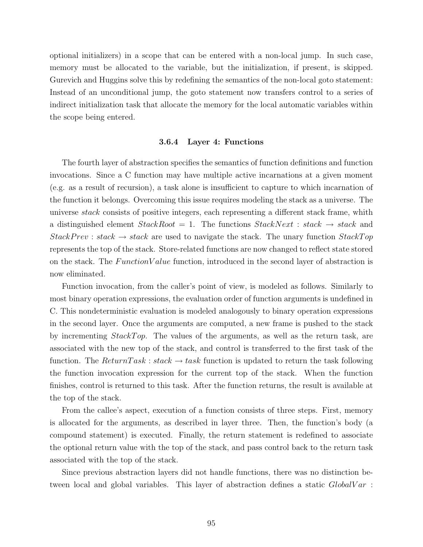optional initializers) in a scope that can be entered with a non-local jump. In such case, memory must be allocated to the variable, but the initialization, if present, is skipped. Gurevich and Huggins solve this by redefining the semantics of the non-local goto statement: Instead of an unconditional jump, the goto statement now transfers control to a series of indirect initialization task that allocate the memory for the local automatic variables within the scope being entered.

#### 3.6.4 Layer 4: Functions

The fourth layer of abstraction specifies the semantics of function definitions and function invocations. Since a C function may have multiple active incarnations at a given moment (e.g. as a result of recursion), a task alone is insufficient to capture to which incarnation of the function it belongs. Overcoming this issue requires modeling the stack as a universe. The universe stack consists of positive integers, each representing a different stack frame, whith a distinguished element  $StackRoot = 1$ . The functions  $StackNext : stack \rightarrow stack$  and  $Stack Prov: stack \rightarrow stack$  are used to navigate the stack. The unary function  $StackTop$ represents the top of the stack. Store-related functions are now changed to reflect state stored on the stack. The FunctionV alue function, introduced in the second layer of abstraction is now eliminated.

Function invocation, from the caller's point of view, is modeled as follows. Similarly to most binary operation expressions, the evaluation order of function arguments is undefined in C. This nondeterministic evaluation is modeled analogously to binary operation expressions in the second layer. Once the arguments are computed, a new frame is pushed to the stack by incrementing  $Stack Top$ . The values of the arguments, as well as the return task, are associated with the new top of the stack, and control is transferred to the first task of the function. The ReturnTask : stack  $\rightarrow$  task function is updated to return the task following the function invocation expression for the current top of the stack. When the function finishes, control is returned to this task. After the function returns, the result is available at the top of the stack.

From the callee's aspect, execution of a function consists of three steps. First, memory is allocated for the arguments, as described in layer three. Then, the function's body (a compound statement) is executed. Finally, the return statement is redefined to associate the optional return value with the top of the stack, and pass control back to the return task associated with the top of the stack.

Since previous abstraction layers did not handle functions, there was no distinction between local and global variables. This layer of abstraction defines a static  $GlobalVar$ :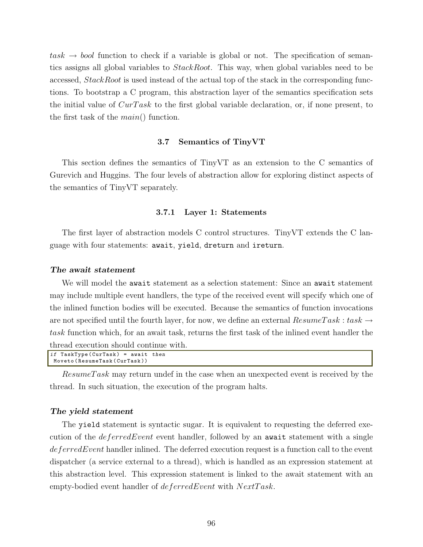$task \rightarrow bool$  function to check if a variable is global or not. The specification of semantics assigns all global variables to StackRoot. This way, when global variables need to be accessed, *StackRoot* is used instead of the actual top of the stack in the corresponding functions. To bootstrap a C program, this abstraction layer of the semantics specification sets the initial value of  $CurTask$  to the first global variable declaration, or, if none present, to the first task of the main() function.

# 3.7 Semantics of TinyVT

This section defines the semantics of TinyVT as an extension to the C semantics of Gurevich and Huggins. The four levels of abstraction allow for exploring distinct aspects of the semantics of TinyVT separately.

# 3.7.1 Layer 1: Statements

The first layer of abstraction models C control structures. TinyVT extends the C language with four statements: await, yield, dreturn and ireturn.

#### The await statement

We will model the await statement as a selection statement: Since an await statement may include multiple event handlers, the type of the received event will specify which one of the inlined function bodies will be executed. Because the semantics of function invocations are not specified until the fourth layer, for now, we define an external  $ResumeTask : task \rightarrow$ task function which, for an await task, returns the first task of the inlined event handler the thread execution should continue with.

| $if$ TaskType (CurTask) = await then |  |
|--------------------------------------|--|
| Moveto (ResumeTask (CurTask))        |  |

ResumeTask may return undef in the case when an unexpected event is received by the thread. In such situation, the execution of the program halts.

#### The yield statement

The yield statement is syntactic sugar. It is equivalent to requesting the deferred execution of the  $deferedEvent$  event handler, followed by an await statement with a single deferredEvent handler inlined. The deferred execution request is a function call to the event dispatcher (a service external to a thread), which is handled as an expression statement at this abstraction level. This expression statement is linked to the await statement with an empty-bodied event handler of  $deferredEvent$  with  $NextTask$ .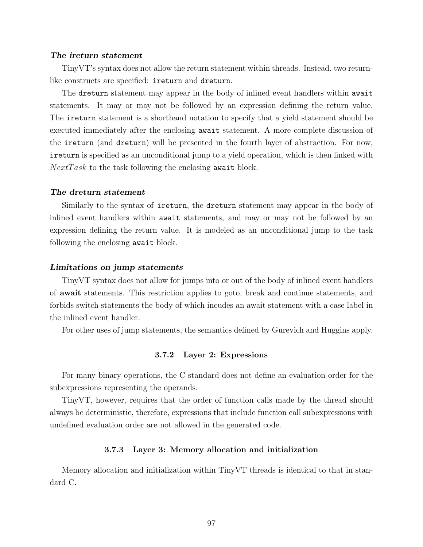#### The ireturn statement

TinyVT's syntax does not allow the return statement within threads. Instead, two returnlike constructs are specified: ireturn and dreturn.

The dreturn statement may appear in the body of inlined event handlers within await statements. It may or may not be followed by an expression defining the return value. The ireturn statement is a shorthand notation to specify that a yield statement should be executed immediately after the enclosing await statement. A more complete discussion of the ireturn (and dreturn) will be presented in the fourth layer of abstraction. For now, ireturn is specified as an unconditional jump to a yield operation, which is then linked with  $Next Task$  to the task following the enclosing await block.

### The dreturn statement

Similarly to the syntax of ireturn, the dreturn statement may appear in the body of inlined event handlers within await statements, and may or may not be followed by an expression defining the return value. It is modeled as an unconditional jump to the task following the enclosing await block.

#### Limitations on jump statements

TinyVT syntax does not allow for jumps into or out of the body of inlined event handlers of await statements. This restriction applies to goto, break and continue statements, and forbids switch statements the body of which incudes an await statement with a case label in the inlined event handler.

For other uses of jump statements, the semantics defined by Gurevich and Huggins apply.

### 3.7.2 Layer 2: Expressions

For many binary operations, the C standard does not define an evaluation order for the subexpressions representing the operands.

TinyVT, however, requires that the order of function calls made by the thread should always be deterministic, therefore, expressions that include function call subexpressions with undefined evaluation order are not allowed in the generated code.

## 3.7.3 Layer 3: Memory allocation and initialization

Memory allocation and initialization within TinyVT threads is identical to that in standard C.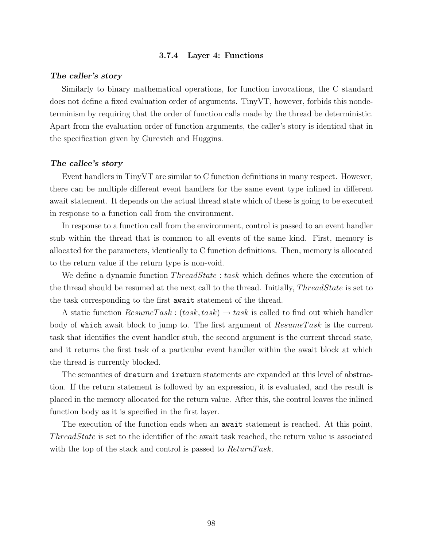# 3.7.4 Layer 4: Functions

### The caller's story

Similarly to binary mathematical operations, for function invocations, the C standard does not define a fixed evaluation order of arguments. TinyVT, however, forbids this nondeterminism by requiring that the order of function calls made by the thread be deterministic. Apart from the evaluation order of function arguments, the caller's story is identical that in the specification given by Gurevich and Huggins.

### The callee's story

Event handlers in TinyVT are similar to C function definitions in many respect. However, there can be multiple different event handlers for the same event type inlined in different await statement. It depends on the actual thread state which of these is going to be executed in response to a function call from the environment.

In response to a function call from the environment, control is passed to an event handler stub within the thread that is common to all events of the same kind. First, memory is allocated for the parameters, identically to C function definitions. Then, memory is allocated to the return value if the return type is non-void.

We define a dynamic function  $ThreadState : task$  which defines where the execution of the thread should be resumed at the next call to the thread. Initially, *ThreadState* is set to the task corresponding to the first await statement of the thread.

A static function  $ResumeTask : (task, task) \rightarrow task$  is called to find out which handler body of which await block to jump to. The first argument of  $ResumeTask$  is the current task that identifies the event handler stub, the second argument is the current thread state, and it returns the first task of a particular event handler within the await block at which the thread is currently blocked.

The semantics of dreturn and ireturn statements are expanded at this level of abstraction. If the return statement is followed by an expression, it is evaluated, and the result is placed in the memory allocated for the return value. After this, the control leaves the inlined function body as it is specified in the first layer.

The execution of the function ends when an await statement is reached. At this point, ThreadState is set to the identifier of the await task reached, the return value is associated with the top of the stack and control is passed to  $ReturnTask$ .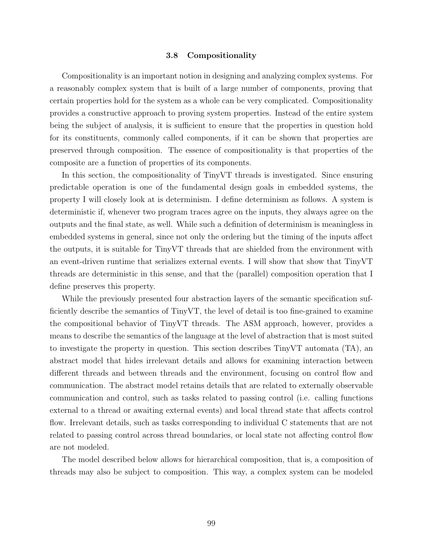### 3.8 Compositionality

Compositionality is an important notion in designing and analyzing complex systems. For a reasonably complex system that is built of a large number of components, proving that certain properties hold for the system as a whole can be very complicated. Compositionality provides a constructive approach to proving system properties. Instead of the entire system being the subject of analysis, it is sufficient to ensure that the properties in question hold for its constituents, commonly called components, if it can be shown that properties are preserved through composition. The essence of compositionality is that properties of the composite are a function of properties of its components.

In this section, the compositionality of TinyVT threads is investigated. Since ensuring predictable operation is one of the fundamental design goals in embedded systems, the property I will closely look at is determinism. I define determinism as follows. A system is deterministic if, whenever two program traces agree on the inputs, they always agree on the outputs and the final state, as well. While such a definition of determinism is meaningless in embedded systems in general, since not only the ordering but the timing of the inputs affect the outputs, it is suitable for TinyVT threads that are shielded from the environment with an event-driven runtime that serializes external events. I will show that show that TinyVT threads are deterministic in this sense, and that the (parallel) composition operation that I define preserves this property.

While the previously presented four abstraction layers of the semantic specification sufficiently describe the semantics of TinyVT, the level of detail is too fine-grained to examine the compositional behavior of TinyVT threads. The ASM approach, however, provides a means to describe the semantics of the language at the level of abstraction that is most suited to investigate the property in question. This section describes TinyVT automata (TA), an abstract model that hides irrelevant details and allows for examining interaction between different threads and between threads and the environment, focusing on control flow and communication. The abstract model retains details that are related to externally observable communication and control, such as tasks related to passing control (i.e. calling functions external to a thread or awaiting external events) and local thread state that affects control flow. Irrelevant details, such as tasks corresponding to individual C statements that are not related to passing control across thread boundaries, or local state not affecting control flow are not modeled.

The model described below allows for hierarchical composition, that is, a composition of threads may also be subject to composition. This way, a complex system can be modeled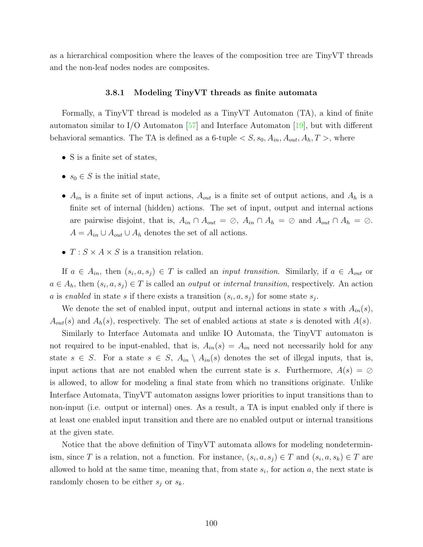as a hierarchical composition where the leaves of the composition tree are TinyVT threads and the non-leaf nodes nodes are composites.

### 3.8.1 Modeling TinyVT threads as finite automata

<span id="page-109-0"></span>Formally, a TinyVT thread is modeled as a TinyVT Automaton (TA), a kind of finite automaton similar to I/O Automaton  $[57]$  and Interface Automaton  $[19]$ , but with different behavioral semantics. The TA is defined as a 6-tuple  $\langle S, s_0, A_{in}, A_{out}, A_h, T \rangle$ , where

- S is a finite set of states,
- $s_0 \in S$  is the initial state,
- $A_{in}$  is a finite set of input actions,  $A_{out}$  is a finite set of output actions, and  $A_h$  is a finite set of internal (hidden) actions. The set of input, output and internal actions are pairwise disjoint, that is,  $A_{in} \cap A_{out} = \emptyset$ ,  $A_{in} \cap A_h = \emptyset$  and  $A_{out} \cap A_h = \emptyset$ .  $A = A_{in} \cup A_{out} \cup A_h$  denotes the set of all actions.
- $T : S \times A \times S$  is a transition relation.

If  $a \in A_{in}$ , then  $(s_i, a, s_j) \in T$  is called an *input transition*. Similarly, if  $a \in A_{out}$  or  $a \in A_h$ , then  $(s_i, a, s_j) \in T$  is called an *output* or *internal transition*, respectively. An action a is enabled in state s if there exists a transition  $(s_i, a, s_j)$  for some state  $s_j$ .

We denote the set of enabled input, output and internal actions in state s with  $A_{in}(s)$ ,  $A_{out}(s)$  and  $A_h(s)$ , respectively. The set of enabled actions at state s is denoted with  $A(s)$ .

Similarly to Interface Automata and unlike IO Automata, the TinyVT automaton is not required to be input-enabled, that is,  $A_{in}(s) = A_{in}$  need not necessarily hold for any state  $s \in S$ . For a state  $s \in S$ ,  $A_{in} \setminus A_{in}(s)$  denotes the set of illegal inputs, that is, input actions that are not enabled when the current state is s. Furthermore,  $A(s) = \emptyset$ is allowed, to allow for modeling a final state from which no transitions originate. Unlike Interface Automata, TinyVT automaton assigns lower priorities to input transitions than to non-input (i.e. output or internal) ones. As a result, a TA is input enabled only if there is at least one enabled input transition and there are no enabled output or internal transitions at the given state.

Notice that the above definition of TinyVT automata allows for modeling nondeterminism, since T is a relation, not a function. For instance,  $(s_i, a, s_j) \in T$  and  $(s_i, a, s_k) \in T$  are allowed to hold at the same time, meaning that, from state  $s_i$ , for action  $a$ , the next state is randomly chosen to be either  $s_j$  or  $s_k$ .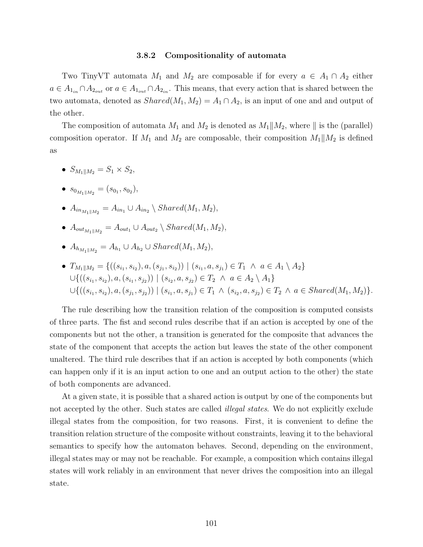### 3.8.2 Compositionality of automata

Two TinyVT automata  $M_1$  and  $M_2$  are composable if for every  $a \in A_1 \cap A_2$  either  $a \in A_{1_{in}} \cap A_{2_{out}}$  or  $a \in A_{1_{out}} \cap A_{2_{in}}$ . This means, that every action that is shared between the two automata, denoted as  $Shared(M_1, M_2) = A_1 \cap A_2$ , is an input of one and and output of the other.

The composition of automata  $M_1$  and  $M_2$  is denoted as  $M_1||M_2$ , where  $\parallel$  is the (parallel) composition operator. If  $M_1$  and  $M_2$  are composable, their composition  $M_1||M_2$  is defined as

- $S_{M_1||M_2} = S_1 \times S_2$ ,
- $s_{0_{M_1\|M_2}} = (s_{0_1}, s_{0_2}),$
- $A_{in_{M_1||M_2}} = A_{in_1} \cup A_{in_2} \setminus Shared(M_1, M_2),$
- $A_{out_{M_1||M_2}} = A_{out_1} \cup A_{out_2} \setminus Shared(M_1, M_2),$
- $A_{h_{M_1|M_2}} = A_{h_1} \cup A_{h_2} \cup Shared(M_1, M_2),$
- $T_{M_1|M_2} = \{((s_{i_1}, s_{i_2}), a, (s_{j_1}, s_{i_2})) | (s_{i_1}, a, s_{j_1}) \in T_1 \land a \in A_1 \setminus A_2\}$  $\cup \{((s_{i_1}, s_{i_2}), a, (s_{i_1}, s_{j_2})) \mid (s_{i_2}, a, s_{j_2}) \in T_2 \land a \in A_2 \setminus A_1\}$  $\cup \{((s_{i_1}, s_{i_2}), a, (s_{j_1}, s_{j_2})) \mid (s_{i_1}, a, s_{j_1}) \in T_1 \land (s_{i_2}, a, s_{j_2}) \in T_2 \land a \in Shared(M_1, M_2)\}.$

The rule describing how the transition relation of the composition is computed consists of three parts. The fist and second rules describe that if an action is accepted by one of the components but not the other, a transition is generated for the composite that advances the state of the component that accepts the action but leaves the state of the other component unaltered. The third rule describes that if an action is accepted by both components (which can happen only if it is an input action to one and an output action to the other) the state of both components are advanced.

At a given state, it is possible that a shared action is output by one of the components but not accepted by the other. Such states are called *illegal states*. We do not explicitly exclude illegal states from the composition, for two reasons. First, it is convenient to define the transition relation structure of the composite without constraints, leaving it to the behavioral semantics to specify how the automaton behaves. Second, depending on the environment, illegal states may or may not be reachable. For example, a composition which contains illegal states will work reliably in an environment that never drives the composition into an illegal state.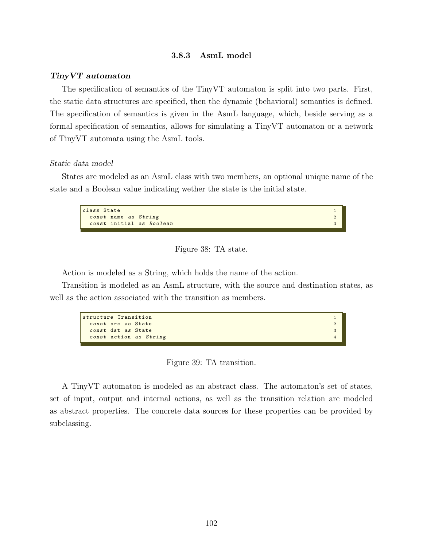# 3.8.3 AsmL model

# TinyVT automaton

The specification of semantics of the TinyVT automaton is split into two parts. First, the static data structures are specified, then the dynamic (behavioral) semantics is defined. The specification of semantics is given in the AsmL language, which, beside serving as a formal specification of semantics, allows for simulating a TinyVT automaton or a network of TinyVT automata using the AsmL tools.

# Static data model

States are modeled as an AsmL class with two members, an optional unique name of the state and a Boolean value indicating wether the state is the initial state.



Figure 38: TA state.

Action is modeled as a String, which holds the name of the action.

Transition is modeled as an AsmL structure, with the source and destination states, as well as the action associated with the transition as members.

structure Transition 1 const src as State 2 const dst as State 3 const action as String 4

Figure 39: TA transition.

A TinyVT automaton is modeled as an abstract class. The automaton's set of states, set of input, output and internal actions, as well as the transition relation are modeled as abstract properties. The concrete data sources for these properties can be provided by subclassing.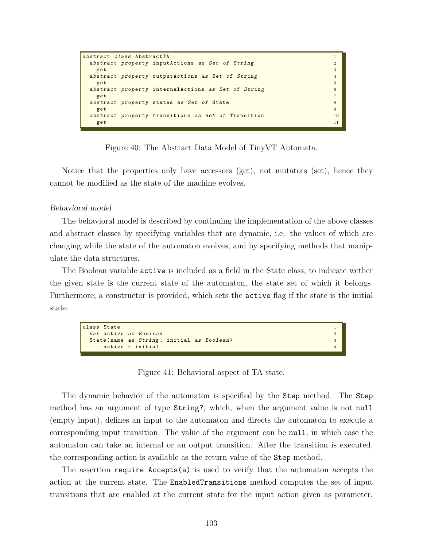```
abstract class AbstractTA 1
   abstract property inputActions as Set of String 2008
      \mathsf{get} . The set of the set of the set of the set of the set of the set of the set of the set of the set of the set of the set of the set of the set of the set of the set of the set of the set of the set of the set of t
   abstract property outputActions as Set of String 44
      \mathsf{get} . The set of the set of the set of the set of the set of the set of the set of the set of the set of the set of the set of the set of the set of the set of the set of the set of the set of the set of the set of t
   abstract property internalActions as Set of String 66
      \mathsf{get} . The contract of the contract of the contract of the contract of the contract of the contract of the contract of the contract of the contract of the contract of the contract of the contract of the contract of th
   abstract property states as Set of State 8 and 1999 and 1999 and 1999 and 1999 and 1999 and 1999 and 1999 and 1
      \mathsf{get} . The set of the set of the set of the set of the set of the set of the set of the set of the set of the set of the set of the set of the set of the set of the set of the set of the set of the set of the set of t
   abstract property transitions as Set of Transition 10get 11
```
Figure 40: The Abstract Data Model of TinyVT Automata.

Notice that the properties only have accessors (get), not mutators (set), hence they cannot be modified as the state of the machine evolves.

### Behavioral model

The behavioral model is described by continuing the implementation of the above classes and abstract classes by specifying variables that are dynamic, i.e. the values of which are changing while the state of the automaton evolves, and by specifying methods that manipulate the data structures.

The Boolean variable active is included as a field in the State class, to indicate wether the given state is the current state of the automaton, the state set of which it belongs. Furthermore, a constructor is provided, which sets the active flag if the state is the initial state.



Figure 41: Behavioral aspect of TA state.

The dynamic behavior of the automaton is specified by the Step method. The Step method has an argument of type String?, which, when the argument value is not null (empty input), defines an input to the automaton and directs the automaton to execute a corresponding input transition. The value of the argument can be null, in which case the automaton can take an internal or an output transition. After the transition is executed, the corresponding action is available as the return value of the Step method.

The assertion require Accepts(a) is used to verify that the automaton accepts the action at the current state. The EnabledTransitions method computes the set of input transitions that are enabled at the current state for the input action given as parameter,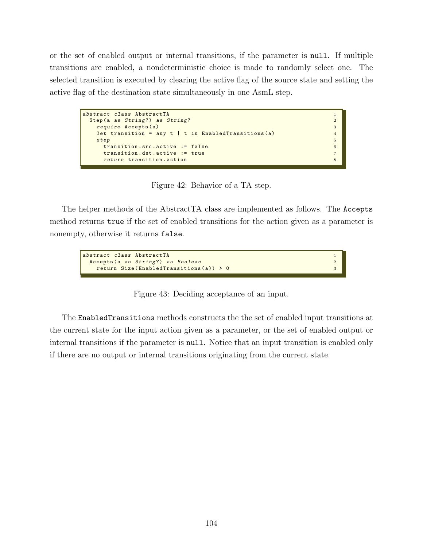or the set of enabled output or internal transitions, if the parameter is null. If multiple transitions are enabled, a nondeterministic choice is made to randomly select one. The selected transition is executed by clearing the active flag of the source state and setting the active flag of the destination state simultaneously in one AsmL step.

```
abstract class AbstractTA 1<br>
Step(a as String?) as String? 1
 Step (a as String?) as String?
  require Accepts (a) 3
  let transition = any t | t in EnabledTransitions (a) 4\texttt{step} , and the step 5transition . src . active := false 6
   transition . dst . active := true 7
   return transition. action
```
Figure 42: Behavior of a TA step.

The helper methods of the AbstractTA class are implemented as follows. The Accepts method returns true if the set of enabled transitions for the action given as a parameter is nonempty, otherwise it returns false.



Figure 43: Deciding acceptance of an input.

The EnabledTransitions methods constructs the the set of enabled input transitions at the current state for the input action given as a parameter, or the set of enabled output or internal transitions if the parameter is null. Notice that an input transition is enabled only if there are no output or internal transitions originating from the current state.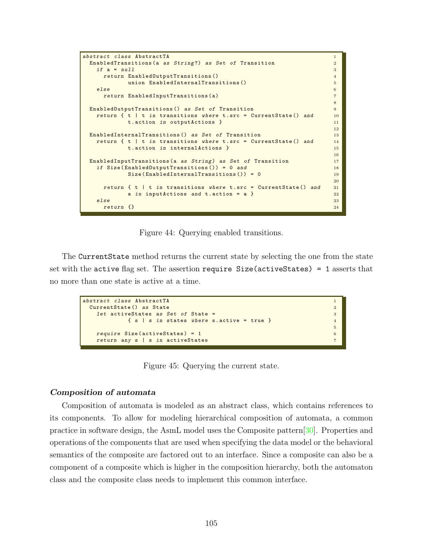```
abstract class AbstractTA 1
 EnabledTransitions (a as String?) as Set of Transition 2
  if \t a = null 3
    return EnabledOutputTransitions () 4
         union EnabledInternalTransitions () 5
   else 6 and 6 and 6 and 6 and 6 and 6 and 6 and 6 and 6 and 6 and 6 and 6 and 6 and 6 and 6 and 6 and 6 and 6
    return EnabledInputTransitions (a) 7
                                                      8
 EnabledOutputTransitions () as Set of Transition 9
  return \{ t | t \text{ in transitions where t.src = CurrentState() and } 10t. action in outputActions } 11
                                                      12
 EnabledInternalTransitions () as Set of Transition 13
  return \{ t | t in transitions where t.src = CurrentState () and 14
         t. action in internalActions } 15
                                                      16
 EnabledInputTransitions (a as String) as Set of Transition 17
  if Size (EnabledOutputTransitions ()) = 0 and 18
         Size (EnabledInternalTransitions ()) = 0 19
                                                      20
    return \{ t | t in transitions where t.src = CurrentState () and 21
         a in inputActions and t. action = a } 22
   else 23 aastal eesti koose 23 aastal eesti koose 23 aastal eesti koose 23 aastal eesti koose 23 aastal eesti k
    return \{ \} 24
```
Figure 44: Querying enabled transitions.

The CurrentState method returns the current state by selecting the one from the state set with the active flag set. The assertion require Size(activeStates) = 1 asserts that no more than one state is active at a time.

```
abstract class AbstractTA 1 and 1 and 1 and 1 and 1 and 1 and 1 and 1 and 1 and 1 and 1 and 1 and 1 and 1 and 1 and 1 and 1 and 1 and 1 and 1 and 1 and 1 and 1 and 1 and 1 and 1 and 1 and 1 and 1 and 1 and 1 and 1 and 1 an
 CurrentState () as State 2
    let activeStates as Set of State = 3
              { s | s in states where s. active = true } 4
                                                                                    5
    require Size (activeStates) = 1return any s | s in activeStates
```
Figure 45: Querying the current state.

# Composition of automata

<span id="page-114-0"></span>Composition of automata is modeled as an abstract class, which contains references to its components. To allow for modeling hierarchical composition of automata, a common practice in software design, the AsmL model uses the Composite pattern[\[30\]](#page-139-0). Properties and operations of the components that are used when specifying the data model or the behavioral semantics of the composite are factored out to an interface. Since a composite can also be a component of a composite which is higher in the composition hierarchy, both the automaton class and the composite class needs to implement this common interface.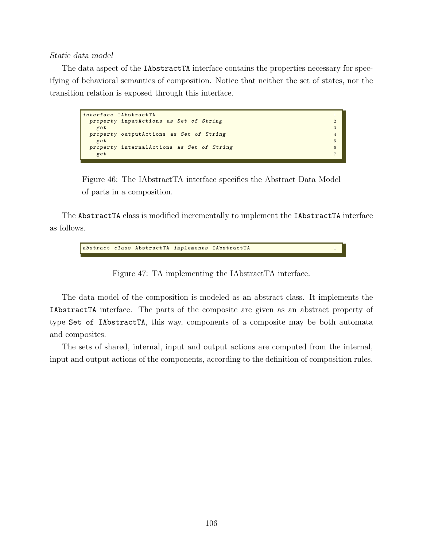# Static data model

The data aspect of the IAbstractTA interface contains the properties necessary for specifying of behavioral semantics of composition. Notice that neither the set of states, nor the transition relation is exposed through this interface.

```
interface IAbstractTA 1
   property inputActions as Set of String<br>get 3
      \mathsf{get} . The set of the set of the set of the set of the set of the set of the set of the set of the set of the set of the set of the set of the set of the set of the set of the set of the set of the set of the set of t
   property outputActions as Set of String 44
      \mathsf{get} . The set of the set of the set of the set of the set of the set of the set of the set of the set of the set of the set of the set of the set of the set of the set of the set of the set of the set of the set of t
   property internalActions as Set of String 6
      \mathsf{get} . The contract of the contract of the contract of the contract of the contract of the contract of the contract of the contract of the contract of the contract of the contract of the contract of the contract of th
```
Figure 46: The IAbstractTA interface specifies the Abstract Data Model of parts in a composition.

The AbstractTA class is modified incrementally to implement the IAbstractTA interface as follows.



Figure 47: TA implementing the IAbstractTA interface.

The data model of the composition is modeled as an abstract class. It implements the IAbstractTA interface. The parts of the composite are given as an abstract property of type Set of IAbstractTA, this way, components of a composite may be both automata and composites.

The sets of shared, internal, input and output actions are computed from the internal, input and output actions of the components, according to the definition of composition rules.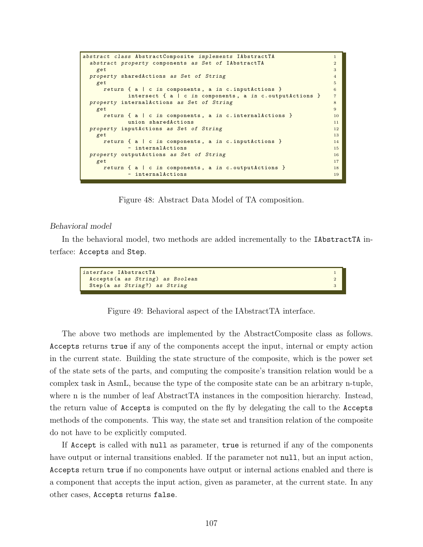```
abstract class AbstractComposite implements IAbstractTA 1
  abstract property components as Set of IAbstractTA 2
     \mathsf{get} . The set of the set of the set of the set of the set of the set of the set of the set of the set of the set of the set of the set of the set of the set of the set of the set of the set of the set of the set of t
  property sharedActions as Set of String 44
     \mathsf{get} . The set of the set of the set of the set of the set of the set of the set of the set of the set of the set of the set of the set of the set of the set of the set of the set of the set of the set of the set of t
       return { a | c in components, a in c.inputActions } 66
                 intersect { a | c in components, a in c. outputActions } 7
  property internalActions as Set of String<br>get 9
     \mathsf{get} . The set of the set of the set of the set of the set of the set of the set of the set of the set of the set of the set of the set of the set of the set of the set of the set of the set of the set of the set of t
       return \{ a \mid c \text{ in components, a in c.internalActions } \} 10
                 union sharedActions 11
  property inputActions as Set of String 12<br>get 13
     \mathsf{get} . The set of the set of the set of the set of the set of the set of the set of the set of the set of the set of the set of the set of the set of the set of the set of the set of the set of the set of the set of t
        return { a | c in components, a in c. inputActions } 14
                 - internal Actions 15
  property outputActions as Set of String 16<br>get 17
     \mathsf{get} . The contract of the contract of the contract of the contract of the contract of the contract of the contract of the contract of the contract of the contract of the contract of the contract of the contract of th
        return { a | c in components, a in c. outputActions } 18
                  - internalActions 19
```
Figure 48: Abstract Data Model of TA composition.

# Behavioral model

In the behavioral model, two methods are added incrementally to the IAbstractTA interface: Accepts and Step.



Figure 49: Behavioral aspect of the IAbstractTA interface.

The above two methods are implemented by the AbstractComposite class as follows. Accepts returns true if any of the components accept the input, internal or empty action in the current state. Building the state structure of the composite, which is the power set of the state sets of the parts, and computing the composite's transition relation would be a complex task in AsmL, because the type of the composite state can be an arbitrary n-tuple, where n is the number of leaf AbstractTA instances in the composition hierarchy. Instead, the return value of Accepts is computed on the fly by delegating the call to the Accepts methods of the components. This way, the state set and transition relation of the composite do not have to be explicitly computed.

If Accept is called with null as parameter, true is returned if any of the components have output or internal transitions enabled. If the parameter not **null**, but an input action, Accepts return true if no components have output or internal actions enabled and there is a component that accepts the input action, given as parameter, at the current state. In any other cases, Accepts returns false.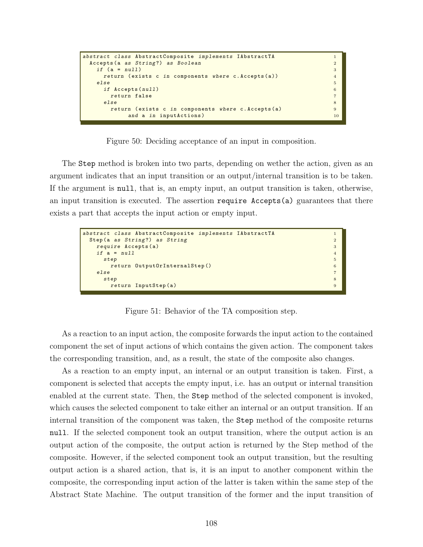```
abstract class AbstractComposite implements IAbstractTA 1
  Accepts (a as String?) as Boolean 2
     if (a = null) 3
        return (exists c in components where c. Accepts (a)) 4
     else 55 answers to be a state of the second contract of the second contract of the second contract of the second contract of the second contract of the second contract of the second contract of the second contract of the s
        if Accepts (null) 6
        return false 17 de janvier 1888 († 1818)<br>1895 - Johann Stein, Amerikaansk politikus († 1888)<br>1895 - Paul Barnett, Amerikaansk politikus († 1808)
        else 88 aastal eesti aastal eesti aastal eesti aastal eesti aastal eesti aastal eesti aastal eesti aastal eest
           return (exists c in components where c. Accepts (a) 9
                  and a in inputActions ) and a set of the set of the set of the set of the set of the set of the set of the set of the set of the set of the set of the set of the set of the set of the set of the set of the set of the set o
```
Figure 50: Deciding acceptance of an input in composition.

The Step method is broken into two parts, depending on wether the action, given as an argument indicates that an input transition or an output/internal transition is to be taken. If the argument is null, that is, an empty input, an output transition is taken, otherwise, an input transition is executed. The assertion require Accepts(a) guarantees that there exists a part that accepts the input action or empty input.

```
abstract class AbstractComposite implements IAbstractTA 1
 Step (a as String?) as String 2
  require Accepts (a) 3
  if \t a = null 4
    \texttt{step} = 5return OutputOrInternalStep () 6
  else 1996 – 1996 – 1996 – 1996 – 1996 – 1996 – 1996 – 1996 – 1996 – 1996 – 1996 – 1996 – 1997 – 1998 – 1998 –
    \texttt{step} . The step \texttt{step} and \texttt{step} are step \texttt{step} and \texttt{step} are step \texttt{step}return InputStep(a) 9
```
Figure 51: Behavior of the TA composition step.

As a reaction to an input action, the composite forwards the input action to the contained component the set of input actions of which contains the given action. The component takes the corresponding transition, and, as a result, the state of the composite also changes.

As a reaction to an empty input, an internal or an output transition is taken. First, a component is selected that accepts the empty input, i.e. has an output or internal transition enabled at the current state. Then, the Step method of the selected component is invoked, which causes the selected component to take either an internal or an output transition. If an internal transition of the component was taken, the Step method of the composite returns null. If the selected component took an output transition, where the output action is an output action of the composite, the output action is returned by the Step method of the composite. However, if the selected component took an output transition, but the resulting output action is a shared action, that is, it is an input to another component within the composite, the corresponding input action of the latter is taken within the same step of the Abstract State Machine. The output transition of the former and the input transition of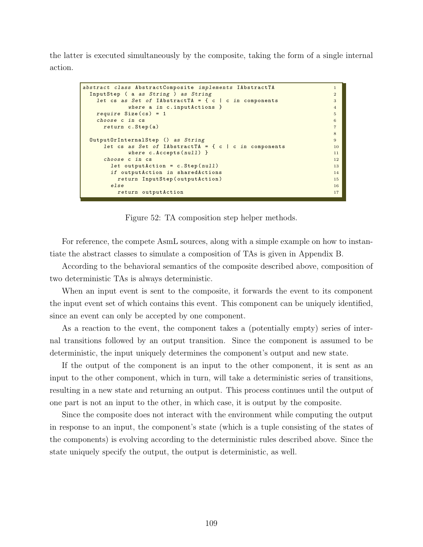the latter is executed simultaneously by the composite, taking the form of a single internal action.

```
abstract class AbstractComposite implements IAbstractTA 1
InputStep ( a as String ) as String 2
  let \text{cs as Set of } IAbstractTA = \{ c \mid c \text{ in components } 3where a in c. inputActions } 4
  require Size (cs) = 1 5
  choose c in cs 6return c. Step(a) 7
OutputOrInternalStep () as String 9
   let cs as Set of IAbstractTA = \{ c \mid c \text{ in components} 10
       where c. Accepts (null) } 11
   choose c in cs 12let \ outputAction = c. Step(null) 13
    if outputAction in sharedActions 14
     return InputStep (outputAction) 15
    else 16 and 16 and 16 and 16 and 16 and 16 and 16 and 16 and 16 and 16 and 16 and 16 and 16 and 16 and 16 and
     return outputAction 17
```
8

Figure 52: TA composition step helper methods.

For reference, the compete AsmL sources, along with a simple example on how to instantiate the abstract classes to simulate a composition of TAs is given in Appendix [B.](#page-133-0)

According to the behavioral semantics of the composite described above, composition of two deterministic TAs is always deterministic.

When an input event is sent to the composite, it forwards the event to its component the input event set of which contains this event. This component can be uniquely identified, since an event can only be accepted by one component.

As a reaction to the event, the component takes a (potentially empty) series of internal transitions followed by an output transition. Since the component is assumed to be deterministic, the input uniquely determines the component's output and new state.

If the output of the component is an input to the other component, it is sent as an input to the other component, which in turn, will take a deterministic series of transitions, resulting in a new state and returning an output. This process continues until the output of one part is not an input to the other, in which case, it is output by the composite.

Since the composite does not interact with the environment while computing the output in response to an input, the component's state (which is a tuple consisting of the states of the components) is evolving according to the deterministic rules described above. Since the state uniquely specify the output, the output is deterministic, as well.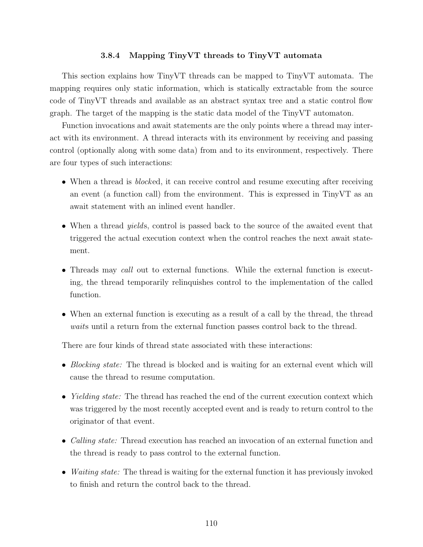# 3.8.4 Mapping TinyVT threads to TinyVT automata

This section explains how TinyVT threads can be mapped to TinyVT automata. The mapping requires only static information, which is statically extractable from the source code of TinyVT threads and available as an abstract syntax tree and a static control flow graph. The target of the mapping is the static data model of the TinyVT automaton.

Function invocations and await statements are the only points where a thread may interact with its environment. A thread interacts with its environment by receiving and passing control (optionally along with some data) from and to its environment, respectively. There are four types of such interactions:

- When a thread is *blocked*, it can receive control and resume executing after receiving an event (a function call) from the environment. This is expressed in TinyVT as an await statement with an inlined event handler.
- When a thread *yields*, control is passed back to the source of the awaited event that triggered the actual execution context when the control reaches the next await statement.
- Threads may call out to external functions. While the external function is executing, the thread temporarily relinquishes control to the implementation of the called function.
- When an external function is executing as a result of a call by the thread, the thread waits until a return from the external function passes control back to the thread.

There are four kinds of thread state associated with these interactions:

- Blocking state: The thread is blocked and is waiting for an external event which will cause the thread to resume computation.
- Yielding state: The thread has reached the end of the current execution context which was triggered by the most recently accepted event and is ready to return control to the originator of that event.
- *Calling state:* Thread execution has reached an invocation of an external function and the thread is ready to pass control to the external function.
- *Waiting state:* The thread is waiting for the external function it has previously invoked to finish and return the control back to the thread.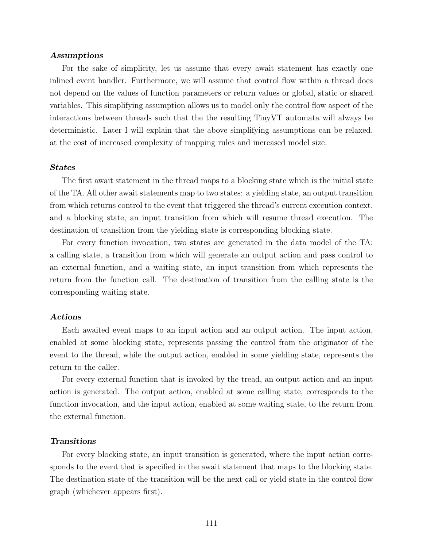# Assumptions

For the sake of simplicity, let us assume that every await statement has exactly one inlined event handler. Furthermore, we will assume that control flow within a thread does not depend on the values of function parameters or return values or global, static or shared variables. This simplifying assumption allows us to model only the control flow aspect of the interactions between threads such that the the resulting TinyVT automata will always be deterministic. Later I will explain that the above simplifying assumptions can be relaxed, at the cost of increased complexity of mapping rules and increased model size.

### States

The first await statement in the thread maps to a blocking state which is the initial state of the TA. All other await statements map to two states: a yielding state, an output transition from which returns control to the event that triggered the thread's current execution context, and a blocking state, an input transition from which will resume thread execution. The destination of transition from the yielding state is corresponding blocking state.

For every function invocation, two states are generated in the data model of the TA: a calling state, a transition from which will generate an output action and pass control to an external function, and a waiting state, an input transition from which represents the return from the function call. The destination of transition from the calling state is the corresponding waiting state.

## Actions

Each awaited event maps to an input action and an output action. The input action, enabled at some blocking state, represents passing the control from the originator of the event to the thread, while the output action, enabled in some yielding state, represents the return to the caller.

For every external function that is invoked by the tread, an output action and an input action is generated. The output action, enabled at some calling state, corresponds to the function invocation, and the input action, enabled at some waiting state, to the return from the external function.

# **Transitions**

For every blocking state, an input transition is generated, where the input action corresponds to the event that is specified in the await statement that maps to the blocking state. The destination state of the transition will be the next call or yield state in the control flow graph (whichever appears first).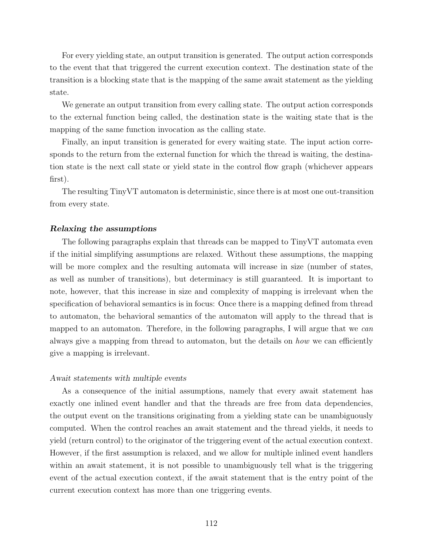For every yielding state, an output transition is generated. The output action corresponds to the event that that triggered the current execution context. The destination state of the transition is a blocking state that is the mapping of the same await statement as the yielding state.

We generate an output transition from every calling state. The output action corresponds to the external function being called, the destination state is the waiting state that is the mapping of the same function invocation as the calling state.

Finally, an input transition is generated for every waiting state. The input action corresponds to the return from the external function for which the thread is waiting, the destination state is the next call state or yield state in the control flow graph (whichever appears first).

The resulting TinyVT automaton is deterministic, since there is at most one out-transition from every state.

### Relaxing the assumptions

The following paragraphs explain that threads can be mapped to TinyVT automata even if the initial simplifying assumptions are relaxed. Without these assumptions, the mapping will be more complex and the resulting automata will increase in size (number of states, as well as number of transitions), but determinacy is still guaranteed. It is important to note, however, that this increase in size and complexity of mapping is irrelevant when the specification of behavioral semantics is in focus: Once there is a mapping defined from thread to automaton, the behavioral semantics of the automaton will apply to the thread that is mapped to an automaton. Therefore, in the following paragraphs, I will argue that we can always give a mapping from thread to automaton, but the details on *how* we can efficiently give a mapping is irrelevant.

### Await statements with multiple events

As a consequence of the initial assumptions, namely that every await statement has exactly one inlined event handler and that the threads are free from data dependencies, the output event on the transitions originating from a yielding state can be unambiguously computed. When the control reaches an await statement and the thread yields, it needs to yield (return control) to the originator of the triggering event of the actual execution context. However, if the first assumption is relaxed, and we allow for multiple inlined event handlers within an await statement, it is not possible to unambiguously tell what is the triggering event of the actual execution context, if the await statement that is the entry point of the current execution context has more than one triggering events.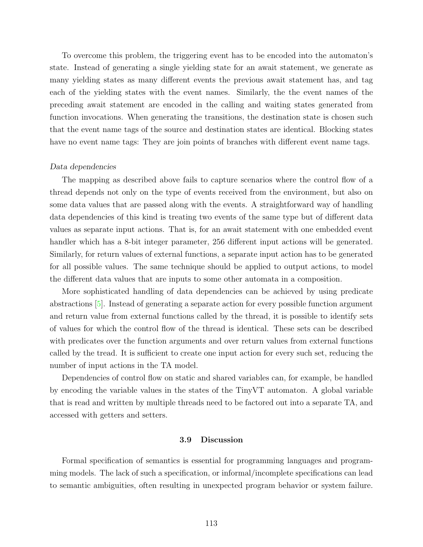To overcome this problem, the triggering event has to be encoded into the automaton's state. Instead of generating a single yielding state for an await statement, we generate as many yielding states as many different events the previous await statement has, and tag each of the yielding states with the event names. Similarly, the the event names of the preceding await statement are encoded in the calling and waiting states generated from function invocations. When generating the transitions, the destination state is chosen such that the event name tags of the source and destination states are identical. Blocking states have no event name tags: They are join points of branches with different event name tags.

### Data dependencies

<span id="page-122-0"></span>The mapping as described above fails to capture scenarios where the control flow of a thread depends not only on the type of events received from the environment, but also on some data values that are passed along with the events. A straightforward way of handling data dependencies of this kind is treating two events of the same type but of different data values as separate input actions. That is, for an await statement with one embedded event handler which has a 8-bit integer parameter, 256 different input actions will be generated. Similarly, for return values of external functions, a separate input action has to be generated for all possible values. The same technique should be applied to output actions, to model the different data values that are inputs to some other automata in a composition.

More sophisticated handling of data dependencies can be achieved by using predicate abstractions [\[5\]](#page-137-0). Instead of generating a separate action for every possible function argument and return value from external functions called by the thread, it is possible to identify sets of values for which the control flow of the thread is identical. These sets can be described with predicates over the function arguments and over return values from external functions called by the tread. It is sufficient to create one input action for every such set, reducing the number of input actions in the TA model.

Dependencies of control flow on static and shared variables can, for example, be handled by encoding the variable values in the states of the TinyVT automaton. A global variable that is read and written by multiple threads need to be factored out into a separate TA, and accessed with getters and setters.

# 3.9 Discussion

<span id="page-122-1"></span>Formal specification of semantics is essential for programming languages and programming models. The lack of such a specification, or informal/incomplete specifications can lead to semantic ambiguities, often resulting in unexpected program behavior or system failure.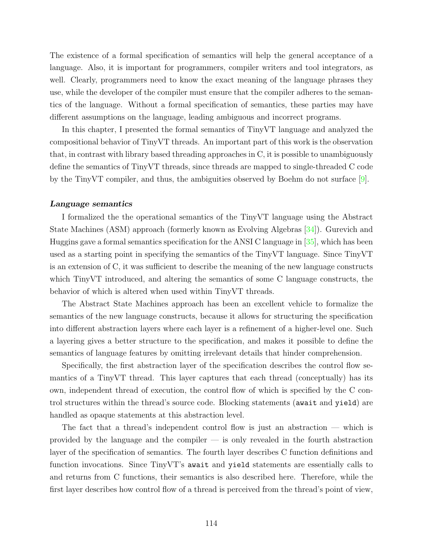The existence of a formal specification of semantics will help the general acceptance of a language. Also, it is important for programmers, compiler writers and tool integrators, as well. Clearly, programmers need to know the exact meaning of the language phrases they use, while the developer of the compiler must ensure that the compiler adheres to the semantics of the language. Without a formal specification of semantics, these parties may have different assumptions on the language, leading ambiguous and incorrect programs.

In this chapter, I presented the formal semantics of TinyVT language and analyzed the compositional behavior of TinyVT threads. An important part of this work is the observation that, in contrast with library based threading approaches in C, it is possible to unambiguously define the semantics of TinyVT threads, since threads are mapped to single-threaded C code by the TinyVT compiler, and thus, the ambiguities observed by Boehm do not surface [\[9\]](#page-137-1).

## Language semantics

<span id="page-123-0"></span>I formalized the the operational semantics of the TinyVT language using the Abstract State Machines (ASM) approach (formerly known as Evolving Algebras [\[34\]](#page-139-1)). Gurevich and Huggins gave a formal semantics specification for the ANSI C language in [\[35\]](#page-139-2), which has been used as a starting point in specifying the semantics of the TinyVT language. Since TinyVT is an extension of C, it was sufficient to describe the meaning of the new language constructs which TinyVT introduced, and altering the semantics of some C language constructs, the behavior of which is altered when used within TinyVT threads.

The Abstract State Machines approach has been an excellent vehicle to formalize the semantics of the new language constructs, because it allows for structuring the specification into different abstraction layers where each layer is a refinement of a higher-level one. Such a layering gives a better structure to the specification, and makes it possible to define the semantics of language features by omitting irrelevant details that hinder comprehension.

Specifically, the first abstraction layer of the specification describes the control flow semantics of a TinyVT thread. This layer captures that each thread (conceptually) has its own, independent thread of execution, the control flow of which is specified by the C control structures within the thread's source code. Blocking statements (await and yield) are handled as opaque statements at this abstraction level.

The fact that a thread's independent control flow is just an abstraction — which is provided by the language and the compiler  $-$  is only revealed in the fourth abstraction layer of the specification of semantics. The fourth layer describes C function definitions and function invocations. Since TinyVT's await and yield statements are essentially calls to and returns from C functions, their semantics is also described here. Therefore, while the first layer describes how control flow of a thread is perceived from the thread's point of view,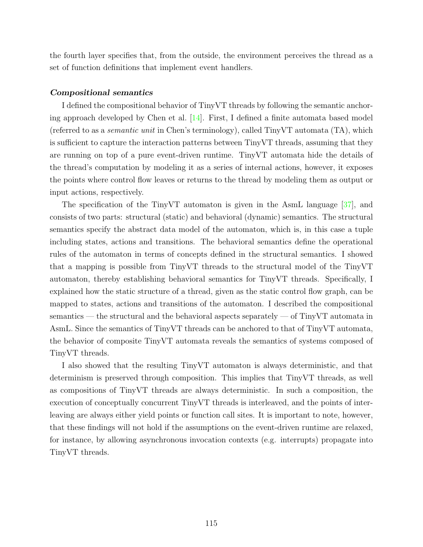the fourth layer specifies that, from the outside, the environment perceives the thread as a set of function definitions that implement event handlers.

### Compositional semantics

<span id="page-124-0"></span>I defined the compositional behavior of TinyVT threads by following the semantic anchoring approach developed by Chen et al. [\[14\]](#page-138-1). First, I defined a finite automata based model (referred to as a semantic unit in Chen's terminology), called TinyVT automata (TA), which is sufficient to capture the interaction patterns between TinyVT threads, assuming that they are running on top of a pure event-driven runtime. TinyVT automata hide the details of the thread's computation by modeling it as a series of internal actions, however, it exposes the points where control flow leaves or returns to the thread by modeling them as output or input actions, respectively.

The specification of the TinyVT automaton is given in the AsmL language [\[37\]](#page-139-3), and consists of two parts: structural (static) and behavioral (dynamic) semantics. The structural semantics specify the abstract data model of the automaton, which is, in this case a tuple including states, actions and transitions. The behavioral semantics define the operational rules of the automaton in terms of concepts defined in the structural semantics. I showed that a mapping is possible from TinyVT threads to the structural model of the TinyVT automaton, thereby establishing behavioral semantics for TinyVT threads. Specifically, I explained how the static structure of a thread, given as the static control flow graph, can be mapped to states, actions and transitions of the automaton. I described the compositional semantics — the structural and the behavioral aspects separately — of  $T_{\text{inv}}VT$  automata in AsmL. Since the semantics of TinyVT threads can be anchored to that of TinyVT automata, the behavior of composite TinyVT automata reveals the semantics of systems composed of TinyVT threads.

I also showed that the resulting TinyVT automaton is always deterministic, and that determinism is preserved through composition. This implies that TinyVT threads, as well as compositions of TinyVT threads are always deterministic. In such a composition, the execution of conceptually concurrent TinyVT threads is interleaved, and the points of interleaving are always either yield points or function call sites. It is important to note, however, that these findings will not hold if the assumptions on the event-driven runtime are relaxed, for instance, by allowing asynchronous invocation contexts (e.g. interrupts) propagate into TinyVT threads.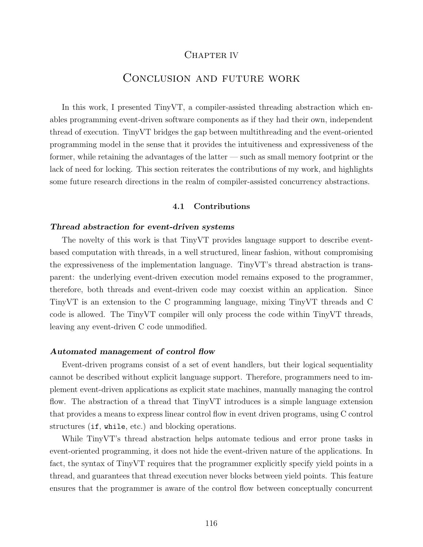# CHAPTER IV

# Conclusion and future work

In this work, I presented TinyVT, a compiler-assisted threading abstraction which enables programming event-driven software components as if they had their own, independent thread of execution. TinyVT bridges the gap between multithreading and the event-oriented programming model in the sense that it provides the intuitiveness and expressiveness of the former, while retaining the advantages of the latter — such as small memory footprint or the lack of need for locking. This section reiterates the contributions of my work, and highlights some future research directions in the realm of compiler-assisted concurrency abstractions.

# 4.1 Contributions

## Thread abstraction for event-driven systems

The novelty of this work is that TinyVT provides language support to describe eventbased computation with threads, in a well structured, linear fashion, without compromising the expressiveness of the implementation language. TinyVT's thread abstraction is transparent: the underlying event-driven execution model remains exposed to the programmer, therefore, both threads and event-driven code may coexist within an application. Since TinyVT is an extension to the C programming language, mixing TinyVT threads and C code is allowed. The TinyVT compiler will only process the code within TinyVT threads, leaving any event-driven C code unmodified.

### Automated management of control flow

Event-driven programs consist of a set of event handlers, but their logical sequentiality cannot be described without explicit language support. Therefore, programmers need to implement event-driven applications as explicit state machines, manually managing the control flow. The abstraction of a thread that TinyVT introduces is a simple language extension that provides a means to express linear control flow in event driven programs, using C control structures (if, while, etc.) and blocking operations.

While TinyVT's thread abstraction helps automate tedious and error prone tasks in event-oriented programming, it does not hide the event-driven nature of the applications. In fact, the syntax of TinyVT requires that the programmer explicitly specify yield points in a thread, and guarantees that thread execution never blocks between yield points. This feature ensures that the programmer is aware of the control flow between conceptually concurrent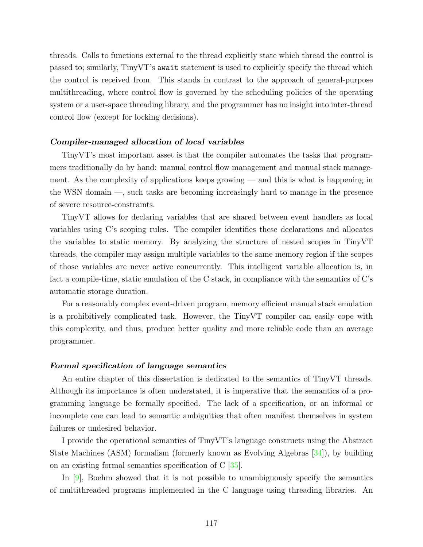threads. Calls to functions external to the thread explicitly state which thread the control is passed to; similarly, TinyVT's await statement is used to explicitly specify the thread which the control is received from. This stands in contrast to the approach of general-purpose multithreading, where control flow is governed by the scheduling policies of the operating system or a user-space threading library, and the programmer has no insight into inter-thread control flow (except for locking decisions).

## Compiler-managed allocation of local variables

TinyVT's most important asset is that the compiler automates the tasks that programmers traditionally do by hand: manual control flow management and manual stack management. As the complexity of applications keeps growing — and this is what is happening in the WSN domain —, such tasks are becoming increasingly hard to manage in the presence of severe resource-constraints.

TinyVT allows for declaring variables that are shared between event handlers as local variables using C's scoping rules. The compiler identifies these declarations and allocates the variables to static memory. By analyzing the structure of nested scopes in TinyVT threads, the compiler may assign multiple variables to the same memory region if the scopes of those variables are never active concurrently. This intelligent variable allocation is, in fact a compile-time, static emulation of the C stack, in compliance with the semantics of C's automatic storage duration.

For a reasonably complex event-driven program, memory efficient manual stack emulation is a prohibitively complicated task. However, the TinyVT compiler can easily cope with this complexity, and thus, produce better quality and more reliable code than an average programmer.

### Formal specification of language semantics

<span id="page-126-0"></span>An entire chapter of this dissertation is dedicated to the semantics of TinyVT threads. Although its importance is often understated, it is imperative that the semantics of a programming language be formally specified. The lack of a specification, or an informal or incomplete one can lead to semantic ambiguities that often manifest themselves in system failures or undesired behavior.

I provide the operational semantics of TinyVT's language constructs using the Abstract State Machines (ASM) formalism (formerly known as Evolving Algebras [\[34\]](#page-139-1)), by building on an existing formal semantics specification of  $C \, |35|$ .

In [\[9\]](#page-137-1), Boehm showed that it is not possible to unambiguously specify the semantics of multithreaded programs implemented in the C language using threading libraries. An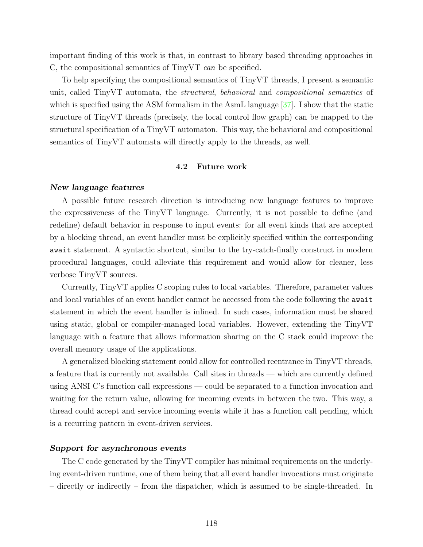important finding of this work is that, in contrast to library based threading approaches in C, the compositional semantics of TinyVT can be specified.

To help specifying the compositional semantics of TinyVT threads, I present a semantic unit, called TinyVT automata, the structural, behavioral and compositional semantics of which is specified using the ASM formalism in the AsmL language [\[37\]](#page-139-3). I show that the static structure of TinyVT threads (precisely, the local control flow graph) can be mapped to the structural specification of a TinyVT automaton. This way, the behavioral and compositional semantics of TinyVT automata will directly apply to the threads, as well.

# 4.2 Future work

### New language features

A possible future research direction is introducing new language features to improve the expressiveness of the TinyVT language. Currently, it is not possible to define (and redefine) default behavior in response to input events: for all event kinds that are accepted by a blocking thread, an event handler must be explicitly specified within the corresponding await statement. A syntactic shortcut, similar to the try-catch-finally construct in modern procedural languages, could alleviate this requirement and would allow for cleaner, less verbose TinyVT sources.

Currently, TinyVT applies C scoping rules to local variables. Therefore, parameter values and local variables of an event handler cannot be accessed from the code following the await statement in which the event handler is inlined. In such cases, information must be shared using static, global or compiler-managed local variables. However, extending the TinyVT language with a feature that allows information sharing on the C stack could improve the overall memory usage of the applications.

A generalized blocking statement could allow for controlled reentrance in TinyVT threads, a feature that is currently not available. Call sites in threads — which are currently defined using ANSI C's function call expressions — could be separated to a function invocation and waiting for the return value, allowing for incoming events in between the two. This way, a thread could accept and service incoming events while it has a function call pending, which is a recurring pattern in event-driven services.

# Support for asynchronous events

<span id="page-127-0"></span>The C code generated by the TinyVT compiler has minimal requirements on the underlying event-driven runtime, one of them being that all event handler invocations must originate – directly or indirectly – from the dispatcher, which is assumed to be single-threaded. In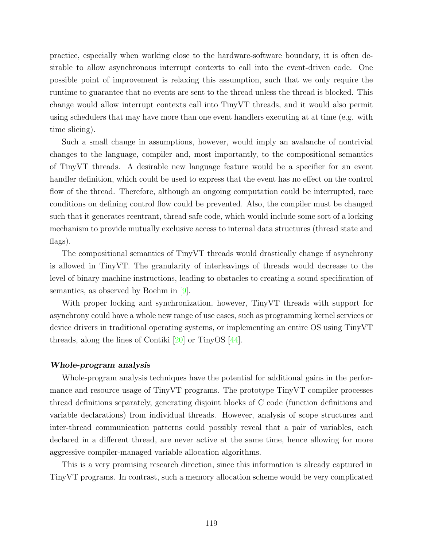practice, especially when working close to the hardware-software boundary, it is often desirable to allow asynchronous interrupt contexts to call into the event-driven code. One possible point of improvement is relaxing this assumption, such that we only require the runtime to guarantee that no events are sent to the thread unless the thread is blocked. This change would allow interrupt contexts call into TinyVT threads, and it would also permit using schedulers that may have more than one event handlers executing at at time (e.g. with time slicing).

Such a small change in assumptions, however, would imply an avalanche of nontrivial changes to the language, compiler and, most importantly, to the compositional semantics of TinyVT threads. A desirable new language feature would be a specifier for an event handler definition, which could be used to express that the event has no effect on the control flow of the thread. Therefore, although an ongoing computation could be interrupted, race conditions on defining control flow could be prevented. Also, the compiler must be changed such that it generates reentrant, thread safe code, which would include some sort of a locking mechanism to provide mutually exclusive access to internal data structures (thread state and flags).

The compositional semantics of TinyVT threads would drastically change if asynchrony is allowed in TinyVT. The granularity of interleavings of threads would decrease to the level of binary machine instructions, leading to obstacles to creating a sound specification of semantics, as observed by Boehm in [\[9\]](#page-137-1).

With proper locking and synchronization, however, TinyVT threads with support for asynchrony could have a whole new range of use cases, such as programming kernel services or device drivers in traditional operating systems, or implementing an entire OS using TinyVT threads, along the lines of Contiki [\[20\]](#page-138-2) or TinyOS [\[44\]](#page-140-0).

# Whole-program analysis

Whole-program analysis techniques have the potential for additional gains in the performance and resource usage of TinyVT programs. The prototype TinyVT compiler processes thread definitions separately, generating disjoint blocks of C code (function definitions and variable declarations) from individual threads. However, analysis of scope structures and inter-thread communication patterns could possibly reveal that a pair of variables, each declared in a different thread, are never active at the same time, hence allowing for more aggressive compiler-managed variable allocation algorithms.

This is a very promising research direction, since this information is already captured in TinyVT programs. In contrast, such a memory allocation scheme would be very complicated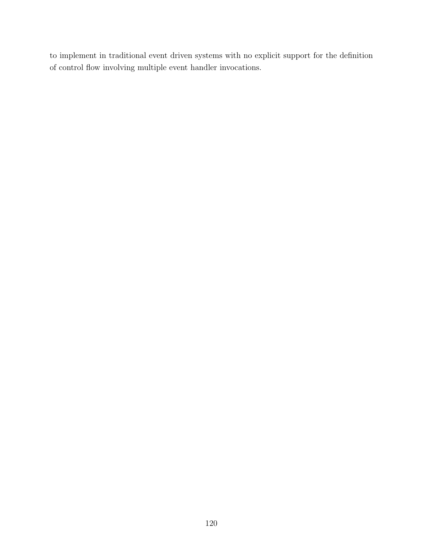to implement in traditional event driven systems with no explicit support for the definition of control flow involving multiple event handler invocations.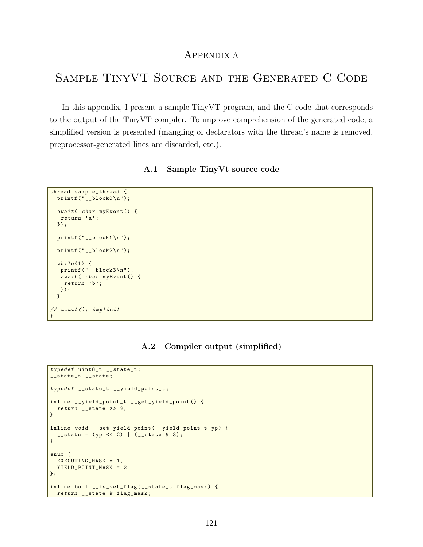# Appendix A

# Sample TinyVT Source and the Generated C Code

In this appendix, I present a sample TinyVT program, and the C code that corresponds to the output of the TinyVT compiler. To improve comprehension of the generated code, a simplified version is presented (mangling of declarators with the thread's name is removed, preprocessor-generated lines are discarded, etc.).

# A.1 Sample TinyVt source code

```
thread sample_thread {
  print(' - block0 \n\cdot \n^n);await ( char myEvent () {
   return 'a';
  });
  printf("_blklock1\nu");
  printf("_-\text{block2} \n\cdot \n^n);
  while (1) <printf ("__block3\n");
   await ( char myEvent () {
    return 'b';
   });
  }
// await (); implicit
}
```
# A.2 Compiler output (simplified)

```
typedef uint8_t __state_t ;
__state_t __state;
typedef __state_t __yield_point_t ;
inline __yield_point_t __get_yield_point () {
 return __state >> 2;
}
inline void __set_yield_point ( __yield_point_t yp ) {
  _{-\text{state}} = (yp << 2) | (_{-\text{state}} & 3);
}
enum {
 EXECUTING_MASK = 1,
  YIELD_POINT_MASK = 2
};
inline bool __is_set_flag (__state_t flag_mask) {
return __state & flag_mask ;
```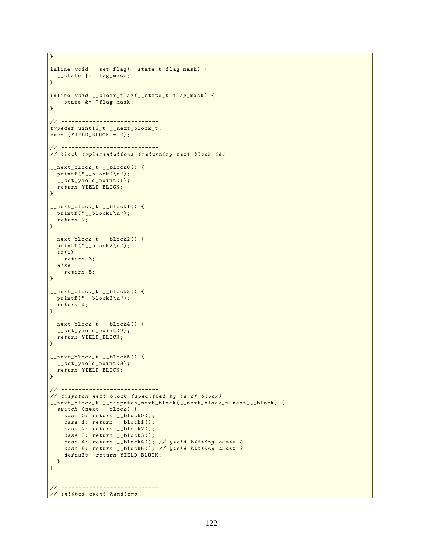```
inline void __set_flag ( __state_t flag_mask ) {
   __state |= flag_mask ;
}
 inline void __clear_flag(__state_t flag_mask) {
   __state &= "flag_mask;
}
// -----------------------------
 typedef uint16_t __next_block_t ;
 enum { YIELD_BLOCK = 0};
// ----------------------------
\frac{1}{2} block implementations (returning next block id)
__next_block_t __block0 () {
 printf('_{-}block0\nu');__set_yield_point (1);
 return YIELD_BLOCK ;
\vert__next_block_t __block1 () {
 print(' - block1 \n\cdot \n;
  return 2;
\mathbf{R}__next_block_t __block2 () {
 printf(" _ _blue \> 2\n");
  if(1)return 3;
  else
    return 5;
\vert__next_block_t __block3 () {
  printf("_blklock3\nu");
  return 4;
}
__next_block_t __block4 () {
  __set_yield_point (2);
  return YIELD_BLOCK ;
\mathcal{F}__next_block_t __block5 () {
  __set_yield_point (3);
 return YIELD_BLOCK ;
\vert }
// -----------------------------
// dispatch next block ( specified by id of block )
__next_block_t __dispatch_next_block ( __next_block_t next___block ) {
  switch ( next___block ) {
    case 0: return __block0();
    case 1: return __block1();
    case 2: return __block2 ();
    case 3: return __block3();
    case 4: return __block4 (); // yield hitting await 2
     case 5: return __block5 (); // yield hitting await 3
     default: return YIELD_BLOCK;
  }
}
// -----------------------------
// inlined event handlers
```
 $\mathsf{R}$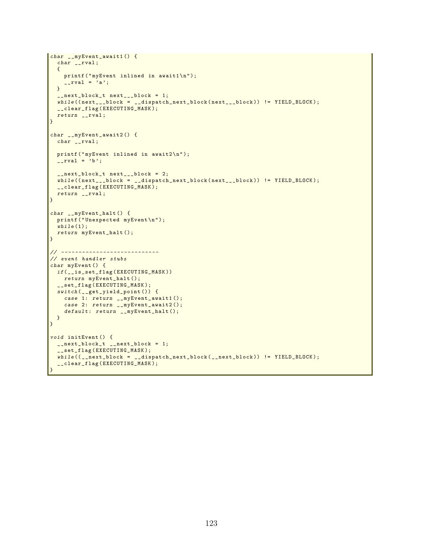```
char __myEvent_await1 () {
  char __rval ;
  {
    printf ("myEvent inlined in await1\n");
    \_rval = 'a';}
  __next_block_t next___block = 1;
  while ((next_{--}block = _{dispatch\_next\_block(new\_block)) != YIELD_BLOCK);
  __clear_flag ( EXECUTING_MASK );
 return __rval ;
\mathbf{R}char __myEvent_await2 () {
  char __rval;
 printf ("myEvent inlined in await2\n");
  \frac{\text{1}}{\text{1}} = \frac{\text{1}}{\text{1}} b';
   {\tt _{next\_block\_t} \ next\_block} = 2;
 while ((next_{\_o}block = \_dispatch{\_next_block} (next_{\_o}block)) := YIELD{\_BLOCK};__clear_flag (EXECUTING_MASK);
 return __rval ;
\vert }
char __myEvent_halt () {
 printf ("Unexpected myEvent\n");
  while (1);return myEvent_halt ();
\vert// -----------------------------
// event handler stubs
char myEvent () {
 if( __is_set_flag ( EXECUTING_MASK ))
   return myEvent_halt ();
  __set_flag (EXECUTING_MASK);
  switch ( __get_yield_point ()) {
    case 1: return __myEvent_await1();
    case 2: return __myEvent_await2 ();
    default: return __myEvent_halt();
  }
\vertvoid initEvent () {
  _{-}next_block_t _{-}next_block = 1;
  __set_flag (EXECUTING_MASK);
  while ((_\texttt{next\_block} = \texttt{\_dist} \cdot \texttt{select\_next\_block}) = \texttt{YIELD\_BLEUOK});__clear_flag(EXECUTING_MASK);
}
```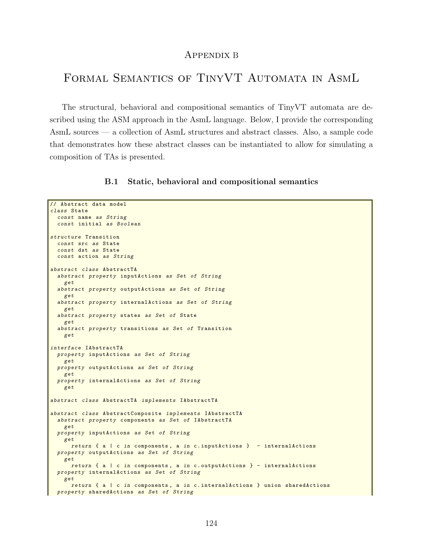# Appendix B

# <span id="page-133-0"></span>Formal Semantics of TinyVT Automata in AsmL

The structural, behavioral and compositional semantics of TinyVT automata are described using the ASM approach in the AsmL language. Below, I provide the corresponding AsmL sources — a collection of AsmL structures and abstract classes. Also, a sample code that demonstrates how these abstract classes can be instantiated to allow for simulating a composition of TAs is presented.

B.1 Static, behavioral and compositional semantics

```
// Abstract data model
class State
  const name as String
  const initial as Boolean
structure Transition
  const src as State
 const dst as State
  const action as String
abstract class AbstractTA
 abstract property inputActions as Set of String
    get
  abstract property outputActions as Set of String
    get
  abstract property internalActions as Set of String
    get
  abstract property states as Set of State
    get
  abstract property transitions as Set of Transition
    get
interface IAbstractTA
  property inputActions as Set of String
    get
  property outputActions as Set of String
    get
  property internalActions as Set of String
    get
abstract class AbstractTA implements IAbstractTA
abstract class AbstractComposite implements IAbstractTA
  abstract property components as Set of IAbstractTA
    get
  property inputActions as Set of String
    get
      return { a | c in components , a in c. inputActions } - internalActions
  property outputActions as Set of String
    get
     return \{ a \mid c \text{ in components, } a \text{ in c.} outputActions \} - internalActions
  property internalActions as Set of String
    get
      return { a | c in components, a in c. internalActions } union sharedActions
  property sharedActions as Set of String
```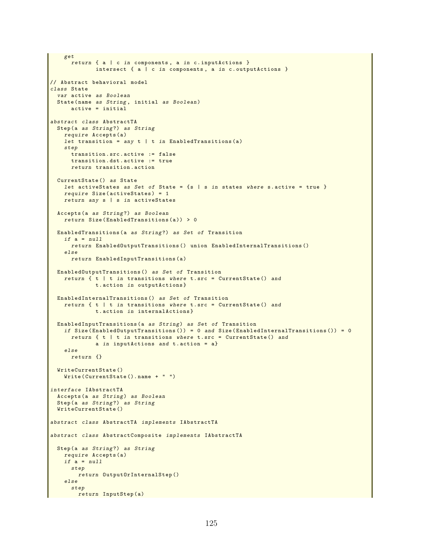```
get
      return { a | c in components , a in c. inputActions }
             intersect { a | c in components, a in c. outputActions }
// Abstract behavioral model
class State
  var active as Boolean
  State (name as String, initial as Boolean)
      active = initial
abstract class AbstractTA
 Step (a as String?) as String
    require Accepts (a)
   let transition = any t | t in EnabledTransitions(a)
    step
      transition . src . active := false
      transition . dst . active := true
      return transition . action
  CurrentState () as State
   let activeStates as Set of State = \{s \mid s \text{ in states where } s \text{ .active = true }\}require Size (activeStates) = 1return any s | s in activeStates
  Accepts (a as String?) as Boolean
    return Size (EnabledTransitions (a)) > 0
  EnabledTransitions (a as String?) as Set of Transition
   if a = nullreturn EnabledOutputTransitions () union EnabledInternalTransitions ()
    else
      return EnabledInputTransitions (a )
  EnabledOutputTransitions () as Set of Transition
    return \{ t | t in transitions where t.s <math>r = CurrentState () and
             t. action in outputActions }
  EnabledInternalTransitions () as Set of Transition
   return { t | t in transitions where t. src = CurrentState () and
             t. action in internalActions }
  EnabledInputTransitions (a as String) as Set of Transition
   if Size (EnabledOutputTransitions ()) = 0 and Size (EnabledInternalTransitions ()) = 0
      return \{ t | t in transitions where t.src = CurrentState() and
             a in inputActions and t. action = a}
    else
      return {}
  WriteCurrentState ()
    Write ( Current State ( ) . name + " " )
interface IAbstractTA
  Accepts (a as String) as Boolean
  Step (a as String?) as String
  WriteCurrentState ()
abstract class AbstractTA implements IAbstractTA
abstract class AbstractComposite implements IAbstractTA
  Step (a as String?) as String
   require Accepts (a)
    if \ a = nullstep
        return OutputOrInternalStep ()
    else
      step
   return InputStep(a)
```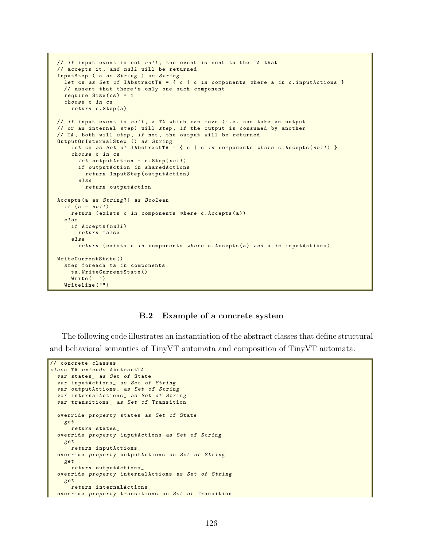```
// if input event is not null, the event is sent to the TA that
// accepts it , and null will be returned
InputStep ( a as String ) as String
 let cs as Set of IAbstractTA = {c | c in components where a in c. inputActions }
  // assert that there's only one such component
  require Size ( cs) = 1choose c in cs
    return c. Step (a)
// if input event is null, a TA which can move (i.e. can take an output
\sqrt{2} or an internal step) will step, if the output is consumed by another
// TA, both will step, if not, the output will be returned
OutputOrInternalStep () as String
    let cs as Set of IAbstractTA = { c | c in components where c. Accepts (null) }
    choose c in cs
      let outputAction = c. Step (null)
      if outputAction in sharedActions
       return InputStep ( outputAction )
      else
       return outputAction
Accepts (a as String?) as Boolean
 if (a = null)return ( exists c in components where c. Accepts (a))
  else
    if Accepts (null)
      return false
    else
      return ( exists c in components where c. Accepts (a) and a in inputActions )
WriteCurrentState ()
  step foreach ta in components
    ta . WriteCurrentState ()
    Write (" ")
  WriteLine ("")
```
# B.2 Example of a concrete system

The following code illustrates an instantiation of the abstract classes that define structural and behavioral semantics of TinyVT automata and composition of TinyVT automata.

```
// concrete classes
class TA extends AbstractTA
 var states_ as Set of State
 var inputActions_ as Set of String
 var outputActions_ as Set of String
 var internalActions_ as Set of String
 var transitions_ as Set of Transition
 override property states as Set of State
   get
     return states_
 override property inputActions as Set of String
   get
     return inputActions_
 override property outputActions as Set of String
   get
     return outputActions_
 override property internalActions as Set of String
   get
     return internalActions_
 override property transitions as Set of Transition
```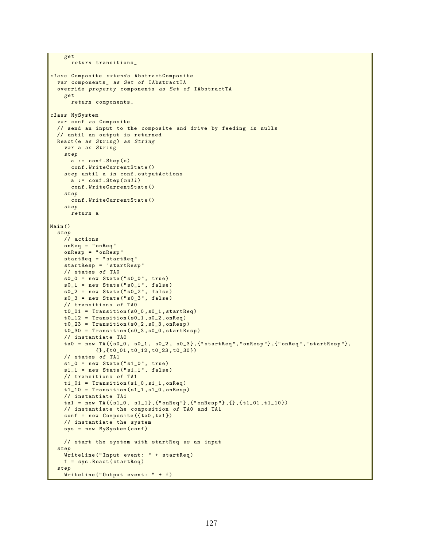```
get
      return transitions_
class Composite extends AbstractComposite
  var components_ as Set of IAbstractTA
  override property components as Set of IAbstractTA
    get
      return components_
class MySystem
  var conf as Composite
  // send an input to the composite and drive by feeding in nulls
  // until an output is returned
  React (e as String) as String
   var a as String
    step
      a := \text{conf}.Step(e)conf . WriteCurrentState ()
    step until a in conf . outputActions
      a := \text{conf}.Step(null)conf . WriteCurrentState ()
    step
      conf . WriteCurrentState ()
    step
      return a
Main ()
  step
   // actions
    onReq = " onReq "
    onResp = " onResp "
    startReq = " startReq "
    startResp = " startResp "
   // states of TA0
    s0_0 = new State("s0_0", true)s0_1 = new State (" s0_1 ", false )
    s0_2 = new State (" s0_2 ", false )
    s0_3 = new State ("s0_3", false)
    // transitions of TA0
    t0_01 = Transition (s0_0, s0_1, startReg)t0_12 = Transition(s0_1, s0_2, onReg)t0_23 = Transition (s0_2, s0_3, onResp)
    t0_30 = Transition (s0_3, s0_0, startRes)// instantiate TA0
    ta0 = new TA({s0_0, s0_1, s0_2, s0_3},{"startReq","onResp"},{"onReq","startResp"},
             {} ,{ t0_01 , t0_12 , t0_23 , t0_30 })
    // states of TA1
    s1_0 = new State ("s1_0", true)
    s1_1 = new State ("s1_1", false)
    // transitions of TA1
    t1_01 = Transition (s1_0, s1_1, onReq)
    t1_10 = Transition (s1_1, s1_0, \text{on}Resp)
    // instantiate TA1
    ta1 = new TA({s1_0, s1_1}, {"onReq"},{"onResp"},{}},{t_1_0, t_1_1_0}// instantiate the composition of TA0 and TA1
    conf = new Composite({ta0, ta1})// instantiate the system
    sys = new MySystem ( conf )
    // start the system with startReq as an input
  step
    WriteLine ("Input event: " + startReq)
    f = sys. React (startReq)
  step
    WriteLine ("Output event: " + f)
```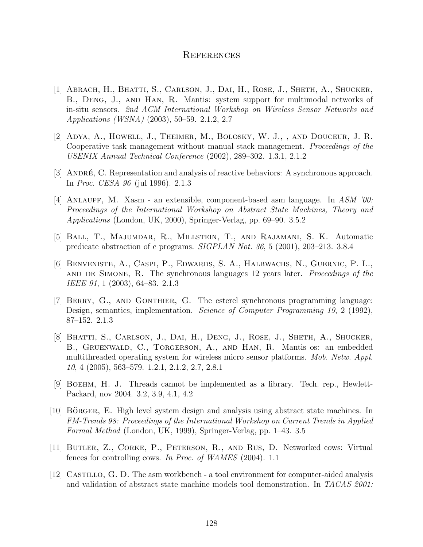# **REFERENCES**

- [1] Abrach, H., Bhatti, S., Carlson, J., Dai, H., Rose, J., Sheth, A., Shucker, B., Deng, J., and Han, R. Mantis: system support for multimodal networks of in-situ sensors. 2nd ACM International Workshop on Wireless Sensor Networks and Applications (WSNA) (2003), 50–59. [2.1.2,](#page-26-0) [2.7](#page-70-0)
- [2] Adya, A., Howell, J., Theimer, M., Bolosky, W. J., , and Douceur, J. R. Cooperative task management without manual stack management. Proceedings of the USENIX Annual Technical Conference (2002), 289–302. [1.3.1,](#page-13-0) [2.1.2](#page-24-0)
- [3] ANDRÉ, C. Representation and analysis of reactive behaviors: A synchronous approach. In Proc. CESA 96 (jul 1996). [2.1.3](#page-27-0)
- [4] ANLAUFF, M. Xasm an extensible, component-based asm language. In ASM '00: Proceedings of the International Workshop on Abstract State Machines, Theory and Applications (London, UK, 2000), Springer-Verlag, pp. 69–90. [3.5.2](#page-96-0)
- <span id="page-137-0"></span>[5] Ball, T., Majumdar, R., Millstein, T., and Rajamani, S. K. Automatic predicate abstraction of c programs. SIGPLAN Not. 36, 5 (2001), 203–213. [3.8.4](#page-122-0)
- [6] Benveniste, A., Caspi, P., Edwards, S. A., Halbwachs, N., Guernic, P. L., AND DE SIMONE, R. The synchronous languages 12 years later. Proceedings of the IEEE 91, 1 (2003), 64–83. [2.1.3](#page-27-0)
- [7] Berry, G., and Gonthier, G. The esterel synchronous programming language: Design, semantics, implementation. Science of Computer Programming 19, 2 (1992), 87–152. [2.1.3](#page-27-0)
- [8] Bhatti, S., Carlson, J., Dai, H., Deng, J., Rose, J., Sheth, A., Shucker, B., Gruenwald, C., Torgerson, A., and Han, R. Mantis os: an embedded multithreaded operating system for wireless micro sensor platforms. Mob. Netw. Appl. 10, 4 (2005), 563–579. [1.2.1,](#page-11-0) [2.1.2,](#page-26-0) [2.7,](#page-70-0) [2.8.1](#page-78-0)
- <span id="page-137-1"></span>[9] BOEHM, H. J. Threads cannot be implemented as a library. Tech. rep., Hewlett-Packard, nov 2004. [3.2,](#page-89-0) [3.9,](#page-122-1) [4.1,](#page-126-0) [4.2](#page-127-0)
- [10] BÖRGER, E. High level system design and analysis using abstract state machines. In FM-Trends 98: Proceedings of the International Workshop on Current Trends in Applied Formal Method (London, UK, 1999), Springer-Verlag, pp. 1–43. [3.5](#page-94-0)
- [11] Butler, Z., Corke, P., Peterson, R., and Rus, D. Networked cows: Virtual fences for controlling cows. In Proc. of WAMES (2004). [1.1](#page-10-0)
- [12] Castillo, G. D. The asm workbench a tool environment for computer-aided analysis and validation of abstract state machine models tool demonstration. In TACAS 2001: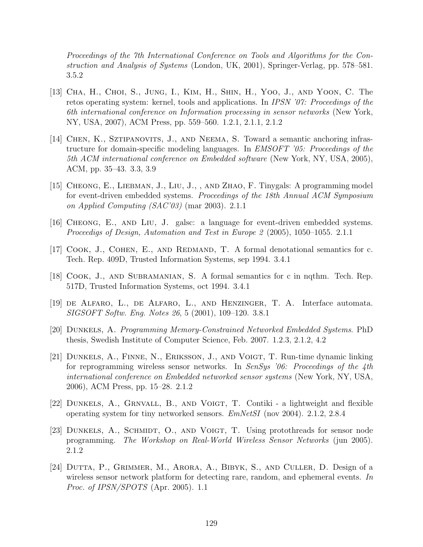Proceedings of the 7th International Conference on Tools and Algorithms for the Construction and Analysis of Systems (London, UK, 2001), Springer-Verlag, pp. 578–581. [3.5.2](#page-96-0)

- [13] Cha, H., Choi, S., Jung, I., Kim, H., Shin, H., Yoo, J., and Yoon, C. The retos operating system: kernel, tools and applications. In IPSN '07: Proceedings of the 6th international conference on Information processing in sensor networks (New York, NY, USA, 2007), ACM Press, pp. 559–560. [1.2.1,](#page-11-0) [2.1.1,](#page-20-0) [2.1.2](#page-26-1)
- <span id="page-138-1"></span>[14] Chen, K., Sztipanovits, J., and Neema, S. Toward a semantic anchoring infrastructure for domain-specific modeling languages. In  $EMSOFT$  '05: Proceedings of the 5th ACM international conference on Embedded software (New York, NY, USA, 2005), ACM, pp. 35–43. [3.3,](#page-91-0) [3.9](#page-124-0)
- [15] Cheong, E., Liebman, J., Liu, J., , and Zhao, F. Tinygals: A programming model for event-driven embedded systems. Proceedings of the 18th Annual ACM Symposium on Applied Computing (SAC'03) (mar 2003). [2.1.1](#page-23-0)
- [16] Cheong, E., and Liu, J. galsc: a language for event-driven embedded systems. Proceedigs of Design, Automation and Test in Europe 2 (2005), 1050–1055. [2.1.1](#page-23-0)
- [17] COOK, J., COHEN, E., AND REDMAND, T. A formal denotational semantics for c. Tech. Rep. 409D, Trusted Information Systems, sep 1994. [3.4.1](#page-91-1)
- [18] Cook, J., and Subramanian, S. A formal semantics for c in nqthm. Tech. Rep. 517D, Trusted Information Systems, oct 1994. [3.4.1](#page-91-1)
- <span id="page-138-0"></span>[19] de Alfaro, L., de Alfaro, L., and Henzinger, T. A. Interface automata. SIGSOFT Softw. Eng. Notes 26, 5 (2001), 109–120. [3.8.1](#page-109-0)
- <span id="page-138-2"></span>[20] Dunkels, A. Programming Memory-Constrained Networked Embedded Systems. PhD thesis, Swedish Institute of Computer Science, Feb. 2007. [1.2.3,](#page-12-0) [2.1.2,](#page-24-1) [4.2](#page-127-0)
- [21] Dunkels, A., Finne, N., Eriksson, J., and Voigt, T. Run-time dynamic linking for reprogramming wireless sensor networks. In SenSys '06: Proceedings of the 4th international conference on Embedded networked sensor systems (New York, NY, USA, 2006), ACM Press, pp. 15–28. [2.1.2](#page-27-1)
- [22] DUNKELS, A., GRNVALL, B., AND VOIGT, T. Contiki a lightweight and flexible operating system for tiny networked sensors.  $EmNetSI$  (nov 2004). [2.1.2,](#page-24-1) [2.8.4](#page-80-0)
- [23] DUNKELS, A., SCHMIDT, O., AND VOIGT, T. Using protothreads for sensor node programming. The Workshop on Real-World Wireless Sensor Networks (jun 2005). [2.1.2](#page-24-1)
- [24] DUTTA, P., GRIMMER, M., ARORA, A., BIBYK, S., AND CULLER, D. Design of a wireless sensor network platform for detecting rare, random, and ephemeral events. In Proc. of IPSN/SPOTS (Apr. 2005). [1.1](#page-10-0)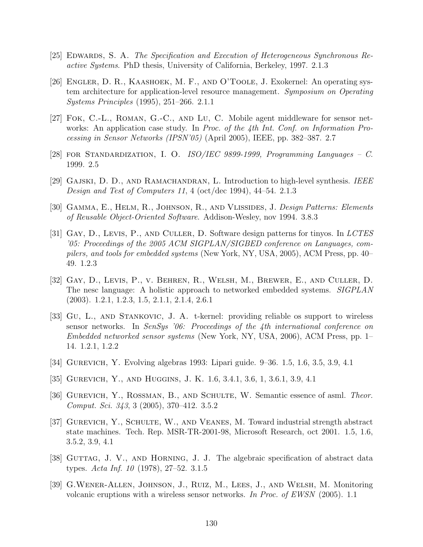- [25] Edwards, S. A. The Specification and Execution of Heterogeneous Synchronous Reactive Systems. PhD thesis, University of California, Berkeley, 1997. [2.1.3](#page-27-0)
- [26] ENGLER, D. R., KAASHOEK, M. F., AND O'TOOLE, J. Exokernel: An operating system architecture for application-level resource management. Symposium on Operating Systems Principles (1995), 251–266. [2.1.1](#page-21-0)
- [27] Fok, C.-L., Roman, G.-C., and Lu, C. Mobile agent middleware for sensor networks: An application case study. In Proc. of the 4th Int. Conf. on Information Processing in Sensor Networks (IPSN'05) (April 2005), IEEE, pp. 382–387. [2.7](#page-70-0)
- [28] FOR STANDARDIZATION, I. O. ISO/IEC 9899-1999, Programming Languages C. 1999. [2.5](#page-36-0)
- [29] GAJSKI, D. D., AND RAMACHANDRAN, L. Introduction to high-level synthesis. IEEE Design and Test of Computers 11, 4 (oct/dec 1994), 44–54. [2.1.3](#page-27-0)
- <span id="page-139-0"></span>[30] Gamma, E., Helm, R., Johnson, R., and Vlissides, J. Design Patterns: Elements of Reusable Object-Oriented Software. Addison-Wesley, nov 1994. [3.8.3](#page-114-0)
- [31] Gay, D., Levis, P., and Culler, D. Software design patterns for tinyos. In LCTES '05: Proceedings of the 2005 ACM SIGPLAN/SIGBED conference on Languages, compilers, and tools for embedded systems (New York, NY, USA, 2005), ACM Press, pp. 40– 49. [1.2.3](#page-12-0)
- [32] Gay, D., Levis, P., v. Behren, R., Welsh, M., Brewer, E., and Culler, D. The nesc language: A holistic approach to networked embedded systems. SIGPLAN (2003). [1.2.1,](#page-11-0) [1.2.3,](#page-12-0) [1.5,](#page-17-0) [2.1.1,](#page-22-0) [2.1.4,](#page-29-0) [2.6.1](#page-47-0)
- [33] Gu, L., and Stankovic, J. A. t-kernel: providing reliable os support to wireless sensor networks. In SenSys '06: Proceedings of the 4th international conference on Embedded networked sensor systems (New York, NY, USA, 2006), ACM Press, pp. 1– 14. [1.2.1,](#page-11-0) [1.2.2](#page-11-1)
- <span id="page-139-1"></span>[34] Gurevich, Y. Evolving algebras 1993: Lipari guide. 9–36. [1.5,](#page-17-0) [1.6,](#page-18-0) [3.5,](#page-94-0) [3.9,](#page-123-0) [4.1](#page-126-0)
- <span id="page-139-2"></span>[35] Gurevich, Y., and Huggins, J. K. [1.6,](#page-18-0) [3.4.1,](#page-91-1) [3.6,](#page-99-0) [1,](#page-99-1) [3.6.1,](#page-100-0) [3.9,](#page-123-0) [4.1](#page-126-0)
- [36] GUREVICH, Y., ROSSMAN, B., AND SCHULTE, W. Semantic essence of asml. *Theor.* Comput. Sci. 343, 3 (2005), 370–412. [3.5.2](#page-96-0)
- <span id="page-139-3"></span>[37] Gurevich, Y., Schulte, W., and Veanes, M. Toward industrial strength abstract state machines. Tech. Rep. MSR-TR-2001-98, Microsoft Research, oct 2001. [1.5,](#page-17-0) [1.6,](#page-18-0) [3.5.2,](#page-96-0) [3.9,](#page-124-0) [4.1](#page-126-0)
- [38] GUTTAG, J. V., AND HORNING, J. J. The algebraic specification of abstract data types. Acta Inf. 10 (1978), 27–52. [3.1.5](#page-89-1)
- [39] G.Wener-Allen, Johnson, J., Ruiz, M., Lees, J., and Welsh, M. Monitoring volcanic eruptions with a wireless sensor networks. In Proc. of EWSN (2005). [1.1](#page-10-0)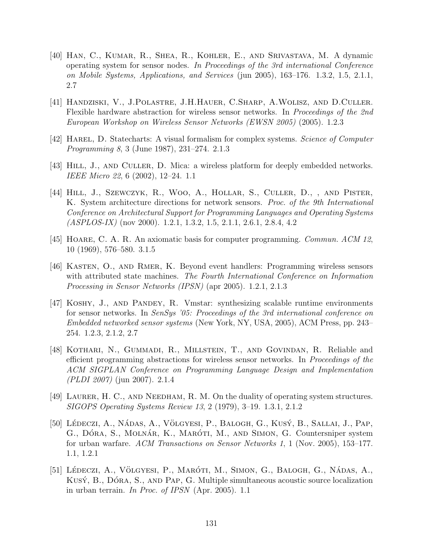- [40] Han, C., Kumar, R., Shea, R., Kohler, E., and Srivastava, M. A dynamic operating system for sensor nodes. In Proceedings of the 3rd international Conference on Mobile Systems, Applications, and Services (jun 2005), 163–176. [1.3.2,](#page-14-0) [1.5,](#page-17-0) [2.1.1,](#page-21-0) [2.7](#page-70-0)
- [41] HANDZISKI, V., J.POLASTRE, J.H.HAUER, C.SHARP, A.WOLISZ, AND D.CULLER. Flexible hardware abstraction for wireless sensor networks. In Proceedings of the 2nd European Workshop on Wireless Sensor Networks (EWSN 2005) (2005). [1.2.3](#page-12-0)
- [42] HAREL, D. Statecharts: A visual formalism for complex systems. Science of Computer Programming 8, 3 (June 1987), 231–274. [2.1.3](#page-27-0)
- [43] Hill, J., and Culler, D. Mica: a wireless platform for deeply embedded networks. IEEE Micro 22, 6 (2002), 12–24. [1.1](#page-10-0)
- <span id="page-140-0"></span>[44] HILL, J., SZEWCZYK, R., WOO, A., HOLLAR, S., CULLER, D., , AND PISTER, K. System architecture directions for network sensors. Proc. of the 9th International Conference on Architectural Support for Programming Languages and Operating Systems (ASPLOS-IX) (nov 2000). [1.2.1,](#page-11-0) [1.3.2,](#page-14-0) [1.5,](#page-17-0) [2.1.1,](#page-22-0) [2.6.1,](#page-47-0) [2.8.4,](#page-80-0) [4.2](#page-127-0)
- [45] Hoare, C. A. R. An axiomatic basis for computer programming. Commun. ACM 12, 10 (1969), 576–580. [3.1.5](#page-88-0)
- [46] Kasten, O., and Rmer, K. Beyond event handlers: Programming wireless sensors with attributed state machines. The Fourth International Conference on Information Processing in Sensor Networks (IPSN) (apr 2005). [1.2.1,](#page-11-0) [2.1.3](#page-27-0)
- [47] Koshy, J., and Pandey, R. Vmstar: synthesizing scalable runtime environments for sensor networks. In SenSys '05: Proceedings of the 3rd international conference on Embedded networked sensor systems (New York, NY, USA, 2005), ACM Press, pp. 243– 254. [1.2.3,](#page-12-0) [2.1.2,](#page-27-1) [2.7](#page-70-0)
- [48] KOTHARI, N., GUMMADI, R., MILLSTEIN, T., AND GOVINDAN, R. Reliable and efficient programming abstractions for wireless sensor networks. In *Proceedings of the* ACM SIGPLAN Conference on Programming Language Design and Implementation (PLDI 2007) (jun 2007). [2.1.4](#page-29-0)
- [49] LAURER, H. C., AND NEEDHAM, R. M. On the duality of operating system structures. SIGOPS Operating Systems Review 13, 2 (1979), 3–19. [1.3.1,](#page-13-0) [2.1.2](#page-24-0)
- [50] LÉDECZI, A., NÁDAS, A., VÖLGYESI, P., BALOGH, G., KUSÝ, B., SALLAI, J., PAP, G., DÓRA, S., MOLNÁR, K., MARÓTI, M., AND SIMON, G. Countersniper system for urban warfare. ACM Transactions on Sensor Networks 1, 1 (Nov. 2005), 153–177. [1.1,](#page-10-0) [1.2.1](#page-11-0)
- [51] LÉDECZI, A., VÖLGYESI, P., MARÓTI, M., SIMON, G., BALOGH, G., NÁDAS, A., KUSÝ, B., DÓRA, S., AND PAP, G. Multiple simultaneous acoustic source localization in urban terrain. In Proc. of IPSN (Apr. 2005). [1.1](#page-10-0)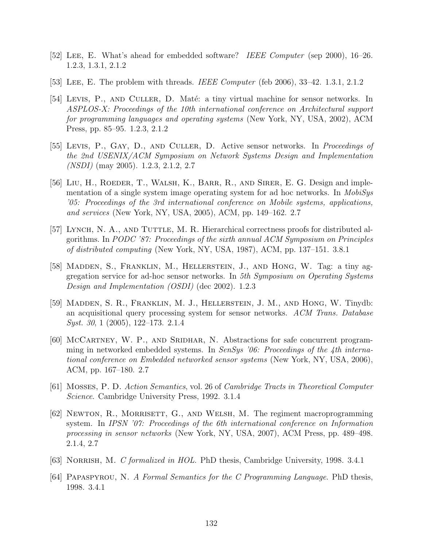- [52] Lee, E. What's ahead for embedded software? IEEE Computer (sep 2000), 16–26. [1.2.3,](#page-12-0) [1.3.1,](#page-13-0) [2.1.2](#page-24-0)
- [53] LEE, E. The problem with threads. *IEEE Computer* (feb 2006), 33–42. [1.3.1,](#page-13-0) [2.1.2](#page-24-0)
- [54] LEVIS, P., AND CULLER, D. Maté: a tiny virtual machine for sensor networks. In ASPLOS-X: Proceedings of the 10th international conference on Architectural support for programming languages and operating systems (New York, NY, USA, 2002), ACM Press, pp. 85–95. [1.2.3,](#page-12-0) [2.1.2](#page-27-1)
- [55] Levis, P., Gay, D., and Culler, D. Active sensor networks. In Proceedings of the 2nd USENIX/ACM Symposium on Network Systems Design and Implementation (NSDI) (may 2005). [1.2.3,](#page-12-0) [2.1.2,](#page-27-1) [2.7](#page-70-0)
- [56] LIU, H., ROEDER, T., WALSH, K., BARR, R., AND SIRER, E. G. Design and implementation of a single system image operating system for ad hoc networks. In MobiSys '05: Proceedings of the 3rd international conference on Mobile systems, applications, and services (New York, NY, USA, 2005), ACM, pp. 149–162. [2.7](#page-70-0)
- <span id="page-141-0"></span>[57] LYNCH, N. A., AND TUTTLE, M. R. Hierarchical correctness proofs for distributed algorithms. In PODC '87: Proceedings of the sixth annual ACM Symposium on Principles of distributed computing (New York, NY, USA, 1987), ACM, pp. 137–151. [3.8.1](#page-109-0)
- [58] MADDEN, S., FRANKLIN, M., HELLERSTEIN, J., AND HONG, W. Tag: a tiny aggregation service for ad-hoc sensor networks. In 5th Symposium on Operating Systems Design and Implementation (OSDI) (dec 2002). [1.2.3](#page-12-0)
- [59] Madden, S. R., Franklin, M. J., Hellerstein, J. M., and Hong, W. Tinydb: an acquisitional query processing system for sensor networks. ACM Trans. Database Syst. 30, 1 (2005), 122–173. [2.1.4](#page-29-1)
- [60] McCartney, W. P., and Sridhar, N. Abstractions for safe concurrent programming in networked embedded systems. In SenSys '06: Proceedings of the 4th international conference on Embedded networked sensor systems (New York, NY, USA, 2006), ACM, pp. 167–180. [2.7](#page-70-0)
- [61] Mosses, P. D. Action Semantics, vol. 26 of Cambridge Tracts in Theoretical Computer Science. Cambridge University Press, 1992. [3.1.4](#page-87-0)
- [62] NEWTON, R., MORRISETT, G., AND WELSH, M. The regiment macroprogramming system. In IPSN '07: Proceedings of the 6th international conference on Information processing in sensor networks (New York, NY, USA, 2007), ACM Press, pp. 489–498. [2.1.4,](#page-29-0) [2.7](#page-70-0)
- [63] NORRISH, M. C formalized in HOL. PhD thesis, Cambridge University, 1998. [3.4.1](#page-91-1)
- [64] Papaspyrou, N. A Formal Semantics for the C Programming Language. PhD thesis, 1998. [3.4.1](#page-91-1)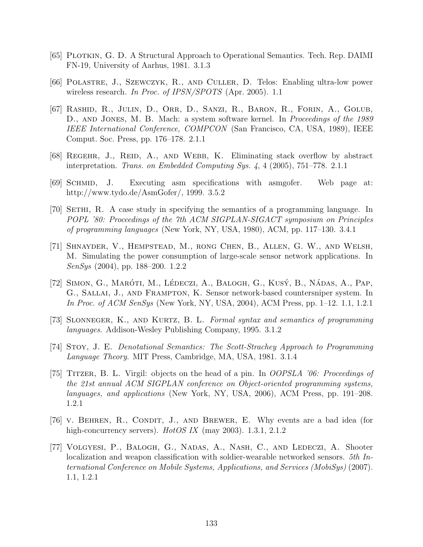- [65] PLOTKIN, G. D. A Structural Approach to Operational Semantics. Tech. Rep. DAIMI FN-19, University of Aarhus, 1981. [3.1.3](#page-86-0)
- [66] Polastre, J., Szewczyk, R., and Culler, D. Telos: Enabling ultra-low power wireless research. In Proc. of IPSN/SPOTS (Apr. 2005). [1.1](#page-10-0)
- [67] Rashid, R., Julin, D., Orr, D., Sanzi, R., Baron, R., Forin, A., Golub, D., AND JONES, M. B. Mach: a system software kernel. In *Proceedings of the 1989* IEEE International Conference, COMPCON (San Francisco, CA, USA, 1989), IEEE Comput. Soc. Press, pp. 176–178. [2.1.1](#page-21-0)
- [68] REGEHR, J., REID, A., AND WEBB, K. Eliminating stack overflow by abstract interpretation. Trans. on Embedded Computing Sys. 4, 4 (2005), 751–778. [2.1.1](#page-20-0)
- [69] Schmid, J. Executing asm specifications with asmgofer. Web page at: http://www.tydo.de/AsmGofer/, 1999. [3.5.2](#page-96-0)
- [70] Sethi, R. A case study in specifying the semantics of a programming language. In POPL '80: Proceedings of the 7th ACM SIGPLAN-SIGACT symposium on Principles of programming languages (New York, NY, USA, 1980), ACM, pp. 117–130. [3.4.1](#page-91-1)
- [71] Shnayder, V., Hempstead, M., rong Chen, B., Allen, G. W., and Welsh, M. Simulating the power consumption of large-scale sensor network applications. In SenSys (2004), pp. 188–200. [1.2.2](#page-11-1)
- [72] SIMON, G., MARÓTI, M., LÉDECZI, A., BALOGH, G., KUSÝ, B., NÁDAS, A., PAP, G., Sallai, J., and Frampton, K. Sensor network-based countersniper system. In In Proc. of ACM SenSys (New York, NY, USA, 2004), ACM Press, pp. 1–12. [1.1,](#page-10-0) [1.2.1](#page-11-0)
- [73] Slonneger, K., and Kurtz, B. L. Formal syntax and semantics of programming languages. Addison-Wesley Publishing Company, 1995. [3.1.2](#page-84-0)
- [74] Stoy, J. E. Denotational Semantics: The Scott-Strachey Approach to Programming Language Theory. MIT Press, Cambridge, MA, USA, 1981. [3.1.4](#page-86-1)
- [75] Titzer, B. L. Virgil: objects on the head of a pin. In OOPSLA '06: Proceedings of the 21st annual ACM SIGPLAN conference on Object-oriented programming systems, languages, and applications (New York, NY, USA, 2006), ACM Press, pp. 191–208. [1.2.1](#page-11-0)
- [76] v. Behren, R., Condit, J., and Brewer, E. Why events are a bad idea (for high-concurrency servers).  $HotOS$  IX (may 2003). [1.3.1,](#page-13-0) [2.1.2](#page-24-0)
- [77] Volgyesi, P., Balogh, G., Nadas, A., Nash, C., and Ledeczi, A. Shooter localization and weapon classification with soldier-wearable networked sensors. 5th International Conference on Mobile Systems, Applications, and Services (MobiSys) (2007). [1.1,](#page-10-0) [1.2.1](#page-11-0)